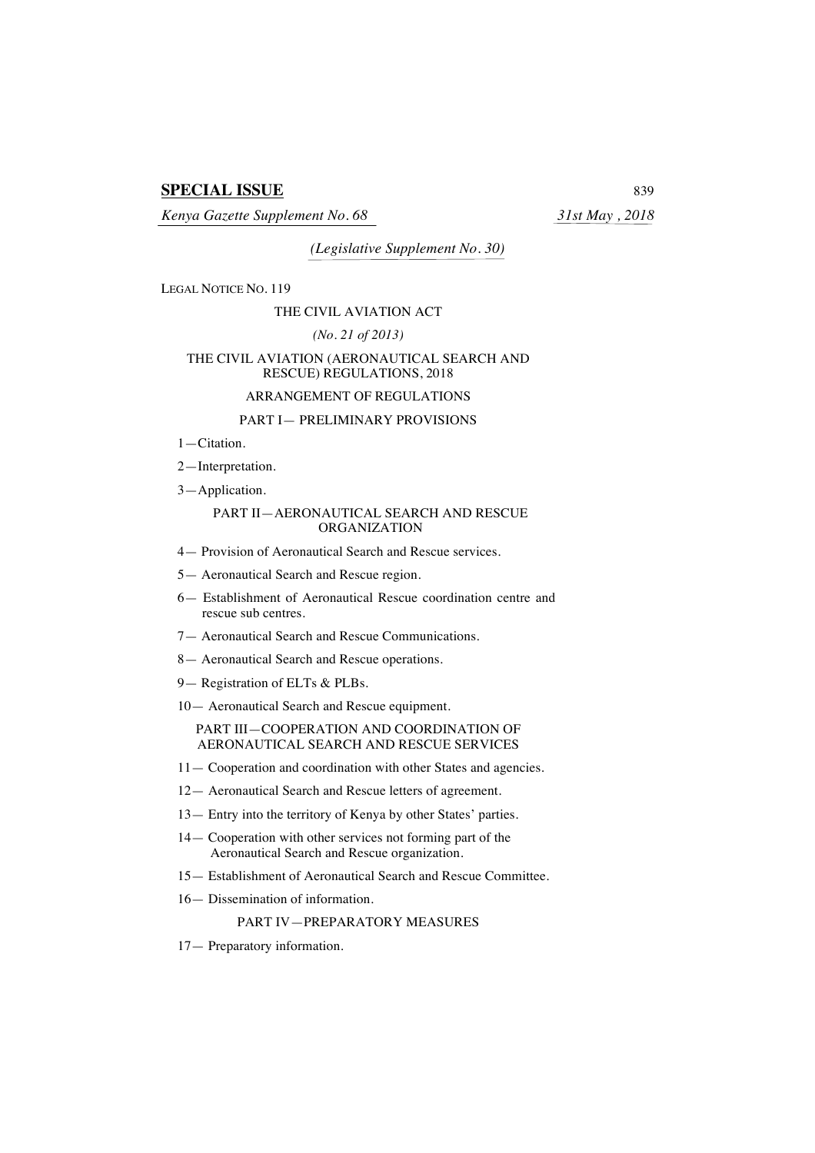# **SPECIAL ISSUE** 839

*Kenya Gazette Supplement No. 68 31st May , 2018*

*(Legislative Supplement No. 30)*

LEGAL NOTICE NO. 119

## THE CIVIL AVIATION ACT

## *(No. 21 of 2013)*

## THE CIVIL AVIATION (AERONAUTICAL SEARCH AND RESCUE) REGULATIONS, 2018

# ARRANGEMENT OF REGULATIONS

## PART I— PRELIMINARY PROVISIONS

1—Citation.

2—Interpretation.

3—Application.

## PART II—AERONAUTICAL SEARCH AND RESCUE ORGANIZATION

- 4— Provision of Aeronautical Search and Rescue services.
- 5— Aeronautical Search and Rescue region.
- 6— Establishment of Aeronautical Rescue coordination centre and rescue sub centres.
- 7— Aeronautical Search and Rescue Communications.
- 8— Aeronautical Search and Rescue operations.
- 9— Registration of ELTs & PLBs.

10— Aeronautical Search and Rescue equipment.

PART III—COOPERATION AND COORDINATION OF AERONAUTICAL SEARCH AND RESCUE SERVICES

- 11— Cooperation and coordination with other States and agencies.
- 12— Aeronautical Search and Rescue letters of agreement.
- 13— Entry into the territory of Kenya by other States' parties.
- 14— Cooperation with other services not forming part of the Aeronautical Search and Rescue organization.
- 15— Establishment of Aeronautical Search and Rescue Committee.
- 16— Dissemination of information.

# PART IV—PREPARATORY MEASURES

17— Preparatory information.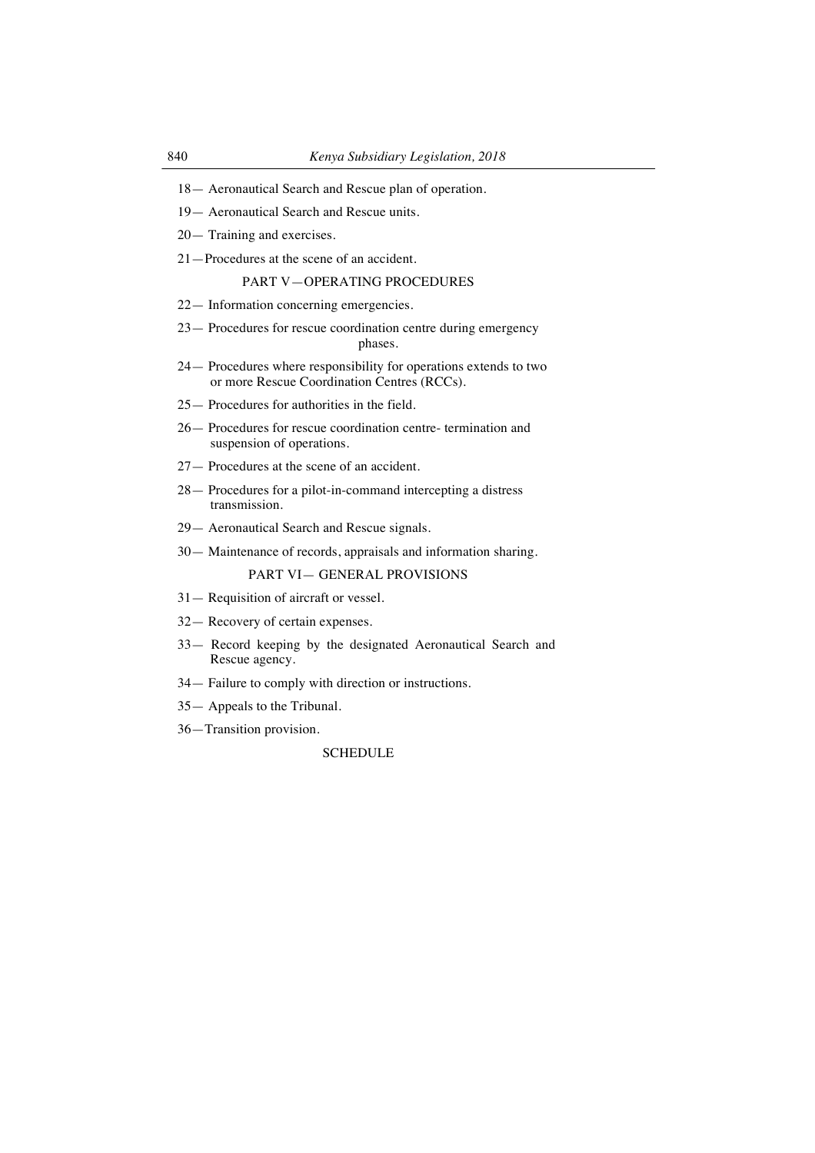- 18— Aeronautical Search and Rescue plan of operation.
- 19— Aeronautical Search and Rescue units.
- 20— Training and exercises.
- 21—Procedures at the scene of an accident.

# PART V—OPERATING PROCEDURES

- 22— Information concerning emergencies.
- 23— Procedures for rescue coordination centre during emergency phases.
- 24— Procedures where responsibility for operations extends to two or more Rescue Coordination Centres (RCCs).
- 25— Procedures for authorities in the field.
- 26— Procedures for rescue coordination centre- termination and suspension of operations.
- 27— Procedures at the scene of an accident.
- 28— Procedures for a pilot-in-command intercepting a distress transmission.
- 29— Aeronautical Search and Rescue signals.
- 30— Maintenance of records, appraisals and information sharing.

PART VI— GENERAL PROVISIONS

- 31— Requisition of aircraft or vessel.
- 32— Recovery of certain expenses.
- 33— Record keeping by the designated Aeronautical Search and Rescue agency.
- 34— Failure to comply with direction or instructions.
- 35— Appeals to the Tribunal.
- 36—Transition provision.

#### SCHEDULE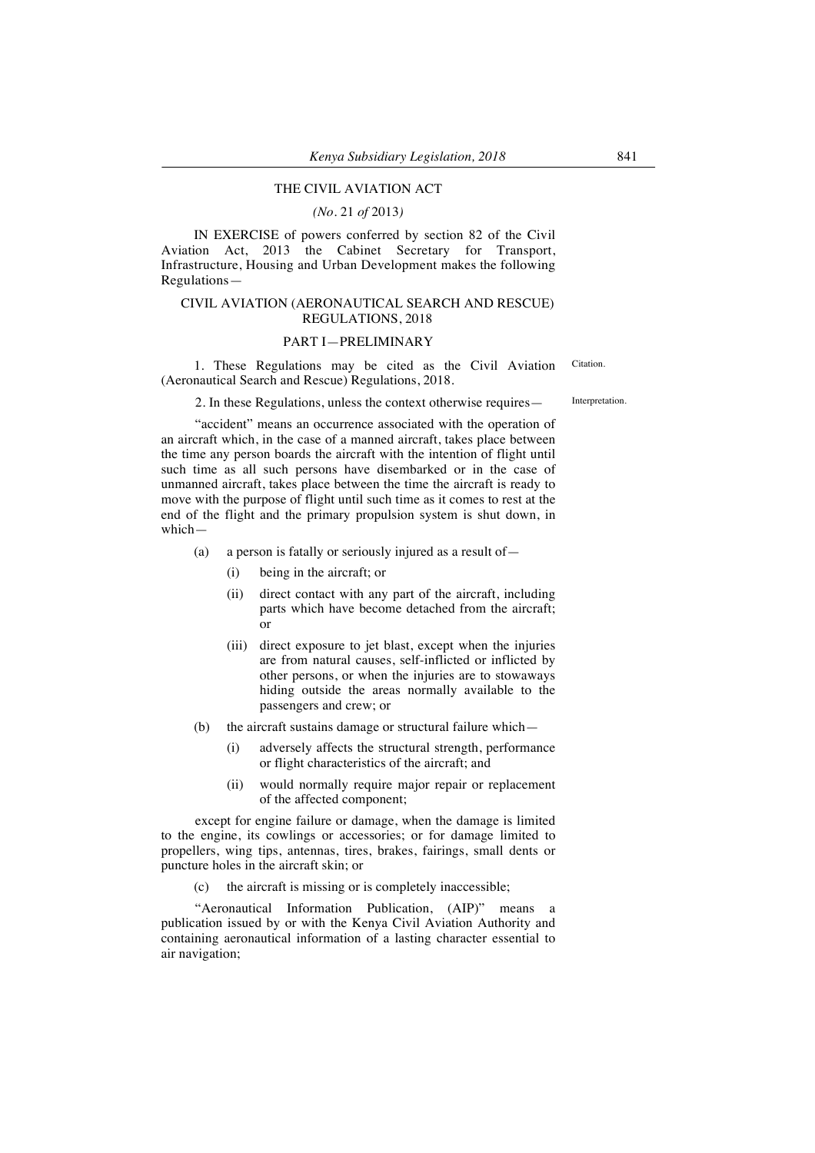## THE CIVIL AVIATION ACT

*(No.* 21 *of* 2013*)*

IN EXERCISE of powers conferred by section 82 of the Civil Aviation Act, 2013 the Cabinet Secretary for Transport, Infrastructure, Housing and Urban Development makes the following Regulations—

## CIVIL AVIATION (AERONAUTICAL SEARCH AND RESCUE) REGULATIONS, 2018

#### PART I—PRELIMINARY

1. These Regulations may be cited as the Civil Aviation (Aeronautical Search and Rescue) Regulations, 2018.

2. In these Regulations, unless the context otherwise requires — Interpretation.

"accident" means an occurrence associated with the operation of an aircraft which, in the case of a manned aircraft, takes place between the time any person boards the aircraft with the intention of flight until such time as all such persons have disembarked or in the case of unmanned aircraft, takes place between the time the aircraft is ready to move with the purpose of flight until such time as it comes to rest at the end of the flight and the primary propulsion system is shut down, in which—

(a) a person is fatally or seriously injured as a result of—

- (i) being in the aircraft; or
	- (ii) direct contact with any part of the aircraft, including parts which have become detached from the aircraft; or
	- (iii) direct exposure to jet blast, except when the injuries are from natural causes, self-inflicted or inflicted by other persons, or when the injuries are to stowaways hiding outside the areas normally available to the passengers and crew; or
- (b) the aircraft sustains damage or structural failure which—
	- (i) adversely affects the structural strength, performance or flight characteristics of the aircraft; and
	- (ii) would normally require major repair or replacement of the affected component;

except for engine failure or damage, when the damage is limited to the engine, its cowlings or accessories; or for damage limited to propellers, wing tips, antennas, tires, brakes, fairings, small dents or puncture holes in the aircraft skin; or

(c) the aircraft is missing or is completely inaccessible;

"Aeronautical Information Publication, (AIP)" means a publication issued by or with the Kenya Civil Aviation Authority and containing aeronautical information of a lasting character essential to air navigation;

Citation.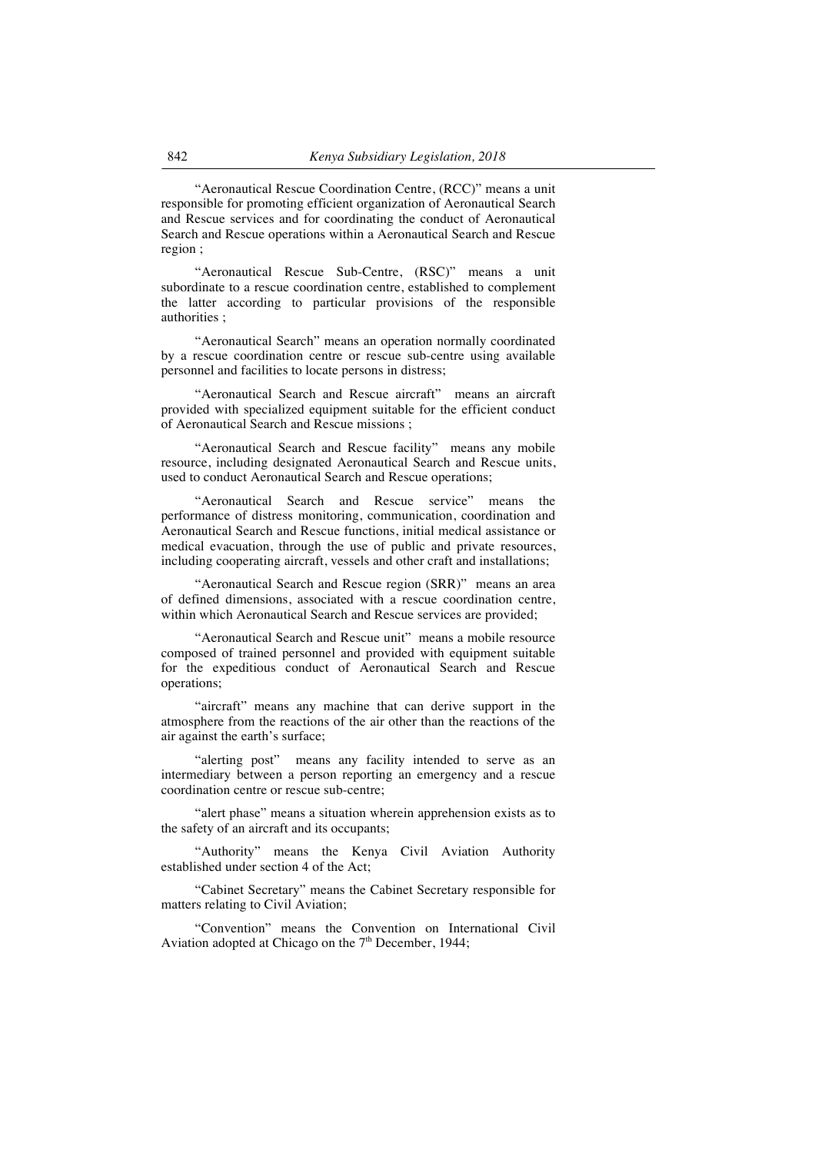"Aeronautical Rescue Coordination Centre, (RCC)" means a unit responsible for promoting efficient organization of Aeronautical Search and Rescue services and for coordinating the conduct of Aeronautical Search and Rescue operations within a Aeronautical Search and Rescue region ;

"Aeronautical Rescue Sub-Centre, (RSC)" means a unit subordinate to a rescue coordination centre, established to complement the latter according to particular provisions of the responsible authorities ;

"Aeronautical Search" means an operation normally coordinated by a rescue coordination centre or rescue sub-centre using available personnel and facilities to locate persons in distress;

"Aeronautical Search and Rescue aircraft" means an aircraft provided with specialized equipment suitable for the efficient conduct of Aeronautical Search and Rescue missions ;

"Aeronautical Search and Rescue facility" means any mobile resource, including designated Aeronautical Search and Rescue units, used to conduct Aeronautical Search and Rescue operations;

"Aeronautical Search and Rescue service" means the performance of distress monitoring, communication, coordination and Aeronautical Search and Rescue functions, initial medical assistance or medical evacuation, through the use of public and private resources, including cooperating aircraft, vessels and other craft and installations;

"Aeronautical Search and Rescue region (SRR)" means an area of defined dimensions, associated with a rescue coordination centre, within which Aeronautical Search and Rescue services are provided;

"Aeronautical Search and Rescue unit" means a mobile resource composed of trained personnel and provided with equipment suitable for the expeditious conduct of Aeronautical Search and Rescue operations;

"aircraft" means any machine that can derive support in the atmosphere from the reactions of the air other than the reactions of the air against the earth's surface;

"alerting post" means any facility intended to serve as an intermediary between a person reporting an emergency and a rescue coordination centre or rescue sub-centre;

"alert phase" means a situation wherein apprehension exists as to the safety of an aircraft and its occupants;

"Authority" means the Kenya Civil Aviation Authority established under section 4 of the Act;

"Cabinet Secretary" means the Cabinet Secretary responsible for matters relating to Civil Aviation;

"Convention" means the Convention on International Civil Aviation adopted at Chicago on the  $7<sup>th</sup>$  December, 1944;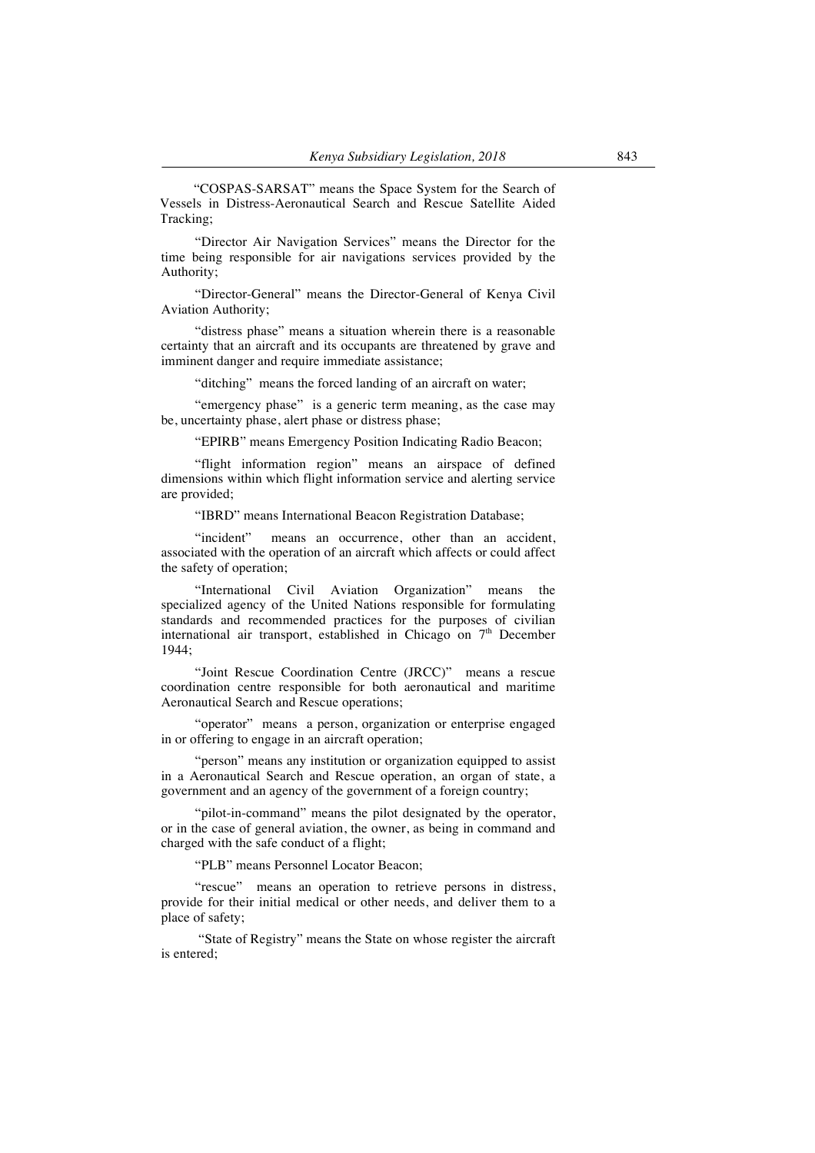"COSPAS-SARSAT" means the Space System for the Search of Vessels in Distress-Aeronautical Search and Rescue Satellite Aided Tracking;

"Director Air Navigation Services" means the Director for the time being responsible for air navigations services provided by the Authority;

"Director-General" means the Director-General of Kenya Civil Aviation Authority;

"distress phase" means a situation wherein there is a reasonable certainty that an aircraft and its occupants are threatened by grave and imminent danger and require immediate assistance;

"ditching" means the forced landing of an aircraft on water;

"emergency phase" is a generic term meaning, as the case may be, uncertainty phase, alert phase or distress phase;

"EPIRB" means Emergency Position Indicating Radio Beacon;

"flight information region" means an airspace of defined dimensions within which flight information service and alerting service are provided;

"IBRD" means International Beacon Registration Database;

"incident" means an occurrence, other than an accident, associated with the operation of an aircraft which affects or could affect the safety of operation;

"International Civil Aviation Organization" means the specialized agency of the United Nations responsible for formulating standards and recommended practices for the purposes of civilian international air transport, established in Chicago on  $7<sup>th</sup>$  December 1944;

"Joint Rescue Coordination Centre (JRCC)" means a rescue coordination centre responsible for both aeronautical and maritime Aeronautical Search and Rescue operations;

"operator" means a person, organization or enterprise engaged in or offering to engage in an aircraft operation;

"person" means any institution or organization equipped to assist in a Aeronautical Search and Rescue operation, an organ of state, a government and an agency of the government of a foreign country;

"pilot-in-command" means the pilot designated by the operator, or in the case of general aviation, the owner, as being in command and charged with the safe conduct of a flight;

"PLB" means Personnel Locator Beacon;

"rescue" means an operation to retrieve persons in distress, provide for their initial medical or other needs, and deliver them to a place of safety;

"State of Registry" means the State on whose register the aircraft is entered;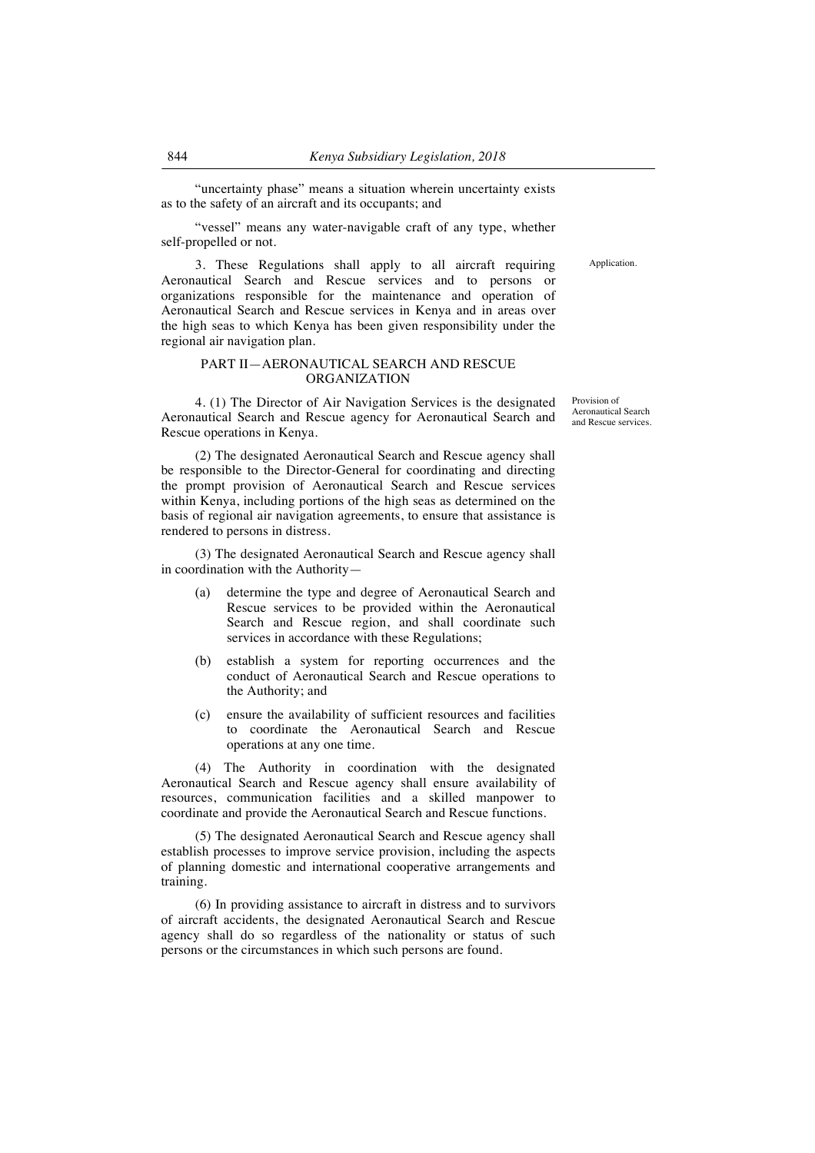"uncertainty phase" means a situation wherein uncertainty exists as to the safety of an aircraft and its occupants; and

"vessel" means any water-navigable craft of any type, whether self-propelled or not.

**Application** 

3. These Regulations shall apply to all aircraft requiring Aeronautical Search and Rescue services and to persons or organizations responsible for the maintenance and operation of Aeronautical Search and Rescue services in Kenya and in areas over the high seas to which Kenya has been given responsibility under the regional air navigation plan.

#### PART II—AERONAUTICAL SEARCH AND RESCUE ORGANIZATION

4. (1) The Director of Air Navigation Services is the designated Aeronautical Search and Rescue agency for Aeronautical Search and Rescue operations in Kenya.

(2) The designated Aeronautical Search and Rescue agency shall be responsible to the Director-General for coordinating and directing the prompt provision of Aeronautical Search and Rescue services within Kenya, including portions of the high seas as determined on the basis of regional air navigation agreements, to ensure that assistance is rendered to persons in distress.

(3) The designated Aeronautical Search and Rescue agency shall in coordination with the Authority—

- (a) determine the type and degree of Aeronautical Search and Rescue services to be provided within the Aeronautical Search and Rescue region, and shall coordinate such services in accordance with these Regulations;
- (b) establish a system for reporting occurrences and the conduct of Aeronautical Search and Rescue operations to the Authority; and
- (c) ensure the availability of sufficient resources and facilities to coordinate the Aeronautical Search and Rescue operations at any one time.

(4) The Authority in coordination with the designated Aeronautical Search and Rescue agency shall ensure availability of resources, communication facilities and a skilled manpower to coordinate and provide the Aeronautical Search and Rescue functions.

(5) The designated Aeronautical Search and Rescue agency shall establish processes to improve service provision, including the aspects of planning domestic and international cooperative arrangements and training.

(6) In providing assistance to aircraft in distress and to survivors of aircraft accidents, the designated Aeronautical Search and Rescue agency shall do so regardless of the nationality or status of such persons or the circumstances in which such persons are found.

Provision of Aeronautical Search and Rescue services.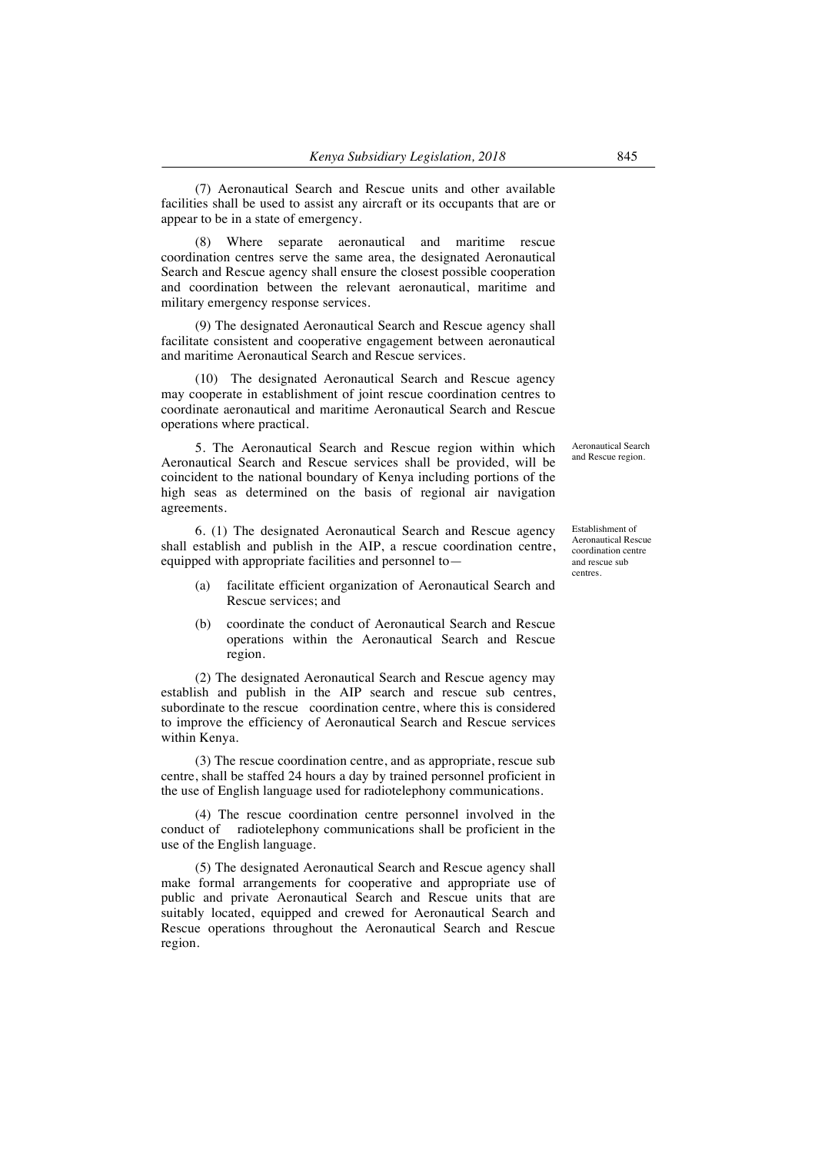(7) Aeronautical Search and Rescue units and other available facilities shall be used to assist any aircraft or its occupants that are or appear to be in a state of emergency.

Where separate aeronautical and maritime rescue coordination centres serve the same area, the designated Aeronautical Search and Rescue agency shall ensure the closest possible cooperation and coordination between the relevant aeronautical, maritime and military emergency response services.

(9) The designated Aeronautical Search and Rescue agency shall facilitate consistent and cooperative engagement between aeronautical and maritime Aeronautical Search and Rescue services.

(10) The designated Aeronautical Search and Rescue agency may cooperate in establishment of joint rescue coordination centres to coordinate aeronautical and maritime Aeronautical Search and Rescue operations where practical.

5. The Aeronautical Search and Rescue region within which Aeronautical Search and Rescue services shall be provided, will be coincident to the national boundary of Kenya including portions of the high seas as determined on the basis of regional air navigation agreements.

6. (1) The designated Aeronautical Search and Rescue agency shall establish and publish in the AIP, a rescue coordination centre, equipped with appropriate facilities and personnel to—

- (a) facilitate efficient organization of Aeronautical Search and Rescue services; and
- (b) coordinate the conduct of Aeronautical Search and Rescue operations within the Aeronautical Search and Rescue region.

(2) The designated Aeronautical Search and Rescue agency may establish and publish in the AIP search and rescue sub centres, subordinate to the rescue coordination centre, where this is considered to improve the efficiency of Aeronautical Search and Rescue services within Kenya.

(3) The rescue coordination centre, and as appropriate, rescue sub centre, shall be staffed 24 hours a day by trained personnel proficient in the use of English language used for radiotelephony communications.

(4) The rescue coordination centre personnel involved in the conduct of radiotelephony communications shall be proficient in the use of the English language.

(5) The designated Aeronautical Search and Rescue agency shall make formal arrangements for cooperative and appropriate use of public and private Aeronautical Search and Rescue units that are suitably located, equipped and crewed for Aeronautical Search and Rescue operations throughout the Aeronautical Search and Rescue region.

Aeronautical Search and Rescue region.

Establishment of Aeronautical Rescue coordination centre and rescue sub centres.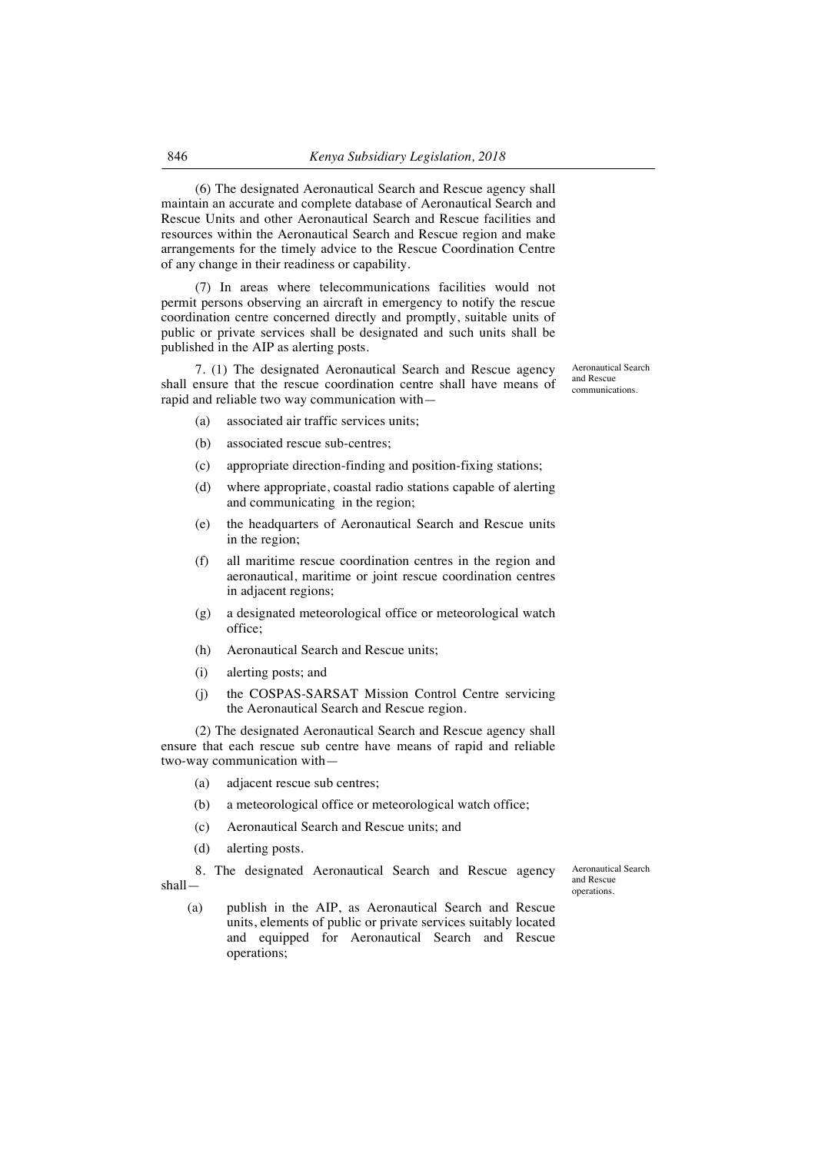(6) The designated Aeronautical Search and Rescue agency shall maintain an accurate and complete database of Aeronautical Search and Rescue Units and other Aeronautical Search and Rescue facilities and resources within the Aeronautical Search and Rescue region and make arrangements for the timely advice to the Rescue Coordination Centre of any change in their readiness or capability.

(7) In areas where telecommunications facilities would not permit persons observing an aircraft in emergency to notify the rescue coordination centre concerned directly and promptly, suitable units of public or private services shall be designated and such units shall be published in the AIP as alerting posts.

7. (1) The designated Aeronautical Search and Rescue agency shall ensure that the rescue coordination centre shall have means of rapid and reliable two way communication with—

Aeronautical Search and Rescue communications.

- (a) associated air traffic services units;
- (b) associated rescue sub-centres;
- (c) appropriate direction-finding and position-fixing stations;
- (d) where appropriate, coastal radio stations capable of alerting and communicating in the region;
- (e) the headquarters of Aeronautical Search and Rescue units in the region;
- (f) all maritime rescue coordination centres in the region and aeronautical, maritime or joint rescue coordination centres in adjacent regions;
- (g) a designated meteorological office or meteorological watch office;
- (h) Aeronautical Search and Rescue units;
- (i) alerting posts; and
- (j) the COSPAS-SARSAT Mission Control Centre servicing the Aeronautical Search and Rescue region.

(2) The designated Aeronautical Search and Rescue agency shall ensure that each rescue sub centre have means of rapid and reliable two-way communication with—

- (a) adjacent rescue sub centres;
- (b) a meteorological office or meteorological watch office;
- (c) Aeronautical Search and Rescue units; and
- (d) alerting posts.

8. The designated Aeronautical Search and Rescue agency shallAeronautical Search and Rescue operations.

(a) publish in the AIP, as Aeronautical Search and Rescue units, elements of public or private services suitably located and equipped for Aeronautical Search and Rescue operations;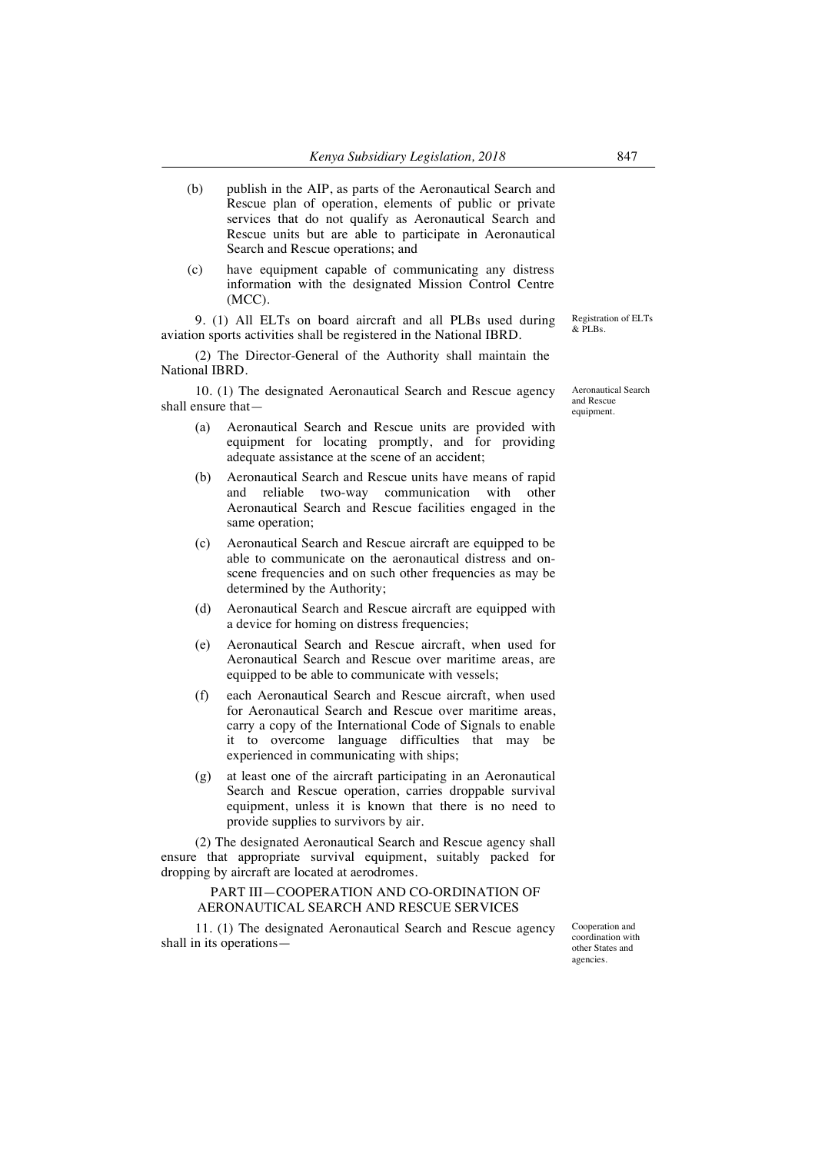- (b) publish in the AIP, as parts of the Aeronautical Search and Rescue plan of operation, elements of public or private services that do not qualify as Aeronautical Search and Rescue units but are able to participate in Aeronautical Search and Rescue operations; and
- (c) have equipment capable of communicating any distress information with the designated Mission Control Centre (MCC).

9. (1) All ELTs on board aircraft and all PLBs used during aviation sports activities shall be registered in the National IBRD.

(2) The Director-General of the Authority shall maintain the National IBRD.

10. (1) The designated Aeronautical Search and Rescue agency shall ensure that—

- (a) Aeronautical Search and Rescue units are provided with equipment for locating promptly, and for providing adequate assistance at the scene of an accident;
- (b) Aeronautical Search and Rescue units have means of rapid and reliable two-way communication with other Aeronautical Search and Rescue facilities engaged in the same operation;
- (c) Aeronautical Search and Rescue aircraft are equipped to be able to communicate on the aeronautical distress and onscene frequencies and on such other frequencies as may be determined by the Authority;
- (d) Aeronautical Search and Rescue aircraft are equipped with a device for homing on distress frequencies;
- (e) Aeronautical Search and Rescue aircraft, when used for Aeronautical Search and Rescue over maritime areas, are equipped to be able to communicate with vessels;
- (f) each Aeronautical Search and Rescue aircraft, when used for Aeronautical Search and Rescue over maritime areas, carry a copy of the International Code of Signals to enable it to overcome language difficulties that may be experienced in communicating with ships;
- (g) at least one of the aircraft participating in an Aeronautical Search and Rescue operation, carries droppable survival equipment, unless it is known that there is no need to provide supplies to survivors by air.

(2) The designated Aeronautical Search and Rescue agency shall ensure that appropriate survival equipment, suitably packed for dropping by aircraft are located at aerodromes.

## PART III—COOPERATION AND CO-ORDINATION OF AERONAUTICAL SEARCH AND RESCUE SERVICES

11. (1) The designated Aeronautical Search and Rescue agency shall in its operationsCooperation and coordination with other States and agencies.

Aeronautical Search and Rescue equipment.

Registration of ELTs  $&$  PLBs.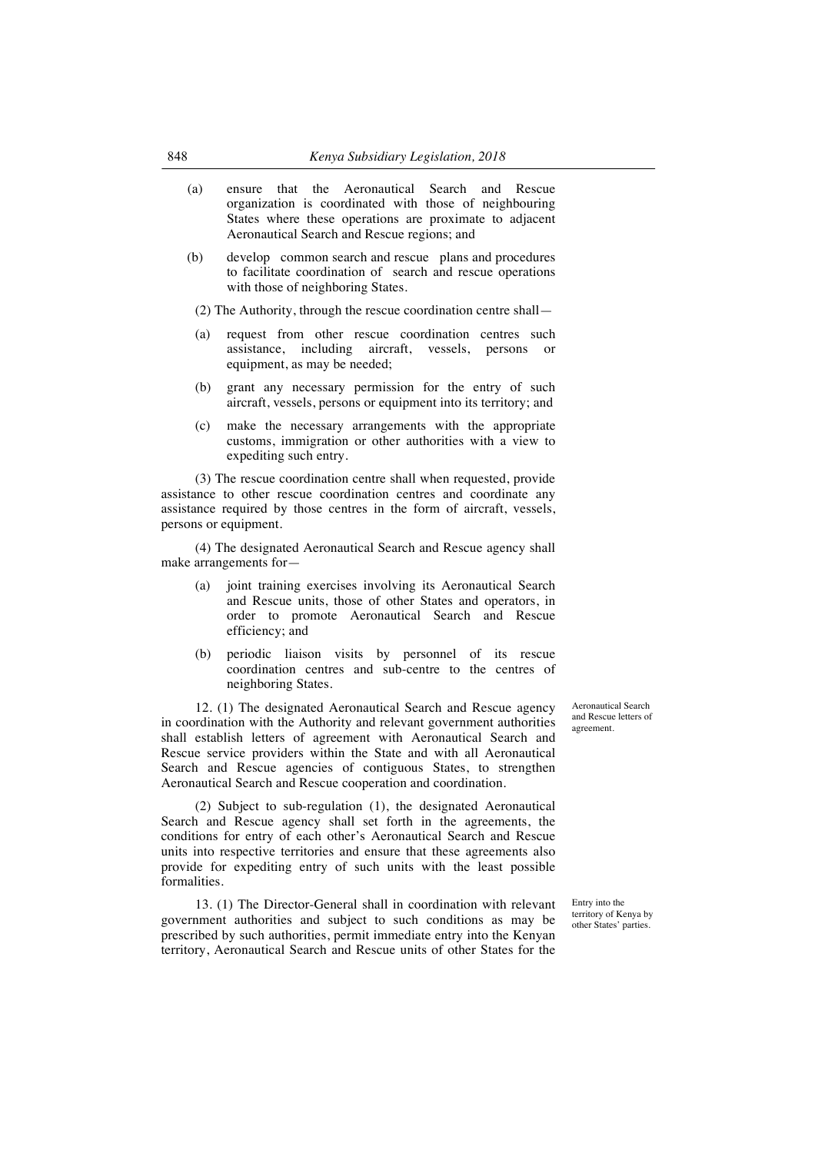- (a) ensure that the Aeronautical Search and Rescue organization is coordinated with those of neighbouring States where these operations are proximate to adjacent Aeronautical Search and Rescue regions; and
- (b) develop common search and rescue plans and procedures to facilitate coordination of search and rescue operations with those of neighboring States.

(2) The Authority, through the rescue coordination centre shall—

- (a) request from other rescue coordination centres such assistance, including aircraft, vessels, persons or equipment, as may be needed;
- (b) grant any necessary permission for the entry of such aircraft, vessels, persons or equipment into its territory; and
- (c) make the necessary arrangements with the appropriate customs, immigration or other authorities with a view to expediting such entry.

(3) The rescue coordination centre shall when requested, provide assistance to other rescue coordination centres and coordinate any assistance required by those centres in the form of aircraft, vessels, persons or equipment.

(4) The designated Aeronautical Search and Rescue agency shall make arrangements for—

- (a) joint training exercises involving its Aeronautical Search and Rescue units, those of other States and operators, in order to promote Aeronautical Search and Rescue efficiency; and
- (b) periodic liaison visits by personnel of its rescue coordination centres and sub-centre to the centres of neighboring States.

12. (1) The designated Aeronautical Search and Rescue agency in coordination with the Authority and relevant government authorities shall establish letters of agreement with Aeronautical Search and Rescue service providers within the State and with all Aeronautical Search and Rescue agencies of contiguous States, to strengthen Aeronautical Search and Rescue cooperation and coordination.

(2) Subject to sub-regulation (1), the designated Aeronautical Search and Rescue agency shall set forth in the agreements, the conditions for entry of each other's Aeronautical Search and Rescue units into respective territories and ensure that these agreements also provide for expediting entry of such units with the least possible formalities.

13. (1) The Director-General shall in coordination with relevant government authorities and subject to such conditions as may be prescribed by such authorities, permit immediate entry into the Kenyan territory, Aeronautical Search and Rescue units of other States for the

Aeronautical Search and Rescue letters of agreement.

Entry into the territory of Kenya by other States' parties.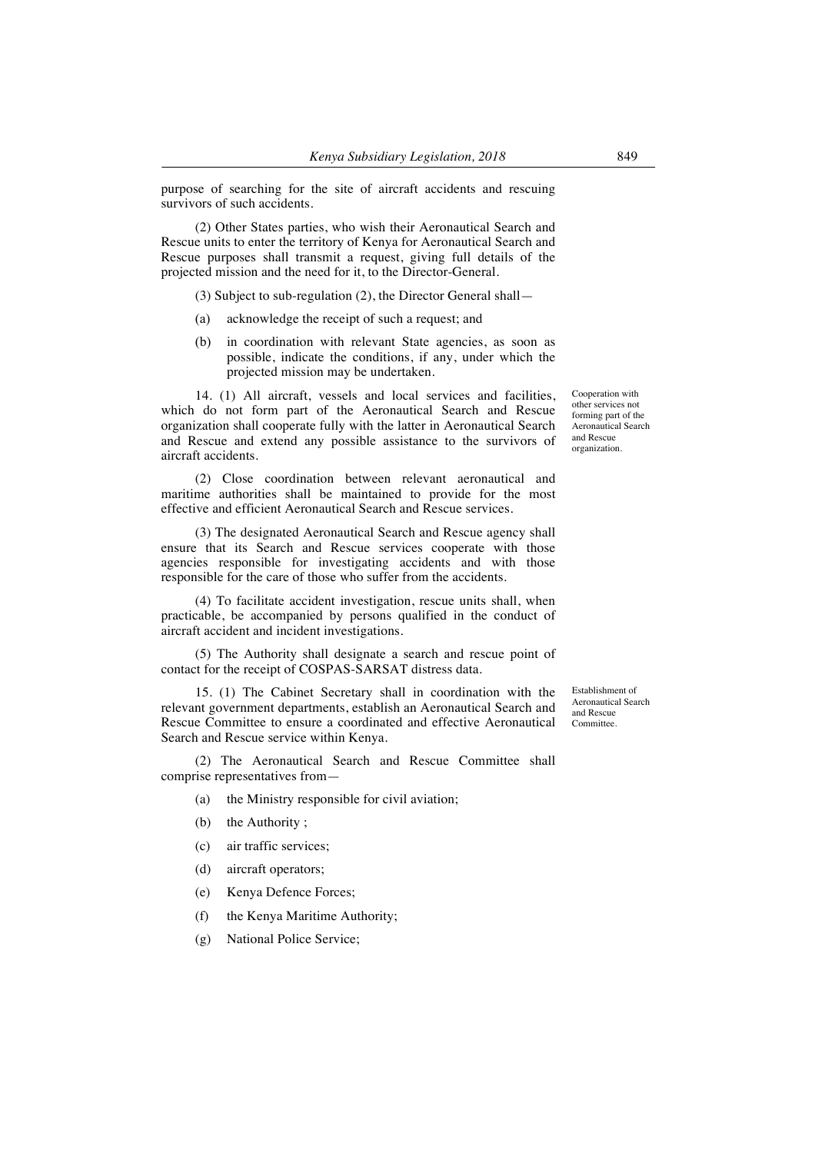purpose of searching for the site of aircraft accidents and rescuing survivors of such accidents.

(2) Other States parties, who wish their Aeronautical Search and Rescue units to enter the territory of Kenya for Aeronautical Search and Rescue purposes shall transmit a request, giving full details of the projected mission and the need for it, to the Director-General.

(3) Subject to sub-regulation (2), the Director General shall—

- (a) acknowledge the receipt of such a request; and
- (b) in coordination with relevant State agencies, as soon as possible, indicate the conditions, if any, under which the projected mission may be undertaken.

14. (1) All aircraft, vessels and local services and facilities, which do not form part of the Aeronautical Search and Rescue organization shall cooperate fully with the latter in Aeronautical Search and Rescue and extend any possible assistance to the survivors of aircraft accidents.

(2) Close coordination between relevant aeronautical and maritime authorities shall be maintained to provide for the most effective and efficient Aeronautical Search and Rescue services.

(3) The designated Aeronautical Search and Rescue agency shall ensure that its Search and Rescue services cooperate with those agencies responsible for investigating accidents and with those responsible for the care of those who suffer from the accidents.

(4) To facilitate accident investigation, rescue units shall, when practicable, be accompanied by persons qualified in the conduct of aircraft accident and incident investigations.

(5) The Authority shall designate a search and rescue point of contact for the receipt of COSPAS-SARSAT distress data.

15. (1) The Cabinet Secretary shall in coordination with the relevant government departments, establish an Aeronautical Search and Rescue Committee to ensure a coordinated and effective Aeronautical Search and Rescue service within Kenya.

(2) The Aeronautical Search and Rescue Committee shall comprise representatives from—

- (a) the Ministry responsible for civil aviation;
- (b) the Authority ;
- (c) air traffic services;
- (d) aircraft operators;
- (e) Kenya Defence Forces;
- (f) the Kenya Maritime Authority;
- (g) National Police Service;

Cooperation with other services not forming part of the Aeronautical Search and Rescue organization.

Establishment of Aeronautical Search and Rescue Committee.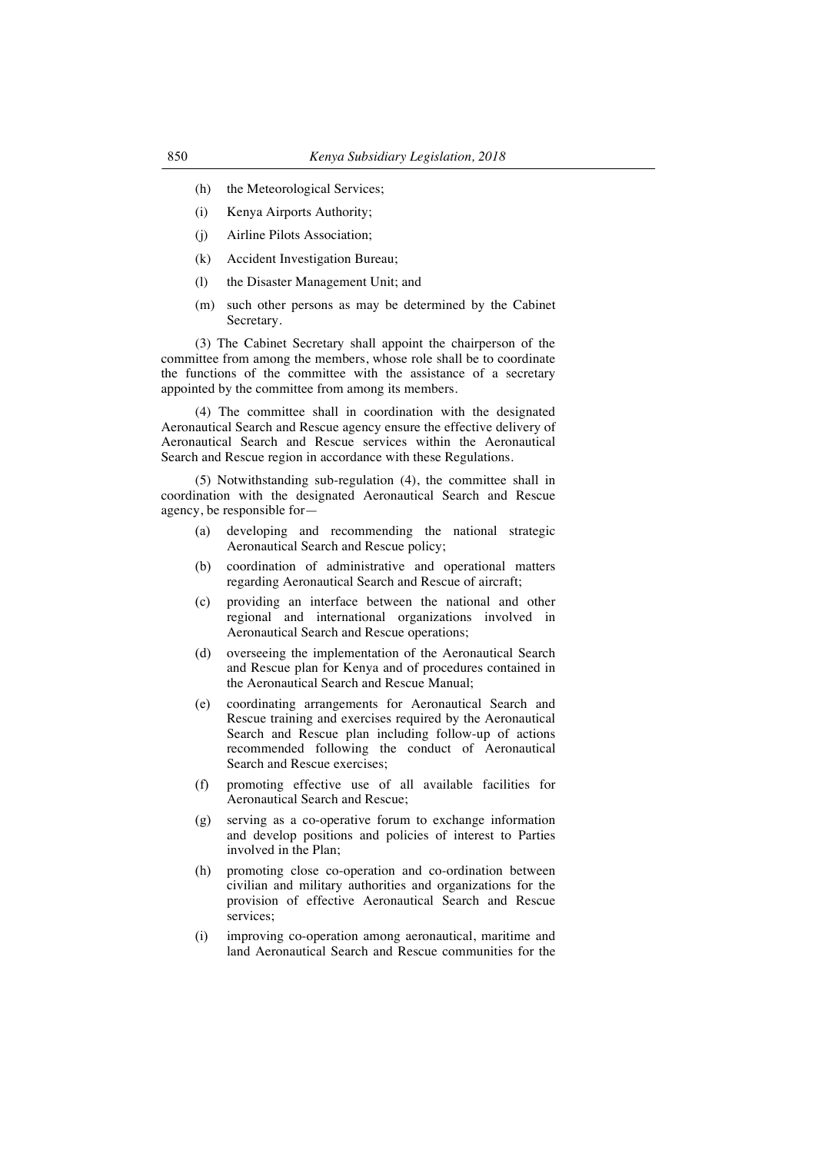- (h) the Meteorological Services;
- (i) Kenya Airports Authority;
- (j) Airline Pilots Association;
- (k) Accident Investigation Bureau;
- (l) the Disaster Management Unit; and
- (m) such other persons as may be determined by the Cabinet Secretary.

(3) The Cabinet Secretary shall appoint the chairperson of the committee from among the members, whose role shall be to coordinate the functions of the committee with the assistance of a secretary appointed by the committee from among its members.

(4) The committee shall in coordination with the designated Aeronautical Search and Rescue agency ensure the effective delivery of Aeronautical Search and Rescue services within the Aeronautical Search and Rescue region in accordance with these Regulations.

(5) Notwithstanding sub-regulation (4), the committee shall in coordination with the designated Aeronautical Search and Rescue agency, be responsible for—

- (a) developing and recommending the national strategic Aeronautical Search and Rescue policy;
- (b) coordination of administrative and operational matters regarding Aeronautical Search and Rescue of aircraft;
- (c) providing an interface between the national and other regional and international organizations involved in Aeronautical Search and Rescue operations;
- (d) overseeing the implementation of the Aeronautical Search and Rescue plan for Kenya and of procedures contained in the Aeronautical Search and Rescue Manual;
- (e) coordinating arrangements for Aeronautical Search and Rescue training and exercises required by the Aeronautical Search and Rescue plan including follow-up of actions recommended following the conduct of Aeronautical Search and Rescue exercises;
- (f) promoting effective use of all available facilities for Aeronautical Search and Rescue;
- (g) serving as a co-operative forum to exchange information and develop positions and policies of interest to Parties involved in the Plan;
- (h) promoting close co-operation and co-ordination between civilian and military authorities and organizations for the provision of effective Aeronautical Search and Rescue services;
- (i) improving co-operation among aeronautical, maritime and land Aeronautical Search and Rescue communities for the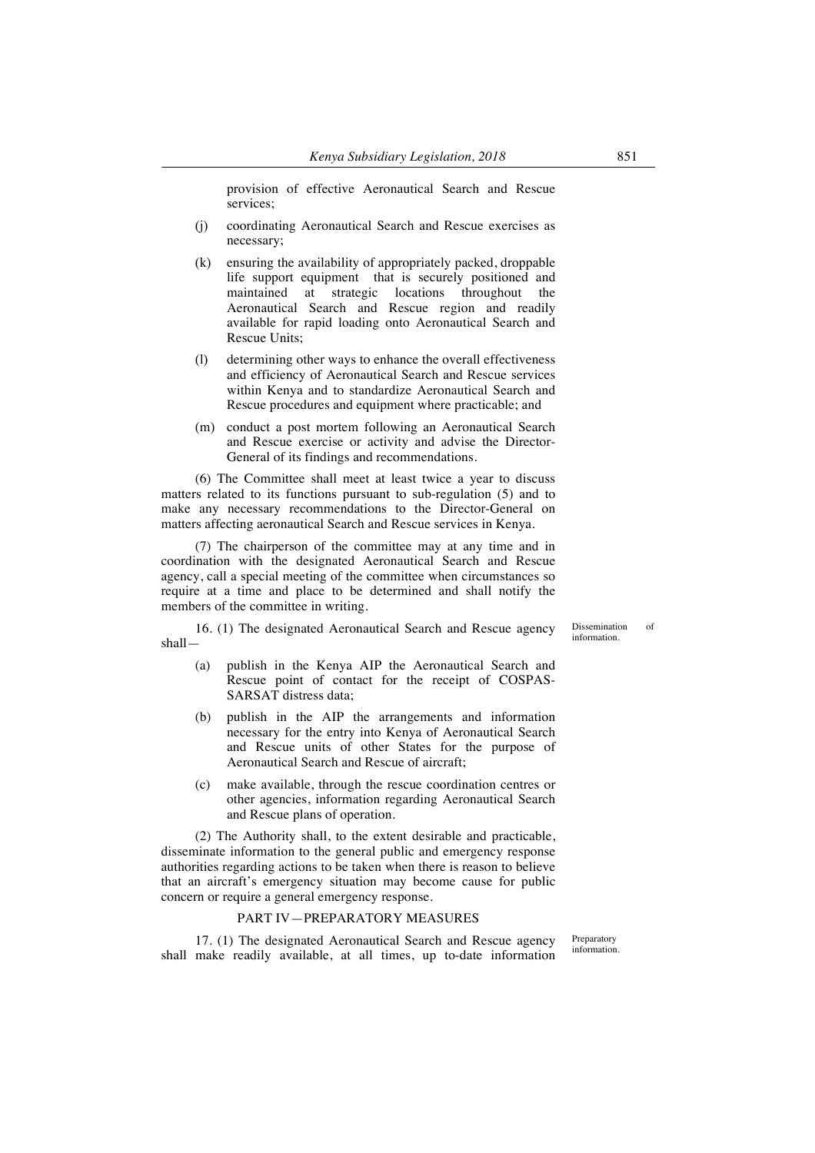provision of effective Aeronautical Search and Rescue services;

- (j) coordinating Aeronautical Search and Rescue exercises as necessary;
- (k) ensuring the availability of appropriately packed, droppable life support equipment that is securely positioned and maintained at strategic locations throughout the Aeronautical Search and Rescue region and readily available for rapid loading onto Aeronautical Search and Rescue Units;
- (l) determining other ways to enhance the overall effectiveness and efficiency of Aeronautical Search and Rescue services within Kenya and to standardize Aeronautical Search and Rescue procedures and equipment where practicable; and
- (m) conduct a post mortem following an Aeronautical Search and Rescue exercise or activity and advise the Director-General of its findings and recommendations.

(6) The Committee shall meet at least twice a year to discuss matters related to its functions pursuant to sub-regulation (5) and to make any necessary recommendations to the Director-General on matters affecting aeronautical Search and Rescue services in Kenya.

(7) The chairperson of the committee may at any time and in coordination with the designated Aeronautical Search and Rescue agency, call a special meeting of the committee when circumstances so require at a time and place to be determined and shall notify the members of the committee in writing.

16. (1) The designated Aeronautical Search and Rescue agency shall—

- (a) publish in the Kenya AIP the Aeronautical Search and Rescue point of contact for the receipt of COSPAS-SARSAT distress data;
- (b) publish in the AIP the arrangements and information necessary for the entry into Kenya of Aeronautical Search and Rescue units of other States for the purpose of Aeronautical Search and Rescue of aircraft;
- (c) make available, through the rescue coordination centres or other agencies, information regarding Aeronautical Search and Rescue plans of operation.

(2) The Authority shall, to the extent desirable and practicable, disseminate information to the general public and emergency response authorities regarding actions to be taken when there is reason to believe that an aircraft's emergency situation may become cause for public concern or require a general emergency response.

## PART IV—PREPARATORY MEASURES

17. (1) The designated Aeronautical Search and Rescue agency shall make readily available, at all times, up to-date information

Preparatory information.

Dissemination of information.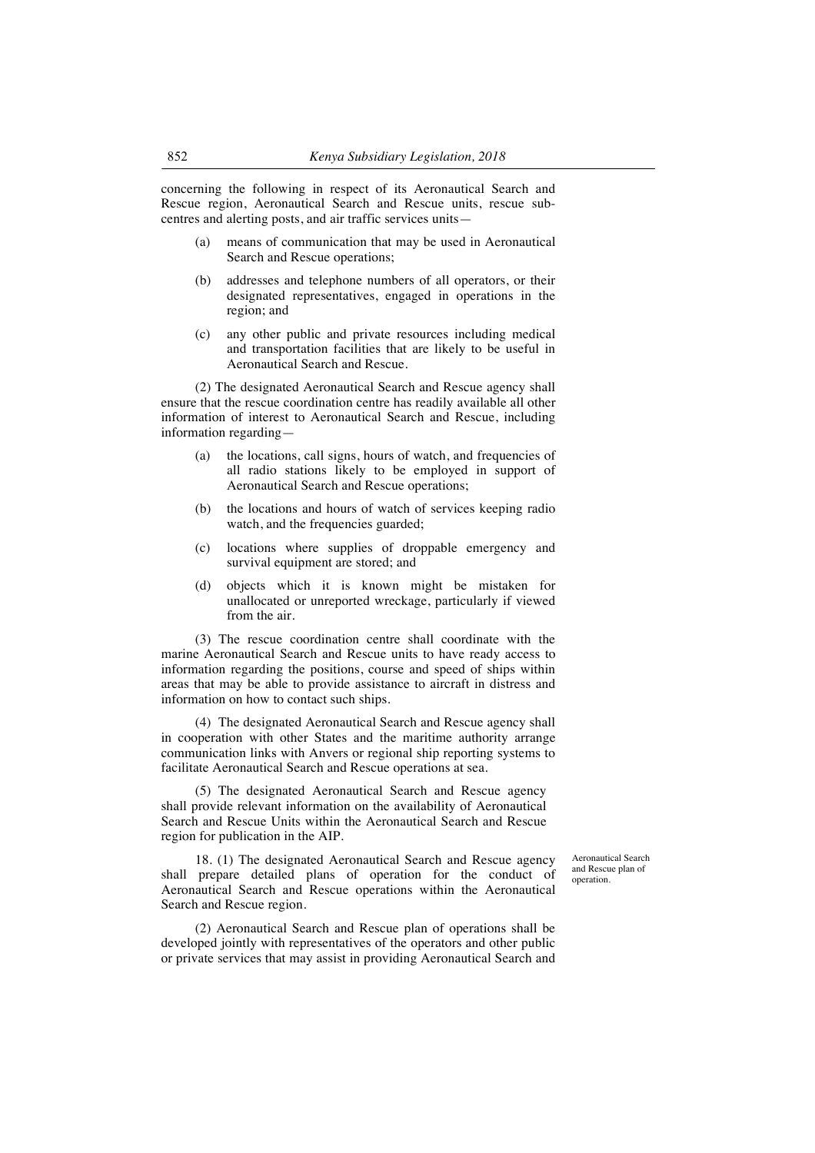concerning the following in respect of its Aeronautical Search and Rescue region, Aeronautical Search and Rescue units, rescue subcentres and alerting posts, and air traffic services units—

- (a) means of communication that may be used in Aeronautical Search and Rescue operations;
- (b) addresses and telephone numbers of all operators, or their designated representatives, engaged in operations in the region; and
- (c) any other public and private resources including medical and transportation facilities that are likely to be useful in Aeronautical Search and Rescue.

(2) The designated Aeronautical Search and Rescue agency shall ensure that the rescue coordination centre has readily available all other information of interest to Aeronautical Search and Rescue, including information regarding—

- (a) the locations, call signs, hours of watch, and frequencies of all radio stations likely to be employed in support of Aeronautical Search and Rescue operations;
- (b) the locations and hours of watch of services keeping radio watch, and the frequencies guarded;
- (c) locations where supplies of droppable emergency and survival equipment are stored; and
- (d) objects which it is known might be mistaken for unallocated or unreported wreckage, particularly if viewed from the air.

(3) The rescue coordination centre shall coordinate with the marine Aeronautical Search and Rescue units to have ready access to information regarding the positions, course and speed of ships within areas that may be able to provide assistance to aircraft in distress and information on how to contact such ships.

(4) The designated Aeronautical Search and Rescue agency shall in cooperation with other States and the maritime authority arrange communication links with Anvers or regional ship reporting systems to facilitate Aeronautical Search and Rescue operations at sea.

(5) The designated Aeronautical Search and Rescue agency shall provide relevant information on the availability of Aeronautical Search and Rescue Units within the Aeronautical Search and Rescue region for publication in the AIP.

18. (1) The designated Aeronautical Search and Rescue agency shall prepare detailed plans of operation for the conduct of Aeronautical Search and Rescue operations within the Aeronautical Search and Rescue region.

(2) Aeronautical Search and Rescue plan of operations shall be developed jointly with representatives of the operators and other public or private services that may assist in providing Aeronautical Search and Aeronautical Search and Rescue plan of operation.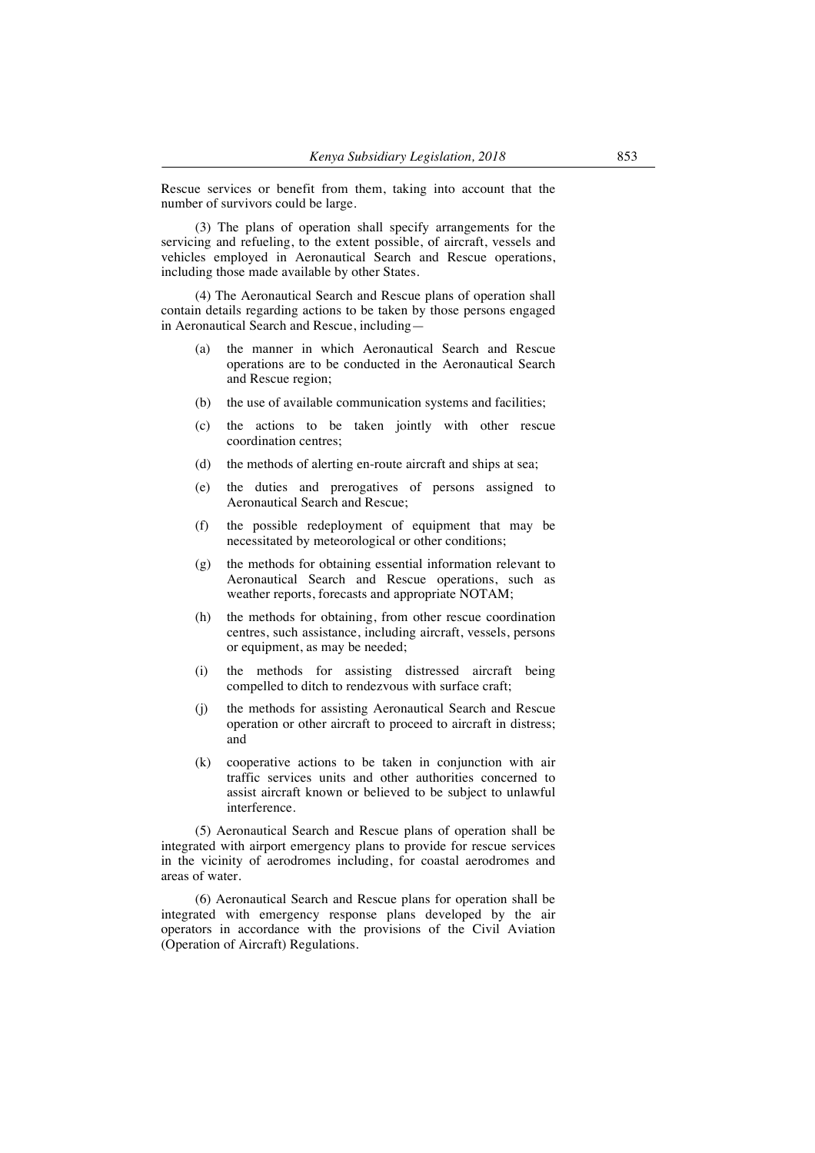Rescue services or benefit from them, taking into account that the number of survivors could be large.

(3) The plans of operation shall specify arrangements for the servicing and refueling, to the extent possible, of aircraft, vessels and vehicles employed in Aeronautical Search and Rescue operations, including those made available by other States.

(4) The Aeronautical Search and Rescue plans of operation shall contain details regarding actions to be taken by those persons engaged in Aeronautical Search and Rescue, including—

- (a) the manner in which Aeronautical Search and Rescue operations are to be conducted in the Aeronautical Search and Rescue region;
- (b) the use of available communication systems and facilities;
- (c) the actions to be taken jointly with other rescue coordination centres;
- (d) the methods of alerting en-route aircraft and ships at sea;
- (e) the duties and prerogatives of persons assigned to Aeronautical Search and Rescue;
- (f) the possible redeployment of equipment that may be necessitated by meteorological or other conditions;
- (g) the methods for obtaining essential information relevant to Aeronautical Search and Rescue operations, such as weather reports, forecasts and appropriate NOTAM;
- (h) the methods for obtaining, from other rescue coordination centres, such assistance, including aircraft, vessels, persons or equipment, as may be needed;
- (i) the methods for assisting distressed aircraft being compelled to ditch to rendezvous with surface craft;
- (j) the methods for assisting Aeronautical Search and Rescue operation or other aircraft to proceed to aircraft in distress; and
- (k) cooperative actions to be taken in conjunction with air traffic services units and other authorities concerned to assist aircraft known or believed to be subject to unlawful interference.

(5) Aeronautical Search and Rescue plans of operation shall be integrated with airport emergency plans to provide for rescue services in the vicinity of aerodromes including, for coastal aerodromes and areas of water.

(6) Aeronautical Search and Rescue plans for operation shall be integrated with emergency response plans developed by the air operators in accordance with the provisions of the Civil Aviation (Operation of Aircraft) Regulations.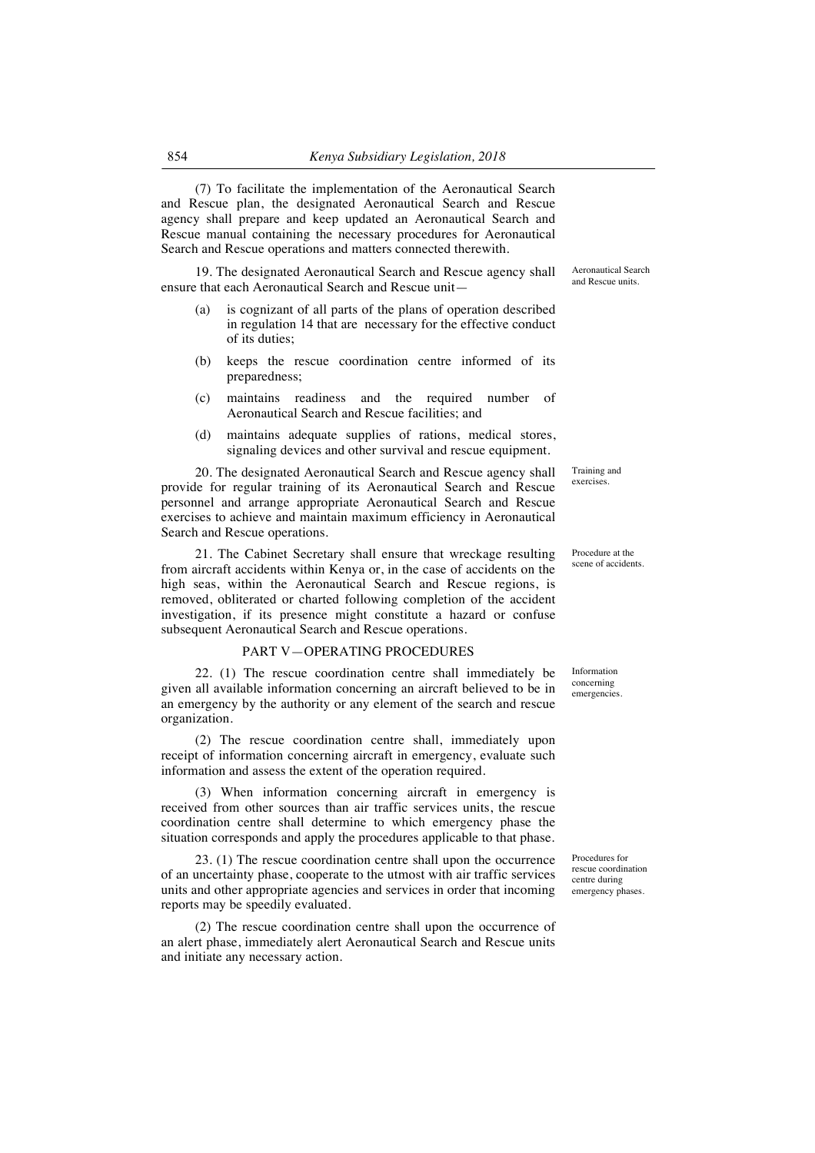(7) To facilitate the implementation of the Aeronautical Search and Rescue plan, the designated Aeronautical Search and Rescue agency shall prepare and keep updated an Aeronautical Search and Rescue manual containing the necessary procedures for Aeronautical Search and Rescue operations and matters connected therewith.

19. The designated Aeronautical Search and Rescue agency shall ensure that each Aeronautical Search and Rescue unit—

- (a) is cognizant of all parts of the plans of operation described in regulation 14 that are necessary for the effective conduct of its duties;
- (b) keeps the rescue coordination centre informed of its preparedness;
- (c) maintains readiness and the required number of Aeronautical Search and Rescue facilities; and
- (d) maintains adequate supplies of rations, medical stores, signaling devices and other survival and rescue equipment.

20. The designated Aeronautical Search and Rescue agency shall provide for regular training of its Aeronautical Search and Rescue personnel and arrange appropriate Aeronautical Search and Rescue exercises to achieve and maintain maximum efficiency in Aeronautical Search and Rescue operations.

21. The Cabinet Secretary shall ensure that wreckage resulting from aircraft accidents within Kenya or, in the case of accidents on the high seas, within the Aeronautical Search and Rescue regions, is removed, obliterated or charted following completion of the accident investigation, if its presence might constitute a hazard or confuse subsequent Aeronautical Search and Rescue operations.

## PART V—OPERATING PROCEDURES

22. (1) The rescue coordination centre shall immediately be given all available information concerning an aircraft believed to be in an emergency by the authority or any element of the search and rescue organization.

(2) The rescue coordination centre shall, immediately upon receipt of information concerning aircraft in emergency, evaluate such information and assess the extent of the operation required.

(3) When information concerning aircraft in emergency is received from other sources than air traffic services units, the rescue coordination centre shall determine to which emergency phase the situation corresponds and apply the procedures applicable to that phase.

23. (1) The rescue coordination centre shall upon the occurrence of an uncertainty phase, cooperate to the utmost with air traffic services units and other appropriate agencies and services in order that incoming reports may be speedily evaluated.

(2) The rescue coordination centre shall upon the occurrence of an alert phase, immediately alert Aeronautical Search and Rescue units and initiate any necessary action.

Aeronautical Search and Rescue units.

Training and exercises.

Procedure at the scene of accidents.

Information concerning emergencies.

Procedures for rescue coordination centre during emergency phases.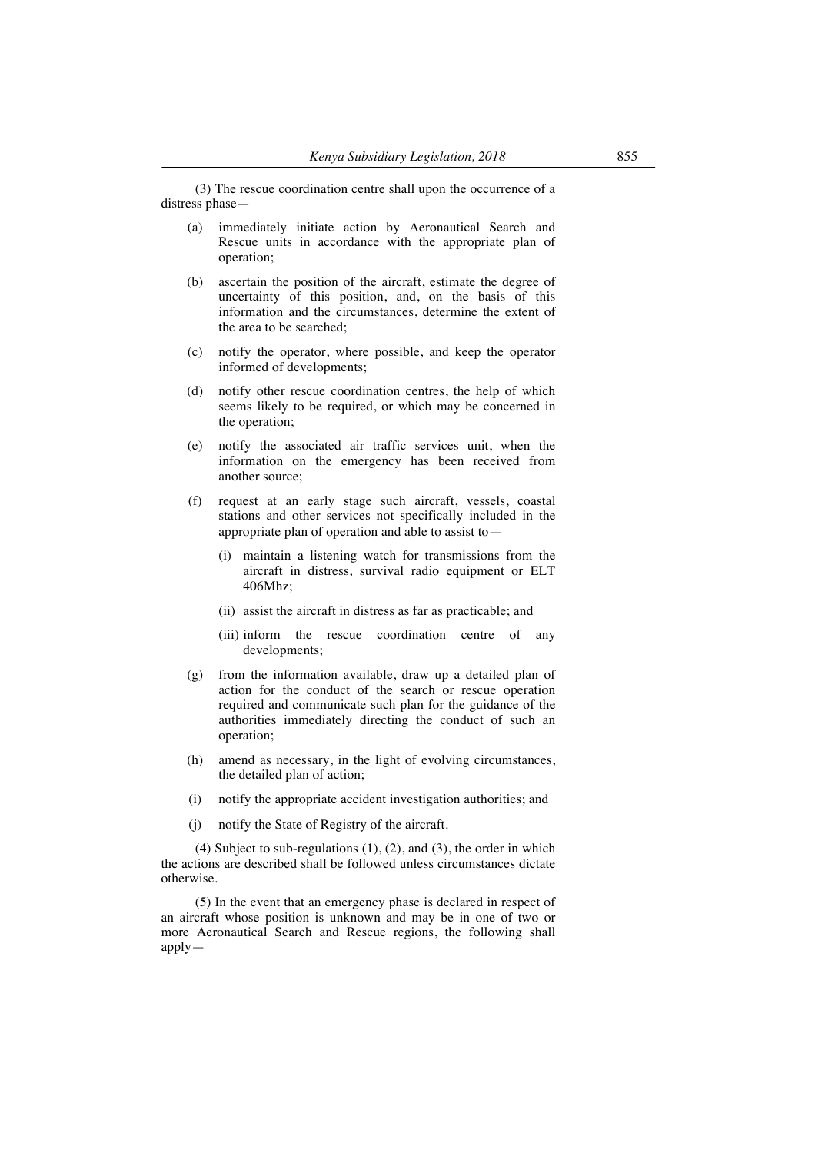(3) The rescue coordination centre shall upon the occurrence of a distress phase—

- (a) immediately initiate action by Aeronautical Search and Rescue units in accordance with the appropriate plan of operation;
- (b) ascertain the position of the aircraft, estimate the degree of uncertainty of this position, and, on the basis of this information and the circumstances, determine the extent of the area to be searched;
- (c) notify the operator, where possible, and keep the operator informed of developments;
- (d) notify other rescue coordination centres, the help of which seems likely to be required, or which may be concerned in the operation;
- (e) notify the associated air traffic services unit, when the information on the emergency has been received from another source;
- (f) request at an early stage such aircraft, vessels, coastal stations and other services not specifically included in the appropriate plan of operation and able to assist to—
	- (i) maintain a listening watch for transmissions from the aircraft in distress, survival radio equipment or ELT 406Mhz;
	- (ii) assist the aircraft in distress as far as practicable; and
	- (iii) inform the rescue coordination centre of any developments;
- (g) from the information available, draw up a detailed plan of action for the conduct of the search or rescue operation required and communicate such plan for the guidance of the authorities immediately directing the conduct of such an operation;
- (h) amend as necessary, in the light of evolving circumstances, the detailed plan of action;
- (i) notify the appropriate accident investigation authorities; and
- (j) notify the State of Registry of the aircraft.

(4) Subject to sub-regulations  $(1)$ ,  $(2)$ , and  $(3)$ , the order in which the actions are described shall be followed unless circumstances dictate otherwise.

(5) In the event that an emergency phase is declared in respect of an aircraft whose position is unknown and may be in one of two or more Aeronautical Search and Rescue regions, the following shall apply—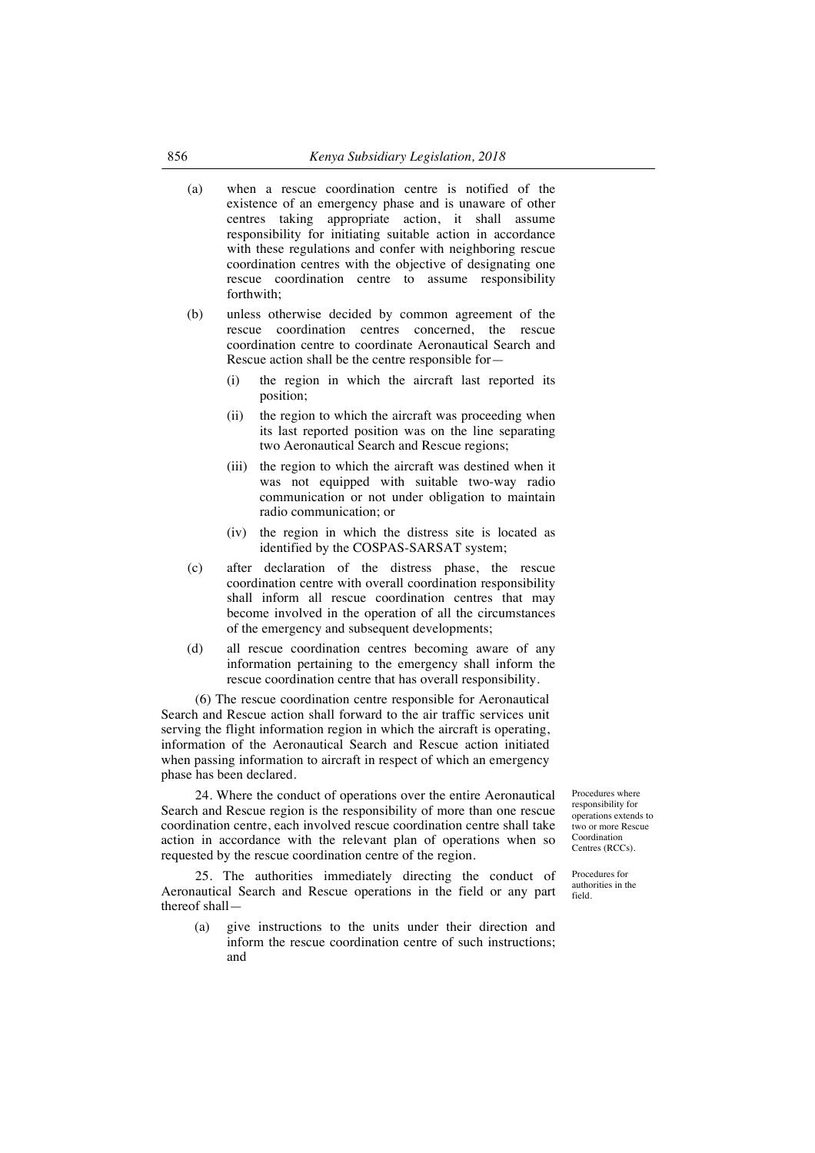- (a) when a rescue coordination centre is notified of the existence of an emergency phase and is unaware of other centres taking appropriate action, it shall assume responsibility for initiating suitable action in accordance with these regulations and confer with neighboring rescue coordination centres with the objective of designating one rescue coordination centre to assume responsibility forthwith;
- (b) unless otherwise decided by common agreement of the rescue coordination centres concerned, the rescue coordination centre to coordinate Aeronautical Search and Rescue action shall be the centre responsible for—
	- (i) the region in which the aircraft last reported its position;
	- (ii) the region to which the aircraft was proceeding when its last reported position was on the line separating two Aeronautical Search and Rescue regions;
	- (iii) the region to which the aircraft was destined when it was not equipped with suitable two-way radio communication or not under obligation to maintain radio communication; or
	- (iv) the region in which the distress site is located as identified by the COSPAS-SARSAT system;
- (c) after declaration of the distress phase, the rescue coordination centre with overall coordination responsibility shall inform all rescue coordination centres that may become involved in the operation of all the circumstances of the emergency and subsequent developments;
- (d) all rescue coordination centres becoming aware of any information pertaining to the emergency shall inform the rescue coordination centre that has overall responsibility.

(6) The rescue coordination centre responsible for Aeronautical Search and Rescue action shall forward to the air traffic services unit serving the flight information region in which the aircraft is operating, information of the Aeronautical Search and Rescue action initiated when passing information to aircraft in respect of which an emergency phase has been declared.

24. Where the conduct of operations over the entire Aeronautical Search and Rescue region is the responsibility of more than one rescue coordination centre, each involved rescue coordination centre shall take action in accordance with the relevant plan of operations when so requested by the rescue coordination centre of the region.

25. The authorities immediately directing the conduct of Aeronautical Search and Rescue operations in the field or any part thereof shall—

(a) give instructions to the units under their direction and inform the rescue coordination centre of such instructions; and

Procedures where responsibility for operations extends to two or more Rescue Coordination Centres (RCCs).

Procedures for authorities in the field.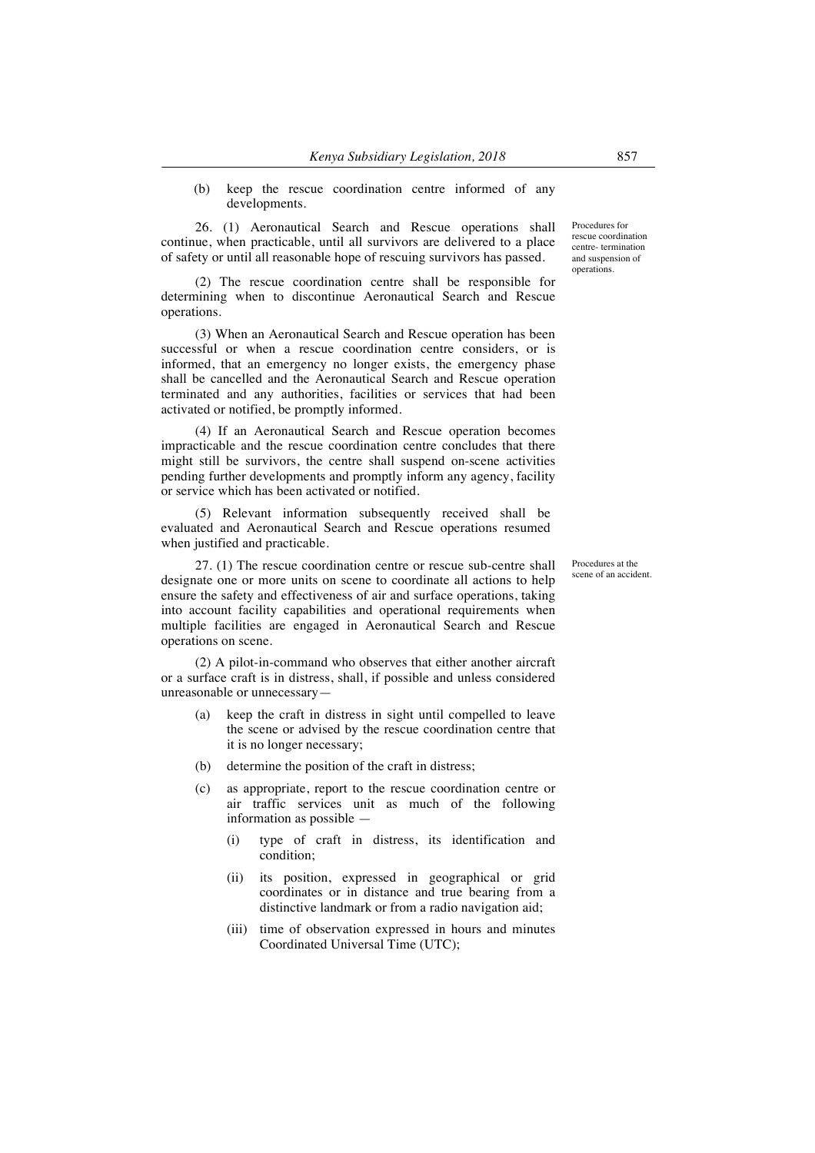(b) keep the rescue coordination centre informed of any developments.

26. (1) Aeronautical Search and Rescue operations shall continue, when practicable, until all survivors are delivered to a place of safety or until all reasonable hope of rescuing survivors has passed.

(2) The rescue coordination centre shall be responsible for determining when to discontinue Aeronautical Search and Rescue operations.

(3) When an Aeronautical Search and Rescue operation has been successful or when a rescue coordination centre considers, or is informed, that an emergency no longer exists, the emergency phase shall be cancelled and the Aeronautical Search and Rescue operation terminated and any authorities, facilities or services that had been activated or notified, be promptly informed.

(4) If an Aeronautical Search and Rescue operation becomes impracticable and the rescue coordination centre concludes that there might still be survivors, the centre shall suspend on-scene activities pending further developments and promptly inform any agency, facility or service which has been activated or notified.

(5) Relevant information subsequently received shall be evaluated and Aeronautical Search and Rescue operations resumed when justified and practicable.

27. (1) The rescue coordination centre or rescue sub-centre shall designate one or more units on scene to coordinate all actions to help ensure the safety and effectiveness of air and surface operations, taking into account facility capabilities and operational requirements when multiple facilities are engaged in Aeronautical Search and Rescue operations on scene.

(2) A pilot-in-command who observes that either another aircraft or a surface craft is in distress, shall, if possible and unless considered unreasonable or unnecessary—

- keep the craft in distress in sight until compelled to leave the scene or advised by the rescue coordination centre that it is no longer necessary;
- (b) determine the position of the craft in distress;
- (c) as appropriate, report to the rescue coordination centre or air traffic services unit as much of the following information as possible —
	- (i) type of craft in distress, its identification and condition;
	- (ii) its position, expressed in geographical or grid coordinates or in distance and true bearing from a distinctive landmark or from a radio navigation aid;
	- (iii) time of observation expressed in hours and minutes Coordinated Universal Time (UTC);

Procedures for rescue coordination centre- termination and suspension of operations.

Procedures at the scene of an accident.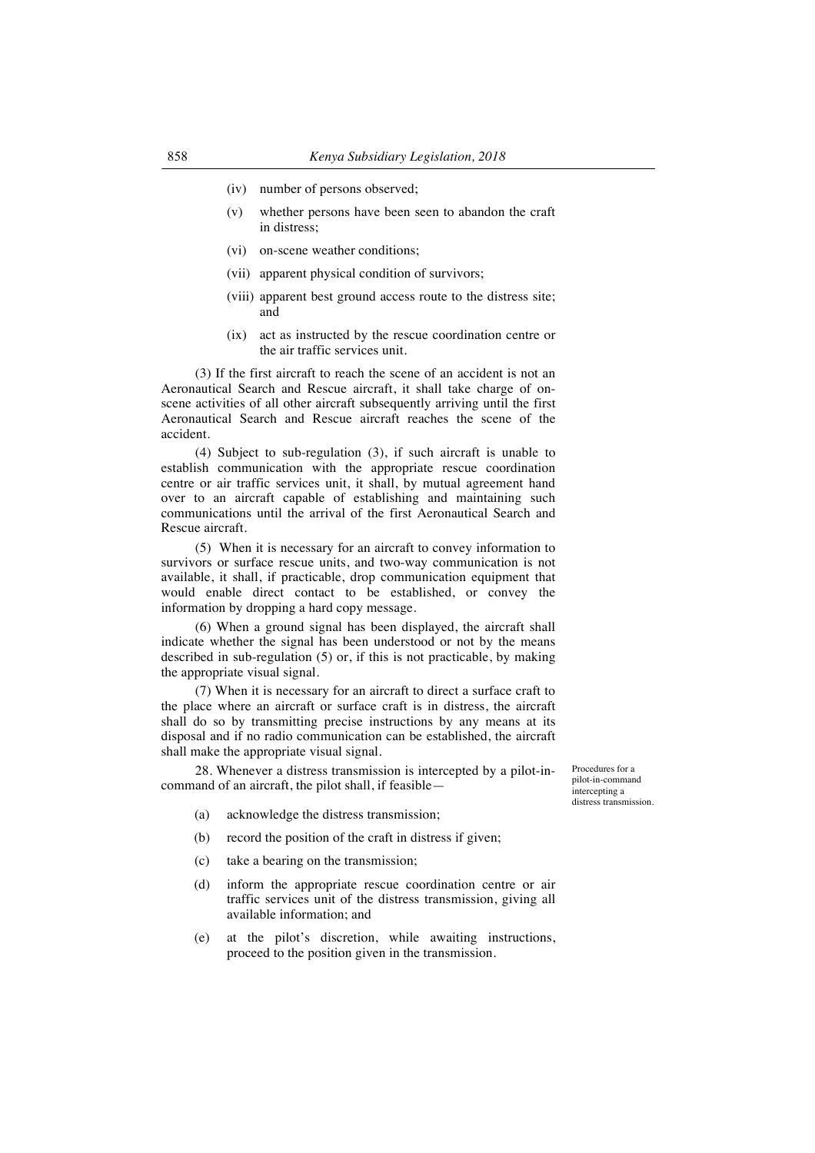- (iv) number of persons observed;
- (v) whether persons have been seen to abandon the craft in distress;
- (vi) on-scene weather conditions;
- (vii) apparent physical condition of survivors;
- (viii) apparent best ground access route to the distress site; and
- (ix) act as instructed by the rescue coordination centre or the air traffic services unit.

(3) If the first aircraft to reach the scene of an accident is not an Aeronautical Search and Rescue aircraft, it shall take charge of onscene activities of all other aircraft subsequently arriving until the first Aeronautical Search and Rescue aircraft reaches the scene of the accident.

(4) Subject to sub-regulation (3), if such aircraft is unable to establish communication with the appropriate rescue coordination centre or air traffic services unit, it shall, by mutual agreement hand over to an aircraft capable of establishing and maintaining such communications until the arrival of the first Aeronautical Search and Rescue aircraft.

(5) When it is necessary for an aircraft to convey information to survivors or surface rescue units, and two-way communication is not available, it shall, if practicable, drop communication equipment that would enable direct contact to be established, or convey the information by dropping a hard copy message.

(6) When a ground signal has been displayed, the aircraft shall indicate whether the signal has been understood or not by the means described in sub-regulation (5) or, if this is not practicable, by making the appropriate visual signal.

(7) When it is necessary for an aircraft to direct a surface craft to the place where an aircraft or surface craft is in distress, the aircraft shall do so by transmitting precise instructions by any means at its disposal and if no radio communication can be established, the aircraft shall make the appropriate visual signal.

28. Whenever a distress transmission is intercepted by a pilot-incommand of an aircraft, the pilot shall, if feasible—

- (a) acknowledge the distress transmission;
- (b) record the position of the craft in distress if given;
- (c) take a bearing on the transmission;
- (d) inform the appropriate rescue coordination centre or air traffic services unit of the distress transmission, giving all available information; and
- (e) at the pilot's discretion, while awaiting instructions, proceed to the position given in the transmission.

Procedures for a pilot-in-command intercepting a distress transmission.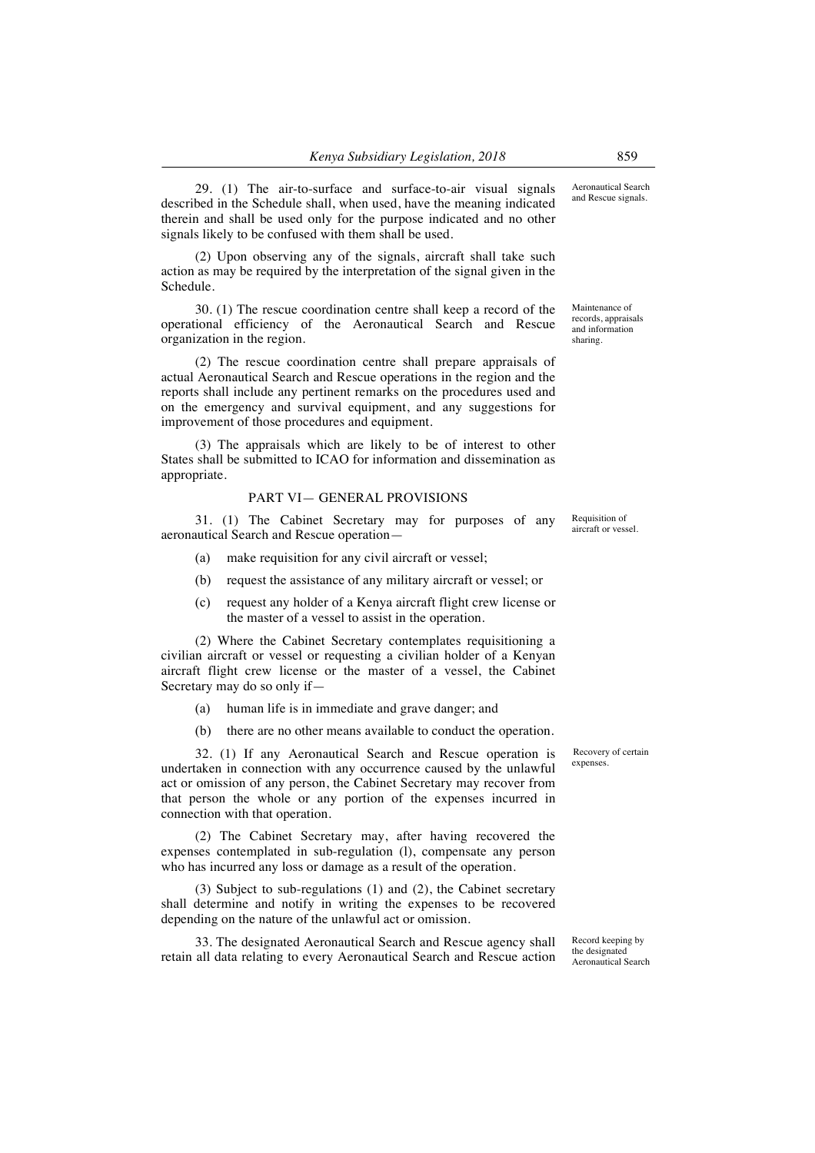29. (1) The air-to-surface and surface-to-air visual signals described in the Schedule shall, when used, have the meaning indicated therein and shall be used only for the purpose indicated and no other signals likely to be confused with them shall be used.

(2) Upon observing any of the signals, aircraft shall take such action as may be required by the interpretation of the signal given in the Schedule.

30. (1) The rescue coordination centre shall keep a record of the operational efficiency of the Aeronautical Search and Rescue organization in the region.

(2) The rescue coordination centre shall prepare appraisals of actual Aeronautical Search and Rescue operations in the region and the reports shall include any pertinent remarks on the procedures used and on the emergency and survival equipment, and any suggestions for improvement of those procedures and equipment.

(3) The appraisals which are likely to be of interest to other States shall be submitted to ICAO for information and dissemination as appropriate.

## PART VI— GENERAL PROVISIONS

31. (1) The Cabinet Secretary may for purposes of any aeronautical Search and Rescue operation—

- (a) make requisition for any civil aircraft or vessel;
- (b) request the assistance of any military aircraft or vessel; or
- (c) request any holder of a Kenya aircraft flight crew license or the master of a vessel to assist in the operation.

(2) Where the Cabinet Secretary contemplates requisitioning a civilian aircraft or vessel or requesting a civilian holder of a Kenyan aircraft flight crew license or the master of a vessel, the Cabinet Secretary may do so only if—

- (a) human life is in immediate and grave danger; and
- (b) there are no other means available to conduct the operation.

32. (1) If any Aeronautical Search and Rescue operation is undertaken in connection with any occurrence caused by the unlawful act or omission of any person, the Cabinet Secretary may recover from that person the whole or any portion of the expenses incurred in connection with that operation.

(2) The Cabinet Secretary may, after having recovered the expenses contemplated in sub-regulation (l), compensate any person who has incurred any loss or damage as a result of the operation.

(3) Subject to sub-regulations (1) and (2), the Cabinet secretary shall determine and notify in writing the expenses to be recovered depending on the nature of the unlawful act or omission.

33. The designated Aeronautical Search and Rescue agency shall retain all data relating to every Aeronautical Search and Rescue action Record keeping by the designated Aeronautical Search

Recovery of certain expenses.

Requisition of aircraft or vessel.

Aeronautical Search and Rescue signals.

Maintenance of records, appraisals and information sharing.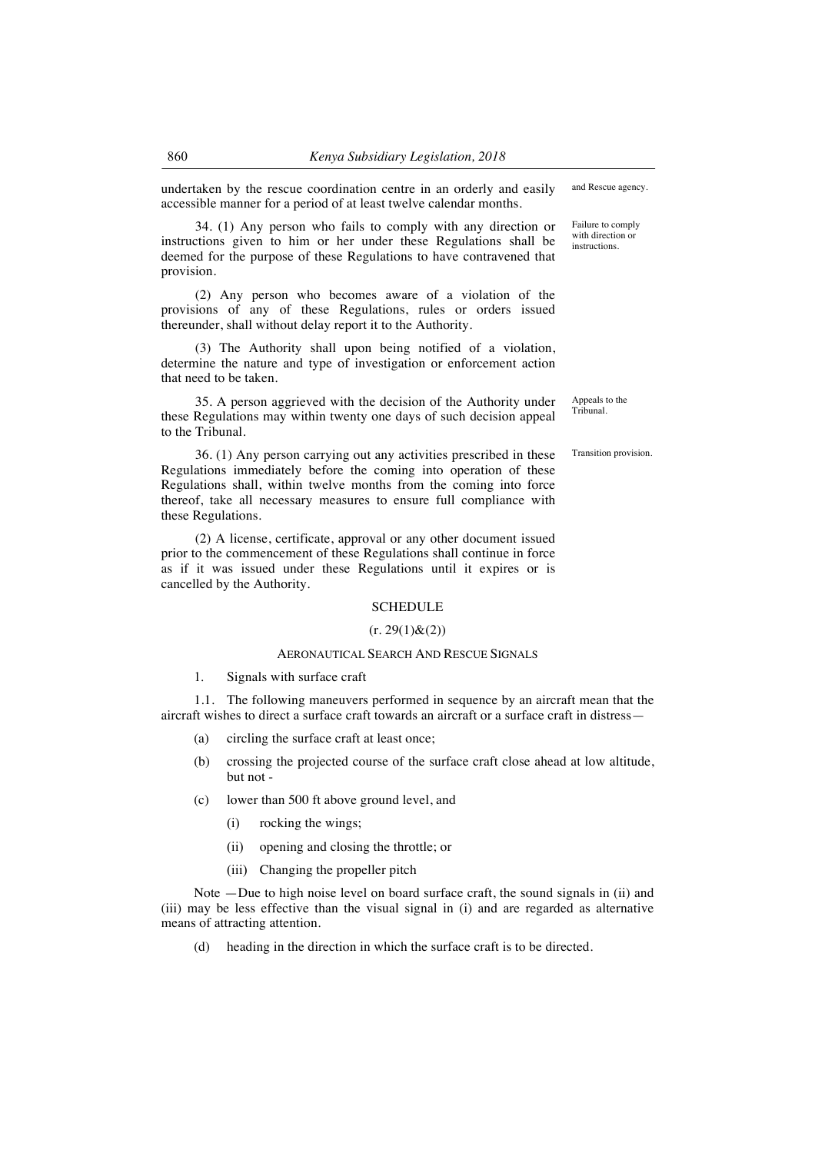undertaken by the rescue coordination centre in an orderly and easily accessible manner for a period of at least twelve calendar months.

34. (1) Any person who fails to comply with any direction or instructions given to him or her under these Regulations shall be deemed for the purpose of these Regulations to have contravened that provision.

(2) Any person who becomes aware of a violation of the provisions of any of these Regulations, rules or orders issued thereunder, shall without delay report it to the Authority.

(3) The Authority shall upon being notified of a violation, determine the nature and type of investigation or enforcement action that need to be taken.

35. A person aggrieved with the decision of the Authority under these Regulations may within twenty one days of such decision appeal to the Tribunal.

36. (1) Any person carrying out any activities prescribed in these Regulations immediately before the coming into operation of these Regulations shall, within twelve months from the coming into force thereof, take all necessary measures to ensure full compliance with these Regulations.

(2) A license, certificate, approval or any other document issued prior to the commencement of these Regulations shall continue in force as if it was issued under these Regulations until it expires or is cancelled by the Authority.

#### **SCHEDULE**

## $(r. 29(1) \& (2))$

# AERONAUTICAL SEARCH AND RESCUE SIGNALS

1. Signals with surface craft

1.1. The following maneuvers performed in sequence by an aircraft mean that the aircraft wishes to direct a surface craft towards an aircraft or a surface craft in distress—

- (a) circling the surface craft at least once;
- (b) crossing the projected course of the surface craft close ahead at low altitude, but not -
- (c) lower than 500 ft above ground level, and
	- (i) rocking the wings;
	- (ii) opening and closing the throttle; or
	- (iii) Changing the propeller pitch

Note —Due to high noise level on board surface craft, the sound signals in (ii) and (iii) may be less effective than the visual signal in (i) and are regarded as alternative means of attracting attention.

(d) heading in the direction in which the surface craft is to be directed.

and Rescue agency.

Failure to comply with direction or instructions.

Appeals to the Tribunal.

Transition provision.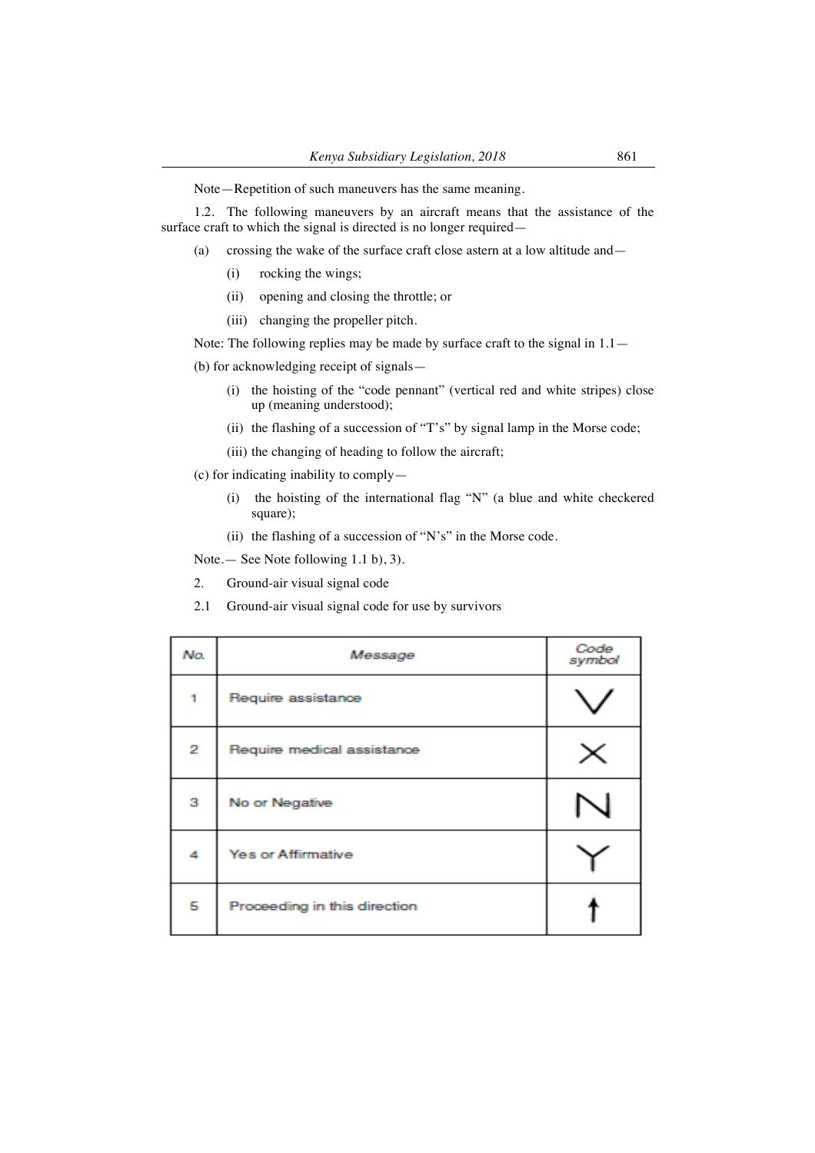Note—Repetition of such maneuvers has the same meaning.

1.2. The following maneuvers by an aircraft means that the assistance of the surface craft to which the signal is directed is no longer required—

- (a) crossing the wake of the surface craft close astern at a low altitude and—
	- (i) rocking the wings;
	- (ii) opening and closing the throttle; or
	- (iii) changing the propeller pitch.

Note: The following replies may be made by surface craft to the signal in  $1.1-$ 

(b) for acknowledging receipt of signals—

- (i) the hoisting of the "code pennant" (vertical red and white stripes) close up (meaning understood);
- (ii) the flashing of a succession of "T's" by signal lamp in the Morse code;
- (iii) the changing of heading to follow the aircraft;

(c) for indicating inability to comply—

- (i) the hoisting of the international flag "N" (a blue and white checkered square);
- (ii) the flashing of a succession of "N's" in the Morse code.

Note.— See Note following 1.1 b), 3).

- 2. Ground-air visual signal code
- 2.1 Ground-air visual signal code for use by survivors

| No. | Message                      | Code<br>symbol |
|-----|------------------------------|----------------|
|     | Require assistance           |                |
| 2   | Require medical assistance   |                |
| з   | No or Negative               |                |
| 4   | <b>Yes or Affirmative</b>    |                |
| 5   | Proceeding in this direction |                |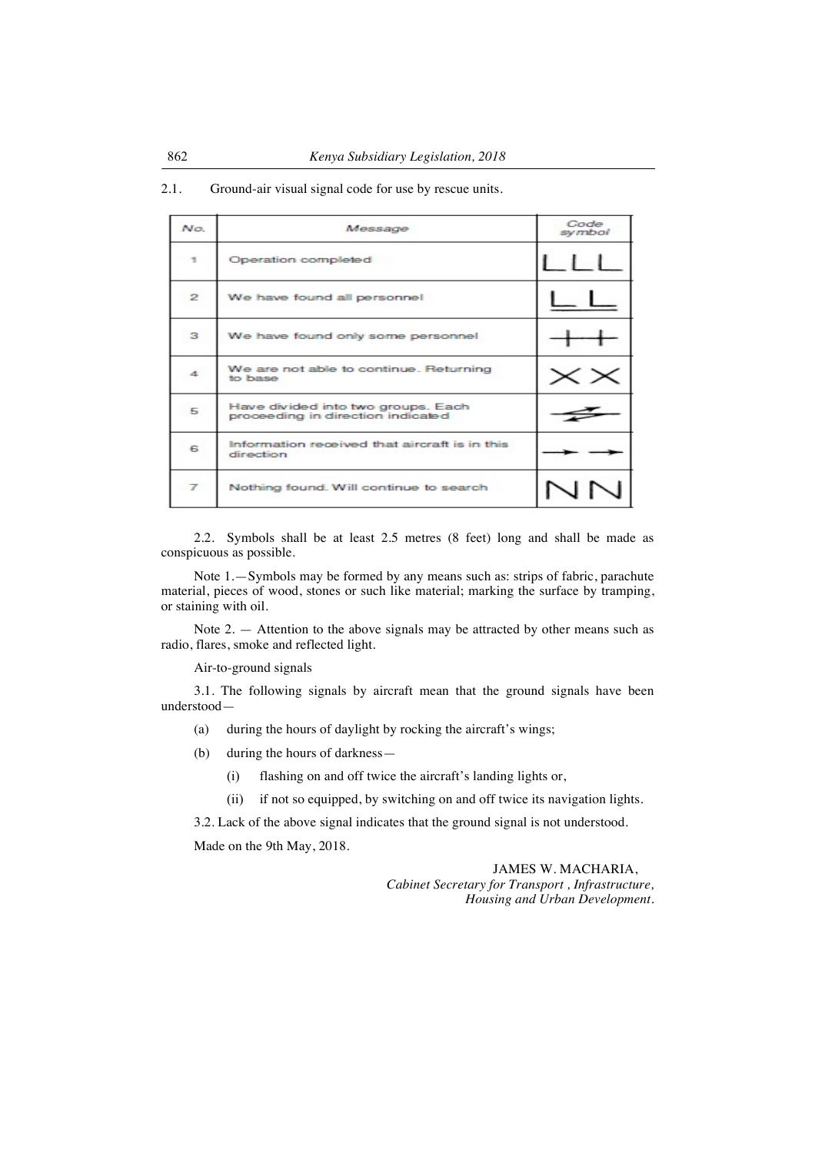| No.            | Message                                                                 | Code<br>symbol |
|----------------|-------------------------------------------------------------------------|----------------|
| $\mathcal{A}$  | Operation completed                                                     |                |
| $\mathbf{Z}$   | We have found all personnel                                             |                |
| з              | We have found only some personnel                                       |                |
| 4              | We are not able to continue. Returning<br>to base                       |                |
| 5              | Have divided into two groups. Each<br>proceeding in direction indicated |                |
| 6              | Information received that aircraft is in this<br>direction              |                |
| $\overline{f}$ | Nothing found. Will continue to search                                  |                |

2.1. Ground-air visual signal code for use by rescue units.

2.2. Symbols shall be at least 2.5 metres (8 feet) long and shall be made as conspicuous as possible.

Note 1.—Symbols may be formed by any means such as: strips of fabric, parachute material, pieces of wood, stones or such like material; marking the surface by tramping, or staining with oil.

Note 2. — Attention to the above signals may be attracted by other means such as radio, flares, smoke and reflected light.

Air-to-ground signals

3.1. The following signals by aircraft mean that the ground signals have been understood—

- (a) during the hours of daylight by rocking the aircraft's wings;
- (b) during the hours of darkness—
	- (i) flashing on and off twice the aircraft's landing lights or,
	- (ii) if not so equipped, by switching on and off twice its navigation lights.

3.2. Lack of the above signal indicates that the ground signal is not understood.

Made on the 9th May, 2018.

JAMES W. MACHARIA, *Cabinet Secretary for Transport , Infrastructure, Housing and Urban Development.*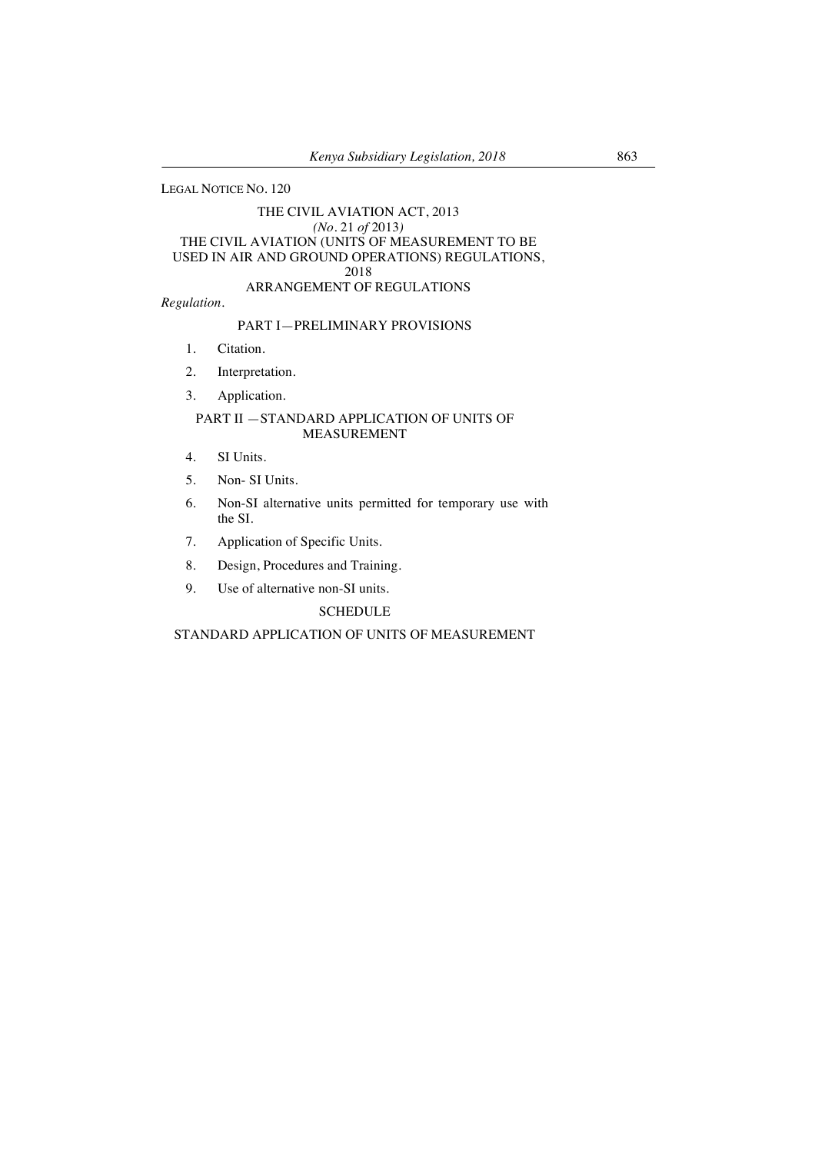LEGAL NOTICE NO. 120

## THE CIVIL AVIATION ACT, 2013 *(No.* 21 *of* 2013*)* THE CIVIL AVIATION (UNITS OF MEASUREMENT TO BE USED IN AIR AND GROUND OPERATIONS) REGULATIONS, 2018 ARRANGEMENT OF REGULATIONS

*Regulation.*

# PART I—PRELIMINARY PROVISIONS

- 1. Citation.
- 2. Interpretation.
- 3. Application.

## PART II —STANDARD APPLICATION OF UNITS OF MEASUREMENT

- 4. SI Units.
- 5. Non- SI Units.
- 6. Non-SI alternative units permitted for temporary use with the SI.
- 7. Application of Specific Units.
- 8. Design, Procedures and Training.
- 9. Use of alternative non-SI units.

## **SCHEDULE**

## STANDARD APPLICATION OF UNITS OF MEASUREMENT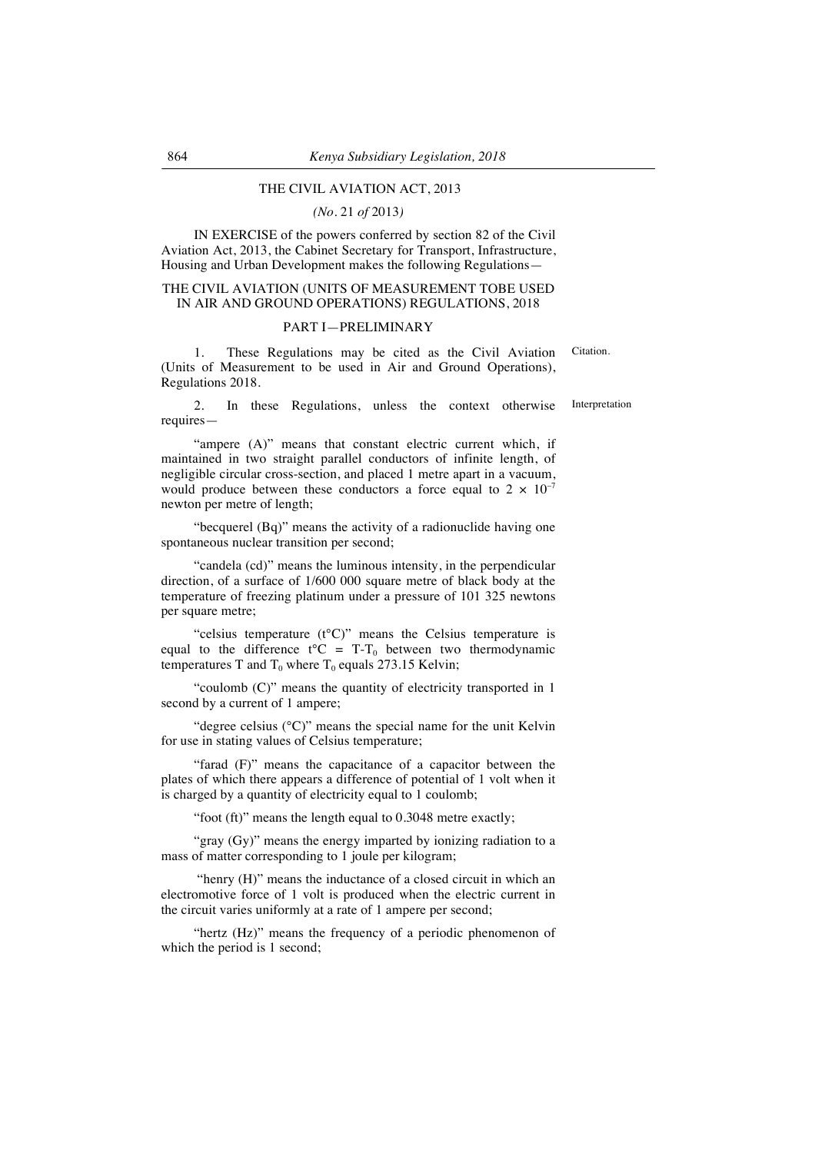# THE CIVIL AVIATION ACT, 2013

#### *(No.* 21 *of* 2013*)*

IN EXERCISE of the powers conferred by section 82 of the Civil Aviation Act, 2013, the Cabinet Secretary for Transport, Infrastructure, Housing and Urban Development makes the following Regulations—

## THE CIVIL AVIATION (UNITS OF MEASUREMENT TOBE USED IN AIR AND GROUND OPERATIONS) REGULATIONS, 2018

#### PART I—PRELIMINARY

1. These Regulations may be cited as the Civil Aviation (Units of Measurement to be used in Air and Ground Operations), Regulations 2018. Citation.

2. In these Regulations, unless the context otherwise requires—

"ampere (A)" means that constant electric current which, if maintained in two straight parallel conductors of infinite length, of negligible circular cross-section, and placed 1 metre apart in a vacuum, would produce between these conductors a force equal to  $2 \times 10^{-7}$ newton per metre of length;

"becquerel (Bq)" means the activity of a radionuclide having one spontaneous nuclear transition per second;

"candela (cd)" means the luminous intensity, in the perpendicular direction, of a surface of 1/600 000 square metre of black body at the temperature of freezing platinum under a pressure of 101 325 newtons per square metre;

"celsius temperature (t°C)" means the Celsius temperature is equal to the difference  $t^{\circ}C = T-T_0$  between two thermodynamic temperatures T and  $T_0$  where  $T_0$  equals 273.15 Kelvin;

"coulomb (C)" means the quantity of electricity transported in 1 second by a current of 1 ampere;

"degree celsius (°C)" means the special name for the unit Kelvin for use in stating values of Celsius temperature;

"farad (F)" means the capacitance of a capacitor between the plates of which there appears a difference of potential of 1 volt when it is charged by a quantity of electricity equal to 1 coulomb;

"foot (ft)" means the length equal to 0.3048 metre exactly;

"gray (Gy)" means the energy imparted by ionizing radiation to a mass of matter corresponding to 1 joule per kilogram;

"henry (H)" means the inductance of a closed circuit in which an electromotive force of 1 volt is produced when the electric current in the circuit varies uniformly at a rate of 1 ampere per second;

"hertz (Hz)" means the frequency of a periodic phenomenon of which the period is 1 second;

Interpretation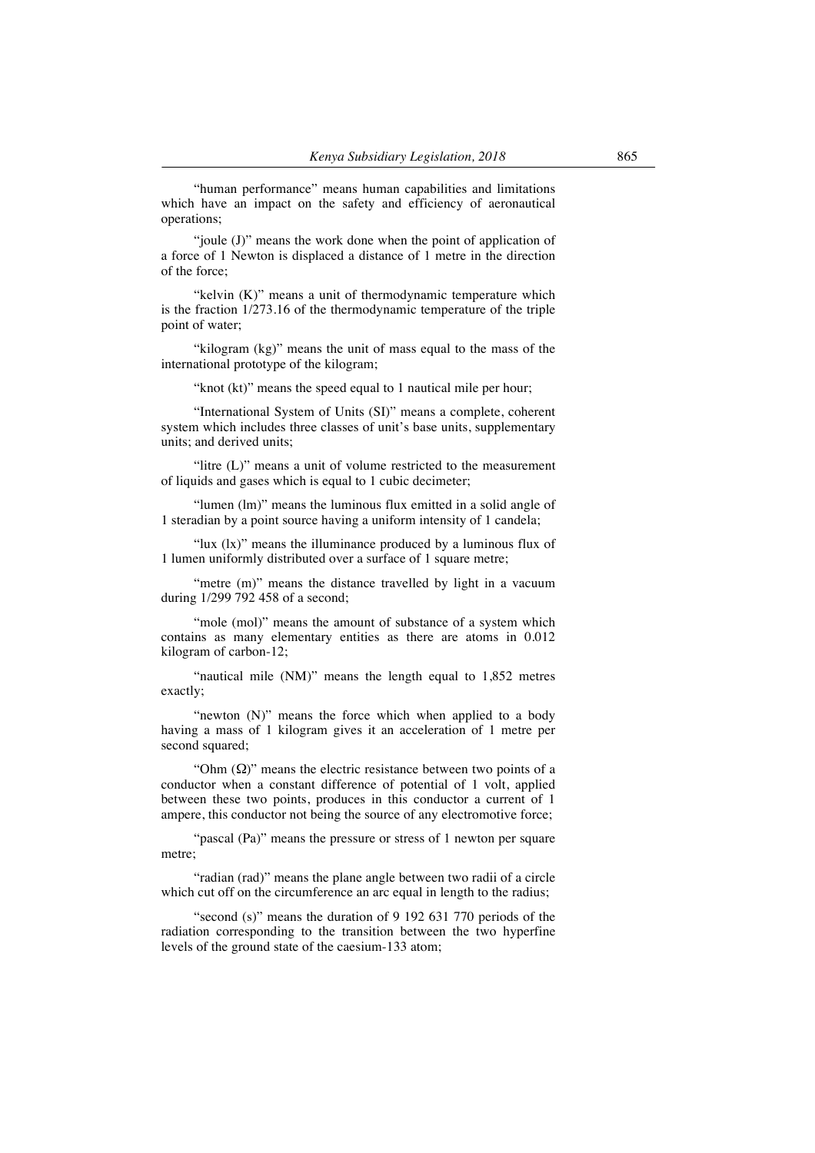"human performance" means human capabilities and limitations which have an impact on the safety and efficiency of aeronautical operations;

"joule (J)" means the work done when the point of application of a force of 1 Newton is displaced a distance of 1 metre in the direction of the force;

"kelvin (K)" means a unit of thermodynamic temperature which is the fraction 1/273.16 of the thermodynamic temperature of the triple point of water;

"kilogram (kg)" means the unit of mass equal to the mass of the international prototype of the kilogram;

"knot (kt)" means the speed equal to 1 nautical mile per hour;

"International System of Units (SI)" means a complete, coherent system which includes three classes of unit's base units, supplementary units; and derived units;

"litre (L)" means a unit of volume restricted to the measurement of liquids and gases which is equal to 1 cubic decimeter;

"lumen (lm)" means the luminous flux emitted in a solid angle of 1 steradian by a point source having a uniform intensity of 1 candela;

"lux (lx)" means the illuminance produced by a luminous flux of 1 lumen uniformly distributed over a surface of 1 square metre;

"metre (m)" means the distance travelled by light in a vacuum during 1/299 792 458 of a second;

"mole (mol)" means the amount of substance of a system which contains as many elementary entities as there are atoms in 0.012 kilogram of carbon-12;

"nautical mile (NM)" means the length equal to 1,852 metres exactly;

"newton (N)" means the force which when applied to a body having a mass of 1 kilogram gives it an acceleration of 1 metre per second squared;

"Ohm  $(\Omega)$ " means the electric resistance between two points of a conductor when a constant difference of potential of 1 volt, applied between these two points, produces in this conductor a current of 1 ampere, this conductor not being the source of any electromotive force;

"pascal (Pa)" means the pressure or stress of 1 newton per square metre;

"radian (rad)" means the plane angle between two radii of a circle which cut off on the circumference an arc equal in length to the radius;

"second (s)" means the duration of 9 192 631 770 periods of the radiation corresponding to the transition between the two hyperfine levels of the ground state of the caesium-133 atom;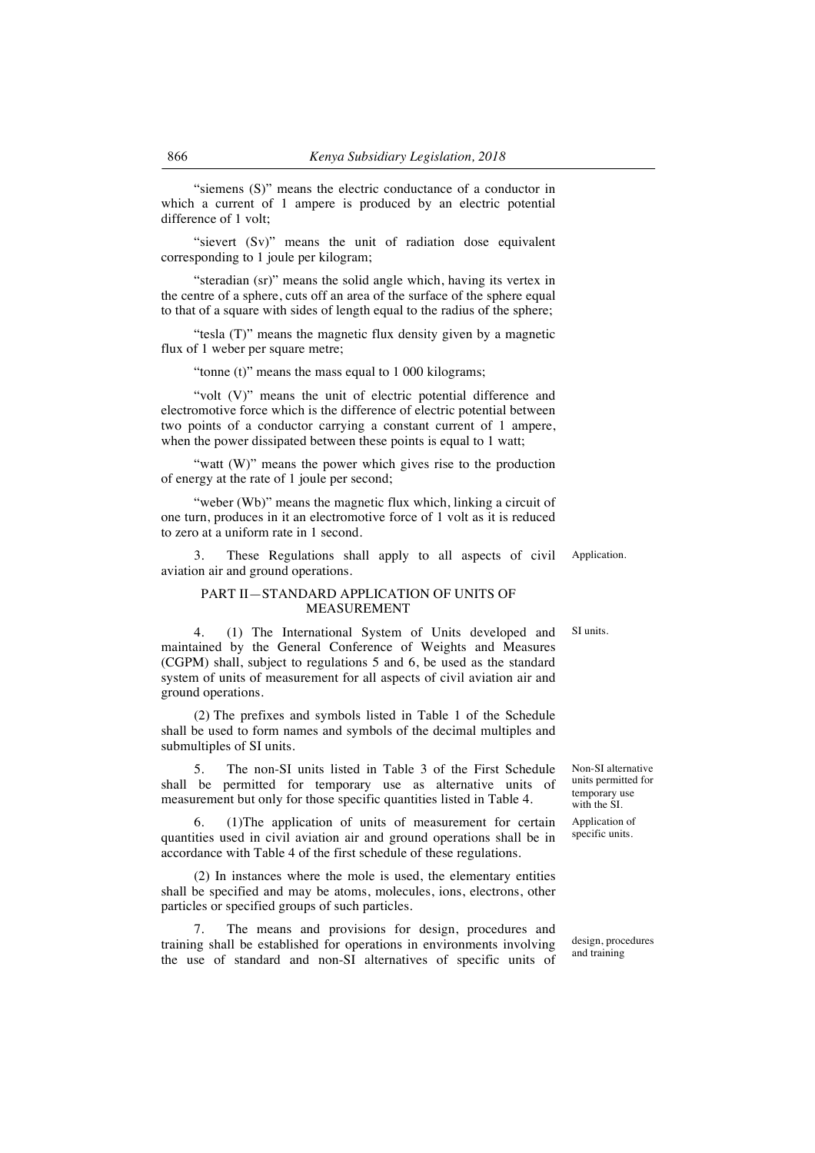"siemens (S)" means the electric conductance of a conductor in which a current of 1 ampere is produced by an electric potential difference of 1 volt;

"sievert (Sv)" means the unit of radiation dose equivalent corresponding to 1 joule per kilogram;

"steradian (sr)" means the solid angle which, having its vertex in the centre of a sphere, cuts off an area of the surface of the sphere equal to that of a square with sides of length equal to the radius of the sphere;

"tesla (T)" means the magnetic flux density given by a magnetic flux of 1 weber per square metre;

"tonne (t)" means the mass equal to 1 000 kilograms;

"volt (V)" means the unit of electric potential difference and electromotive force which is the difference of electric potential between two points of a conductor carrying a constant current of 1 ampere, when the power dissipated between these points is equal to 1 watt;

"watt (W)" means the power which gives rise to the production of energy at the rate of 1 joule per second;

"weber (Wb)" means the magnetic flux which, linking a circuit of one turn, produces in it an electromotive force of 1 volt as it is reduced to zero at a uniform rate in 1 second.

3. These Regulations shall apply to all aspects of civil aviation air and ground operations.

## PART II—STANDARD APPLICATION OF UNITS OF MEASUREMENT

SI units.

4. (1) The International System of Units developed and maintained by the General Conference of Weights and Measures (CGPM) shall, subject to regulations 5 and 6, be used as the standard system of units of measurement for all aspects of civil aviation air and ground operations.

(2) The prefixes and symbols listed in Table 1 of the Schedule shall be used to form names and symbols of the decimal multiples and submultiples of SI units.

5. The non-SI units listed in Table 3 of the First Schedule shall be permitted for temporary use as alternative units of measurement but only for those specific quantities listed in Table 4.

6. (1)The application of units of measurement for certain quantities used in civil aviation air and ground operations shall be in accordance with Table 4 of the first schedule of these regulations.

(2) In instances where the mole is used, the elementary entities shall be specified and may be atoms, molecules, ions, electrons, other particles or specified groups of such particles.

The means and provisions for design, procedures and training shall be established for operations in environments involving the use of standard and non-SI alternatives of specific units of

design, procedures and training

Non-SI alternative units permitted for temporary use with the SI.

Application of specific units.

Application.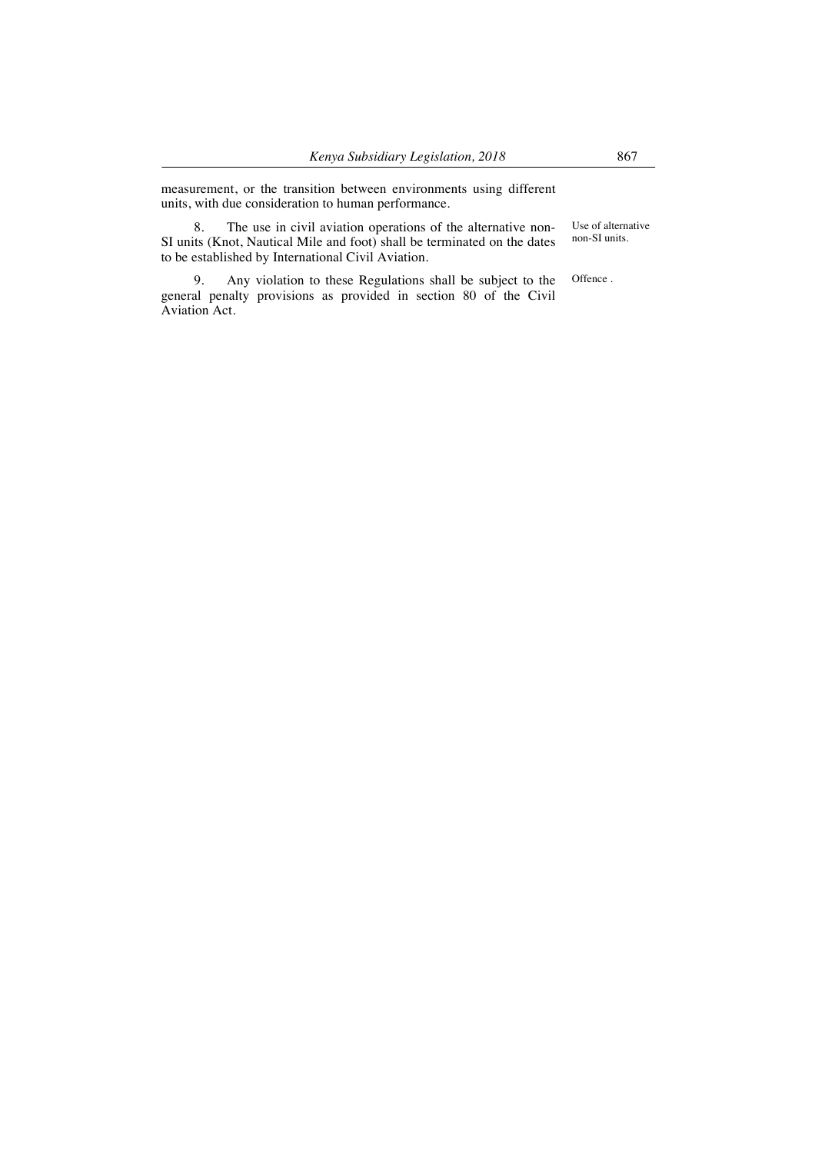measurement, or the transition between environments using different units, with due consideration to human performance.

8. The use in civil aviation operations of the alternative non-SI units (Knot, Nautical Mile and foot) shall be terminated on the dates to be established by International Civil Aviation.

Use of alternative non-SI units.

9. Any violation to these Regulations shall be subject to the general penalty provisions as provided in section 80 of the Civil Aviation Act. Offence .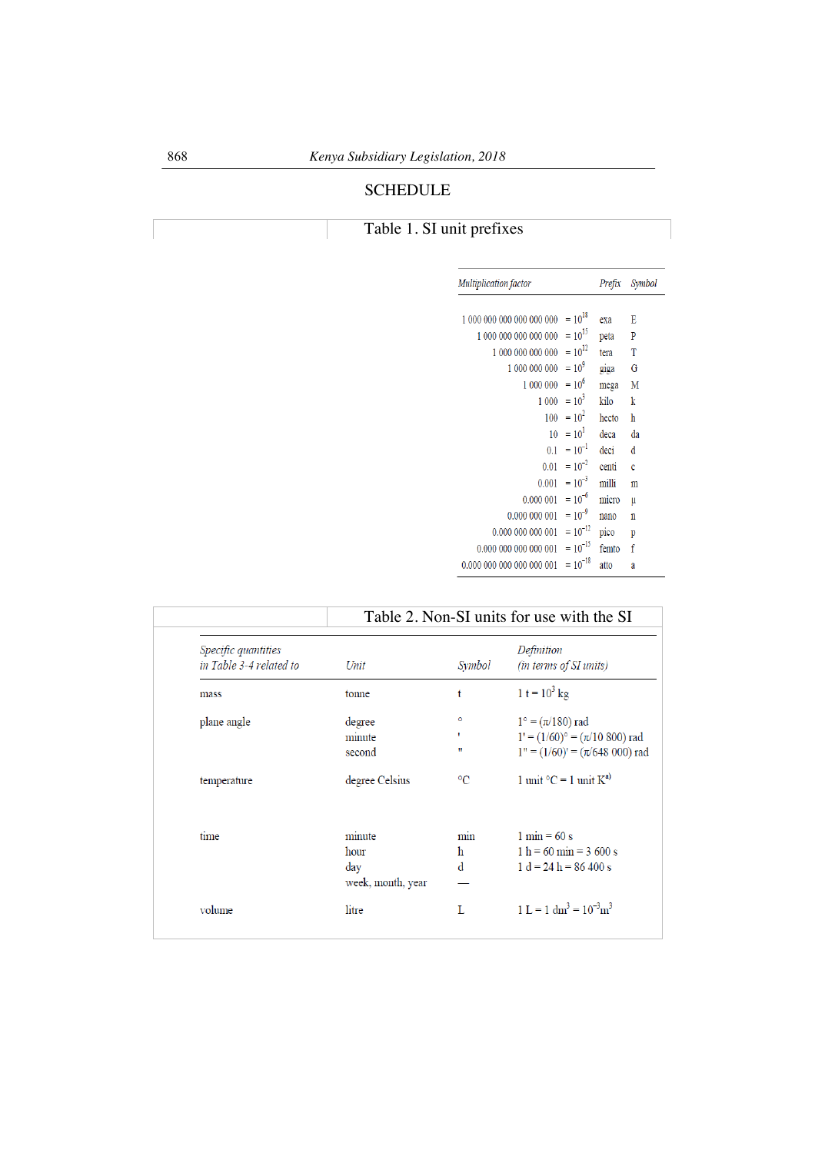# SCHEDULE

# Table 1. SI unit prefixes

|              | Prefix                                                                                                                                                                                                                                                                                                                                                | Symbol |
|--------------|-------------------------------------------------------------------------------------------------------------------------------------------------------------------------------------------------------------------------------------------------------------------------------------------------------------------------------------------------------|--------|
|              |                                                                                                                                                                                                                                                                                                                                                       |        |
|              |                                                                                                                                                                                                                                                                                                                                                       | E      |
|              | peta                                                                                                                                                                                                                                                                                                                                                  | P      |
|              | tera                                                                                                                                                                                                                                                                                                                                                  | T      |
|              | giga                                                                                                                                                                                                                                                                                                                                                  | G      |
|              | mega                                                                                                                                                                                                                                                                                                                                                  | М      |
|              | kilo                                                                                                                                                                                                                                                                                                                                                  | k      |
|              | hecto                                                                                                                                                                                                                                                                                                                                                 | ħ      |
|              | deca                                                                                                                                                                                                                                                                                                                                                  | da     |
|              | deci                                                                                                                                                                                                                                                                                                                                                  | đ      |
|              | centi                                                                                                                                                                                                                                                                                                                                                 | Ć      |
|              | milli                                                                                                                                                                                                                                                                                                                                                 | m      |
|              | micro                                                                                                                                                                                                                                                                                                                                                 | μ      |
|              | nano                                                                                                                                                                                                                                                                                                                                                  | n      |
|              | pico                                                                                                                                                                                                                                                                                                                                                  | p      |
|              | femto                                                                                                                                                                                                                                                                                                                                                 | f      |
| $= 10^{-18}$ | atto                                                                                                                                                                                                                                                                                                                                                  | a      |
|              | $= 10^{18}$<br>$1000000000000000 = 10^{15}$<br>$1000000000000 = 10^{12}$<br>$1000000000 = 109$<br>$1\ 000\ 000 = 10^6$<br>$1\ 000 = 10^3$<br>$100 = 10^2$<br>$10 = 10^1$<br>$0.1 = 10^{-1}$<br>$0.01 = 10^{-2}$<br>$0.001 = 10^{-3}$<br>$0.000001 = 10^{-6}$<br>$0.000\ 000\ 001 = 10^{-9}$<br>$= 10^{-12}$<br>$0.000\ 000\ 000\ 000\ 001 = 10^{-15}$ | exa    |

|                                                       | Table 2. Non-SI units for use with the SI |                 |                                             |
|-------------------------------------------------------|-------------------------------------------|-----------------|---------------------------------------------|
| <i>Specific quantities</i><br>in Table 3-4 related to | Unit                                      | Symbol          | Definition<br><i>(in terms of SI units)</i> |
| mass                                                  | tonne                                     | t               | 1 t = $10^3$ kg                             |
| plane angle                                           | degree                                    | ۰               | $1^{\circ} = (\pi/180)$ rad                 |
|                                                       | minute                                    |                 | $1' = (1/60)$ ° = ( $\pi$ /10 800) rad      |
|                                                       | second                                    | Ħ               | $1" = (1/60)' = (\pi/648\ 000)$ rad         |
| temperature                                           | degree Celsius                            | $\rm ^{\circ}C$ | 1 unit $^{\circ}C = 1$ unit $K^{a}$         |
| time                                                  | minute                                    | min             | $1 \text{ min} = 60 \text{ s}$              |
|                                                       | hour                                      | h               | $1 h = 60 min = 3,600 s$                    |
|                                                       | day                                       | d               | $1 d = 24 h = 86 400 s$                     |
|                                                       | week, month, year                         |                 |                                             |
| volume                                                | litre                                     | L               | $1 L = 1 dm3 = 10-3 m3$                     |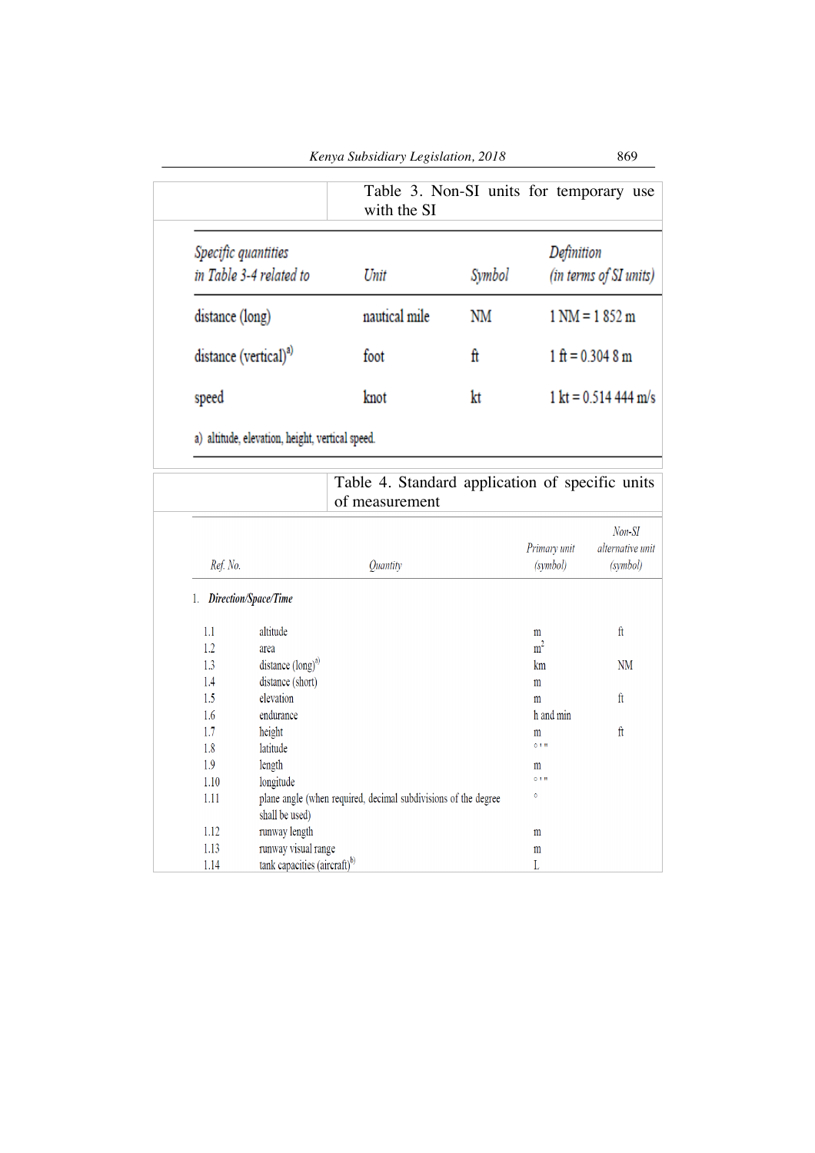|                                                 | Kenya Subsidiary Legislation, 2018 |        | 869                                     |
|-------------------------------------------------|------------------------------------|--------|-----------------------------------------|
|                                                 | with the SI                        |        | Table 3. Non-SI units for temporary use |
| Specific quantities<br>in Table 3-4 related to  | Unit                               | Symbol | Definition<br>(in terms of SI units)    |
| distance (long)                                 | nautical mile                      | NM     | $1 \text{ NM} = 1852 \text{ m}$         |
| distance (vertical) <sup>a)</sup>               | foot                               | ft     | $1 \text{ ft} = 0.3048 \text{ m}$       |
| speed                                           | knot                               | kt     | $1 \text{ kt} = 0.514444 \text{ m/s}$   |
| a) altitude, elevation, height, vertical speed. |                                    |        |                                         |

Table 4. Standard application of specific units of measurement

| Ref. No. | Quantity                                                       | Primary unit<br>(symbol) | Non-SI<br>alternative unit<br>(symbol) |
|----------|----------------------------------------------------------------|--------------------------|----------------------------------------|
| 1.       | Direction/Space/Time                                           |                          |                                        |
| 1.1      | altitude                                                       | m                        | $\rm{ft}$                              |
| 1.2      | area                                                           | m <sup>2</sup>           |                                        |
| 1.3      | distance $(long)^a$                                            | km                       | <b>NM</b>                              |
| 1.4      | distance (short)                                               | m                        |                                        |
| 1.5      | elevation                                                      | m                        | $_{\rm ft}$                            |
| 1.6      | endurance                                                      | h and min                |                                        |
| 1.7      | height                                                         | m                        | ft                                     |
| 1.8      | latitude                                                       | $0 + H$                  |                                        |
| 1.9      | length                                                         | m                        |                                        |
| 1.10     | longitude                                                      | $0 + H$                  |                                        |
| 1.11     | plane angle (when required, decimal subdivisions of the degree | $\circ$                  |                                        |
|          | shall be used)                                                 |                          |                                        |
| 1.12     | runway length                                                  | m                        |                                        |
| 1.13     | runway visual range                                            | m                        |                                        |
| 1.14     | tank capacities (aircraft) <sup>b)</sup>                       | L                        |                                        |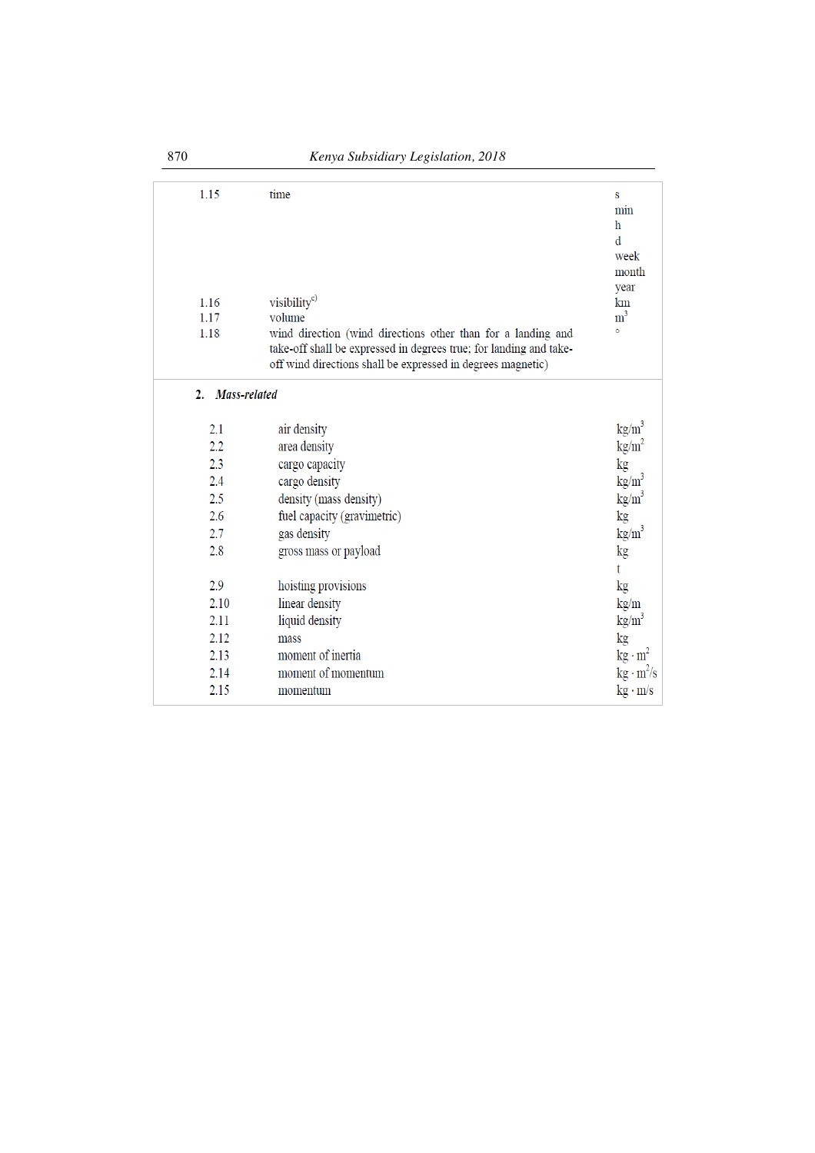| 1.15               | time                                                                                                                                                                                              | S<br>min<br>h<br>d<br>week<br>month<br>year |
|--------------------|---------------------------------------------------------------------------------------------------------------------------------------------------------------------------------------------------|---------------------------------------------|
| 1.16               | visibility <sup>c)</sup>                                                                                                                                                                          | km                                          |
| 1.17               | volume                                                                                                                                                                                            | m <sup>3</sup><br>ō                         |
| 1.18               | wind direction (wind directions other than for a landing and<br>take-off shall be expressed in degrees true; for landing and take-<br>off wind directions shall be expressed in degrees magnetic) |                                             |
| Mass-related<br>2. |                                                                                                                                                                                                   |                                             |
| 2.1                | air density                                                                                                                                                                                       | $\text{kg/m}^3$                             |
| 2.2                | area density                                                                                                                                                                                      | $\text{kg/m}^2$                             |
| 2.3                | cargo capacity                                                                                                                                                                                    | kg                                          |
| 2.4                | cargo density                                                                                                                                                                                     | $\text{kg/m}^3$                             |
| 2.5                |                                                                                                                                                                                                   | kg/m <sup>3</sup>                           |
| 2.6                | density (mass density)                                                                                                                                                                            |                                             |
| 2.7                | fuel capacity (gravimetric)                                                                                                                                                                       | kg                                          |
|                    | gas density                                                                                                                                                                                       | kg/m <sup>3</sup>                           |
| 2.8                | gross mass or payload                                                                                                                                                                             | kg<br>$\mathbf{t}$                          |
| 2.9                | hoisting provisions                                                                                                                                                                               | kg                                          |
| 2.10               | linear density                                                                                                                                                                                    | kg/m                                        |
| 2.11               | liquid density                                                                                                                                                                                    | kg/m <sup>3</sup>                           |
| 2.12               | mass                                                                                                                                                                                              | kg                                          |
| 2.13               | moment of inertia                                                                                                                                                                                 | $\text{kg} \cdot \text{m}^2$                |
| 2.14               | moment of momentum                                                                                                                                                                                | $\text{kg} \cdot \text{m}^2/\text{s}$       |
| 2.15               | momentum                                                                                                                                                                                          | $kg \cdot m/s$                              |
|                    |                                                                                                                                                                                                   |                                             |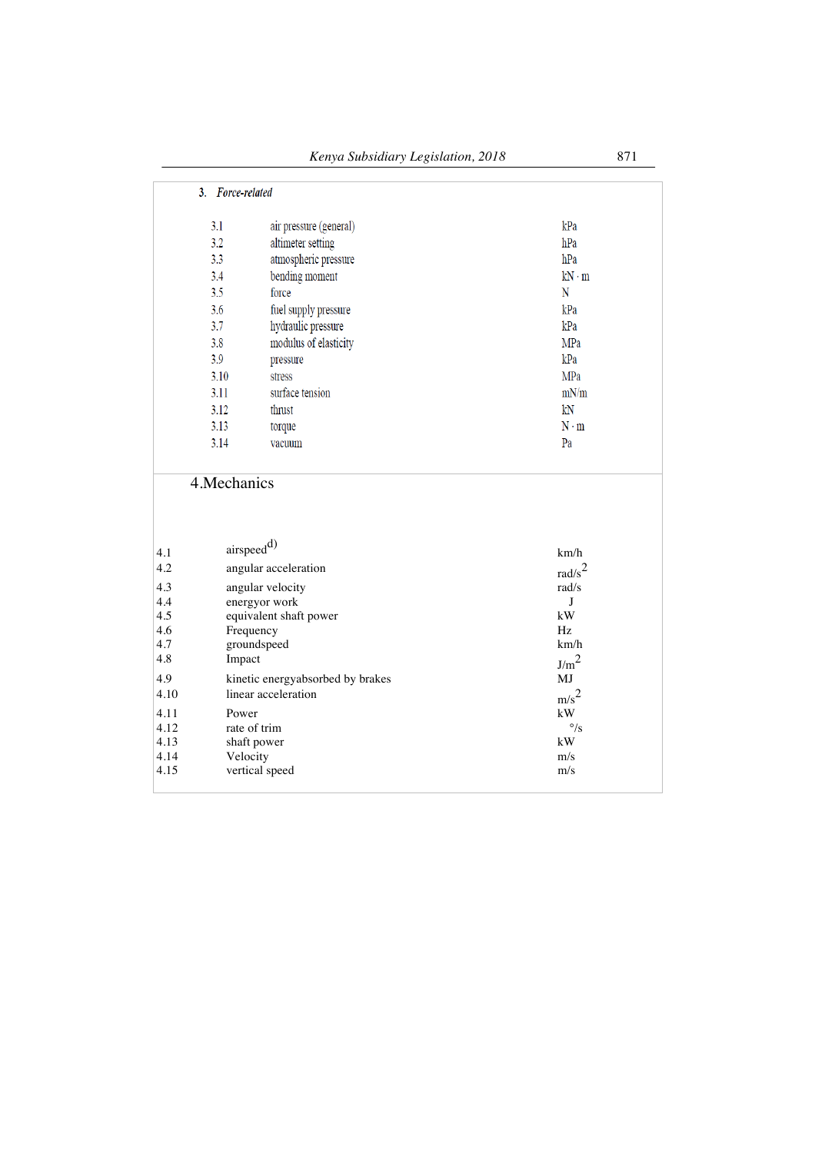|              | 3. Force-related                 |                             |                    |
|--------------|----------------------------------|-----------------------------|--------------------|
|              | 3.1                              | air pressure (general)      | kPa                |
|              | 3.2                              | altimeter setting           | hPa                |
|              | 3.3                              | atmospheric pressure        | hPa                |
|              | 3.4                              | bending moment              | $kN \cdot m$       |
|              | 3.5                              | force                       | ${\bf N}$          |
|              | 3.6                              | fuel supply pressure        | kPa                |
|              | 3.7                              | hydraulic pressure          | kPa                |
|              | 3.8                              | modulus of elasticity       | MPa                |
|              | 3.9                              | pressure                    | kPa                |
|              | 3.10                             | stress                      | MPa                |
|              | 3.11                             | surface tension             | mN/m               |
|              | 3.12                             | thrust                      | kN                 |
|              | 3.13                             | torque                      | $N \cdot m$        |
|              | 3.14                             | vacuum                      | Pa                 |
|              | 4. Mechanics                     |                             |                    |
| 4.1          | $\text{airspeed}^{d)}$           |                             | km/h               |
| 4.2          |                                  | angular acceleration        | rad/ $s^2$         |
| 4.3          |                                  | angular velocity            | rad/s              |
| 4.4          |                                  | energyor work               | J                  |
| 4.5          |                                  | equivalent shaft power      | kW                 |
| 4.6          | Frequency                        |                             | Hz                 |
| 4.7          |                                  | groundspeed                 | km/h               |
| 4.8          | Impact                           |                             | J/m <sup>2</sup>   |
| 4.9          | kinetic energyabsorbed by brakes |                             | MJ                 |
| 4.10         | linear acceleration              |                             | m/s <sup>2</sup>   |
| 4.11         | Power                            |                             | kW<br>$\degree$ /s |
| 4.12<br>4.13 |                                  | rate of trim<br>shaft power | kW                 |
| 4.14         | Velocity                         |                             | m/s                |
| 4.15         |                                  | vertical speed              | m/s                |
|              |                                  |                             |                    |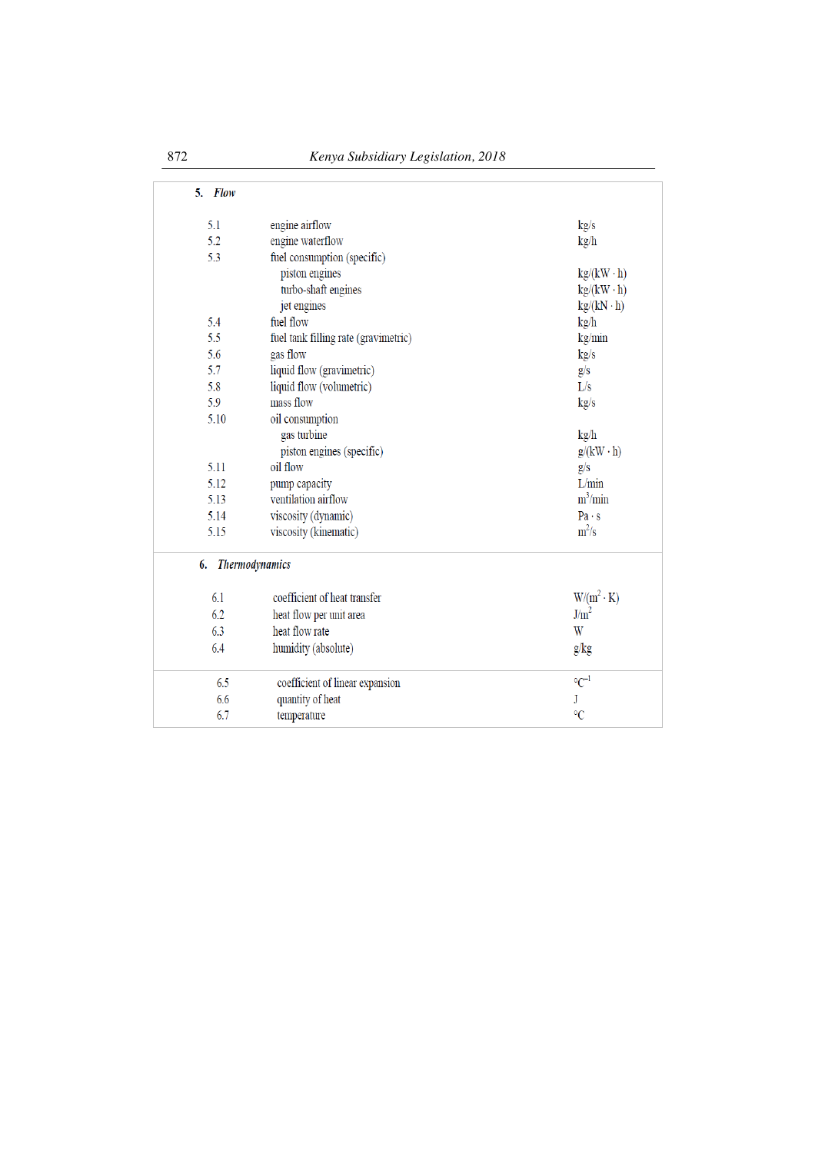| 5.<br>Flow |                                      |                   |
|------------|--------------------------------------|-------------------|
| 5.1        | engine airflow                       | kg/s              |
| 5.2        | engine waterflow                     | kg/h              |
| 5.3        | fuel consumption (specific)          |                   |
|            | piston engines                       | $kg/(kW \cdot h)$ |
|            | turbo-shaft engines                  | $kg/(kW \cdot h)$ |
|            | jet engines                          | $kg/(kN \cdot h)$ |
| 5.4        | fuel flow                            | kg/h              |
| 5.5        | fuel tank filling rate (gravimetric) | kg/min            |
| 5.6        | gas flow                             | kg/s              |
| 5.7        | liquid flow (gravimetric)            | g/s               |
| 5.8        | liquid flow (volumetric)             | L/s               |
| 5.9        | mass flow                            | kg/s              |
| 5.10       | oil consumption                      |                   |
|            | gas turbine                          | kg/h              |
|            | piston engines (specific)            | $g/(kW \cdot h)$  |
| 5.11       | oil flow                             | g/s               |
| 5.12       | pump capacity                        | L/min             |
| 5.13       | ventilation airflow                  | $m^3/min$         |
| 5.14       | viscosity (dynamic)                  | Pa·s              |
| 5.15       | viscosity (kinematic)                | $m^2/s$           |
| 6.         | <b>Thermodynamics</b>                |                   |
| 6.1        | coefficient of heat transfer         | $W/(m^2 \cdot K)$ |
| 6.2        | heat flow per unit area              | J/m <sup>2</sup>  |
| 6.3        | heat flow rate                       | W                 |
| 6.4        | humidity (absolute)                  | g/kg              |
| 6.5        | coefficient of linear expansion      | $\mathrm{C}^{-1}$ |
| 6.6        | quantity of heat                     | J                 |
| 6.7        | temperature                          | $\rm ^{\circ}C$   |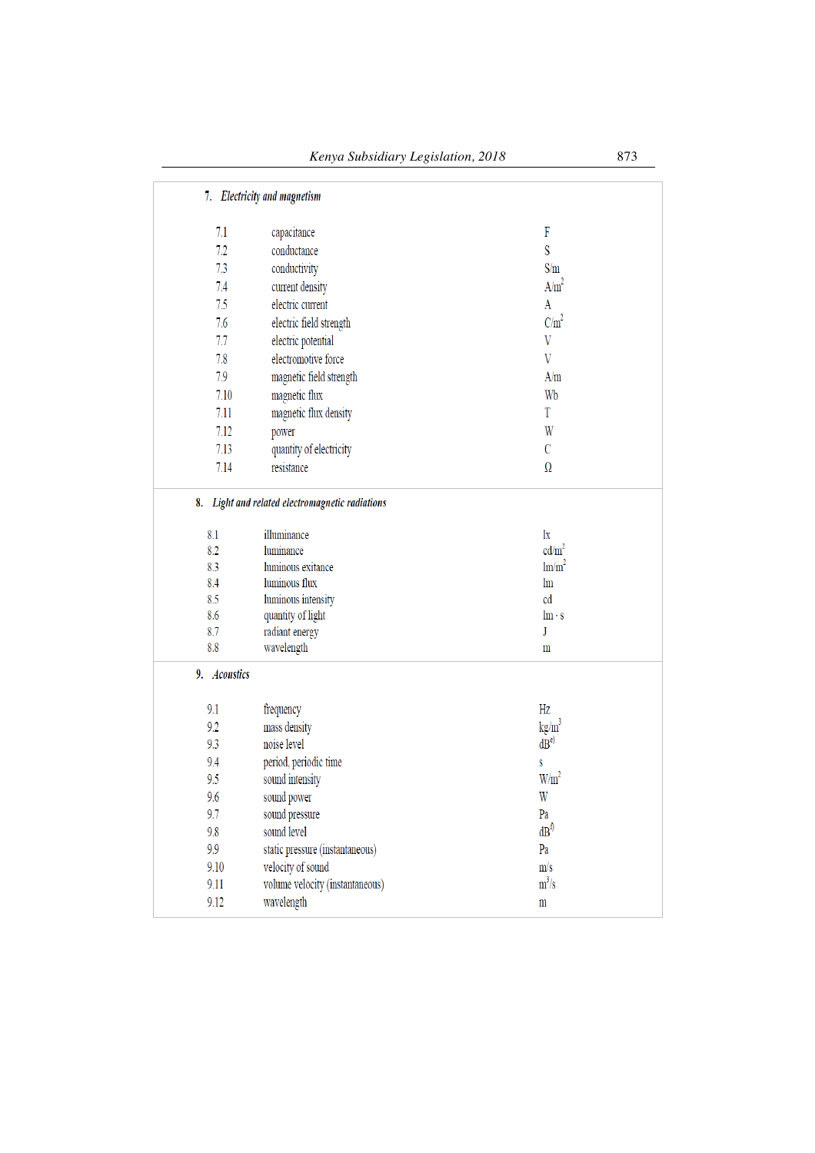|              | 7. Electricity and magnetism                    |                         |
|--------------|-------------------------------------------------|-------------------------|
| 7.1          | capacitance                                     | F                       |
| 7.2          | conductance                                     | S                       |
| 7.3          | conductivity                                    | S/m                     |
| 7.4          | current density                                 | A/m <sup>2</sup>        |
| 7.5          | electric current                                | A                       |
| 7.6          |                                                 | $C/m^2$                 |
| 7.7          | electric field strength                         | $\ensuremath{\text{V}}$ |
|              | electric potential<br>electromotive force       | $\overline{V}$          |
| 7.8          |                                                 |                         |
| 7.9          | magnetic field strength                         | A/m                     |
| 7.10         | magnetic flux                                   | Wb                      |
| 7.11         | magnetic flux density                           | T                       |
| 7.12         | power                                           | W                       |
| 7.13         | quantity of electricity                         | $\mathcal{C}$           |
| 7.14         | resistance                                      | Ω                       |
|              | 8. Light and related electromagnetic radiations |                         |
| 8.1          | illuminance                                     | $\lg$                   |
| 8.2          | luminance                                       | cd/m <sup>2</sup>       |
| 8.3          | luminous exitance                               | $\text{Im/m}^2$         |
| 8.4          | luminous flux                                   | $\ln$                   |
| 8.5          | luminous intensity                              | cd                      |
| 8.6          | quantity of light                               | $\ln \cdot s$           |
| 8.7          | radiant energy                                  | J                       |
| 8.8          | wavelength                                      | m                       |
| 9. Acoustics |                                                 |                         |
| 9.1          | frequency                                       | Hz                      |
| 9.2          | mass density                                    | $\text{kg/m}^3$         |
| 9.3          | noise level                                     | dB <sub>e</sub>         |
| 9.4          | period, periodic time                           | S                       |
| 9.5          | sound intensity                                 | W/m <sup>2</sup>        |
| 9.6          | sound power                                     | W                       |
| 9.7          | sound pressure                                  | Pa                      |
| 9.8          | sound level                                     | dB <sup>f</sup>         |
| 9.9          | static pressure (instantaneous)                 | Pa                      |
| 9.10         | velocity of sound                               | m/s                     |
| 9.11         | volume velocity (instantaneous)                 | $m^3/s$                 |
| 9.12         | wavelength                                      | $\mathbf m$             |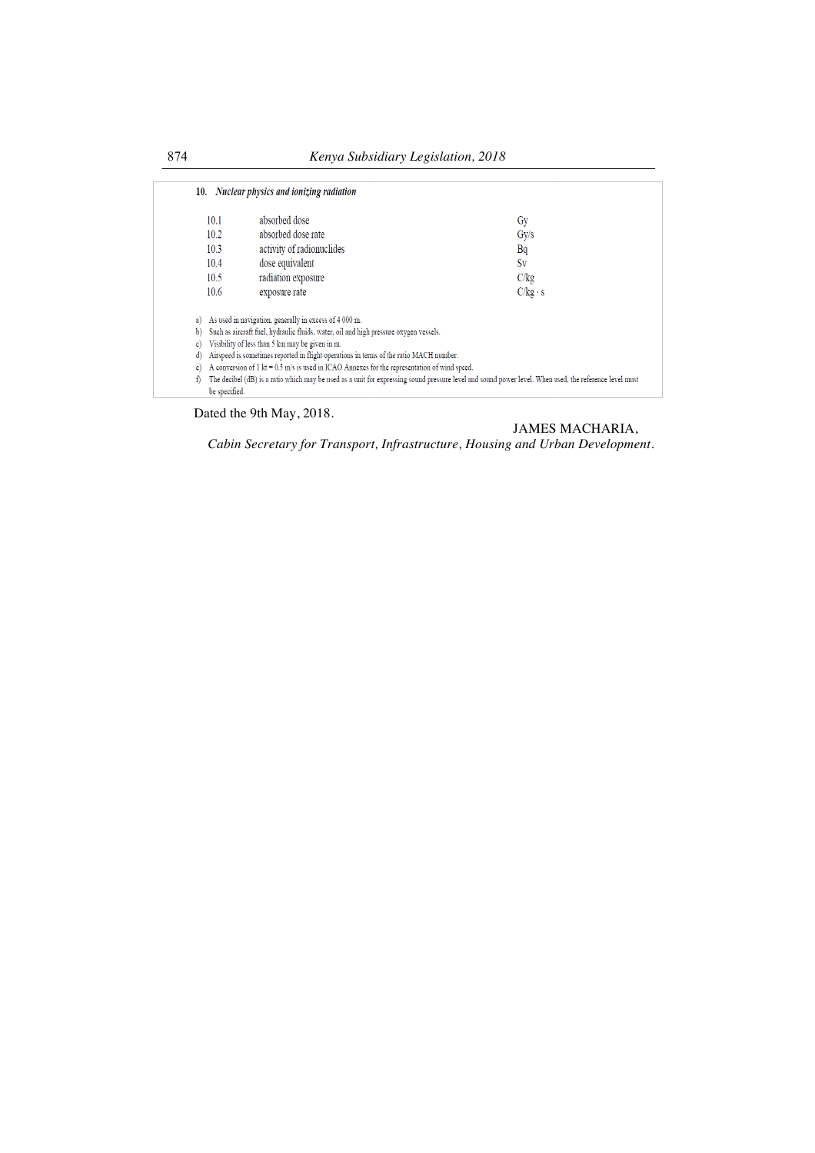|     | 10.1          | absorbed dose                                                                                                  | Gy                                                                                                                                                     |
|-----|---------------|----------------------------------------------------------------------------------------------------------------|--------------------------------------------------------------------------------------------------------------------------------------------------------|
|     | 10.2          | absorbed dose rate                                                                                             | $\rm Gy/s$                                                                                                                                             |
|     | 10.3          | activity of radionuclides                                                                                      | Bq                                                                                                                                                     |
|     | 10.4          | dose equivalent                                                                                                | Sv                                                                                                                                                     |
|     | 10.5          | radiation exposure                                                                                             | C/kg                                                                                                                                                   |
|     | 10.6          | exposure rate                                                                                                  | $C/kg \cdot s$                                                                                                                                         |
| a)  |               | As used in navigation, generally in excess of 4 000 m.                                                         |                                                                                                                                                        |
| b)  |               | Such as aircraft fuel, hydraulic fluids, water, oil and high pressure oxygen vessels.                          |                                                                                                                                                        |
| c l |               | Visibility of less than 5 km may be given in m.                                                                |                                                                                                                                                        |
| d)  |               | Airspeed is sometimes reported in flight operations in terms of the ratio MACH number.                         |                                                                                                                                                        |
| e)  |               | A conversion of $1 \text{ kt} = 0.5 \text{ m/s}$ is used in ICAO Annexes for the representation of wind speed. |                                                                                                                                                        |
| f)  |               |                                                                                                                | The decibel (dB) is a ratio which may be used as a unit for expressing sound pressure level and sound power level. When used, the reference level must |
|     | be specified. |                                                                                                                |                                                                                                                                                        |

Dated the 9th May, 2018.

# JAMES MACHARIA,

*Cabin Secretary for Transport, Infrastructure, Housing and Urban Development.*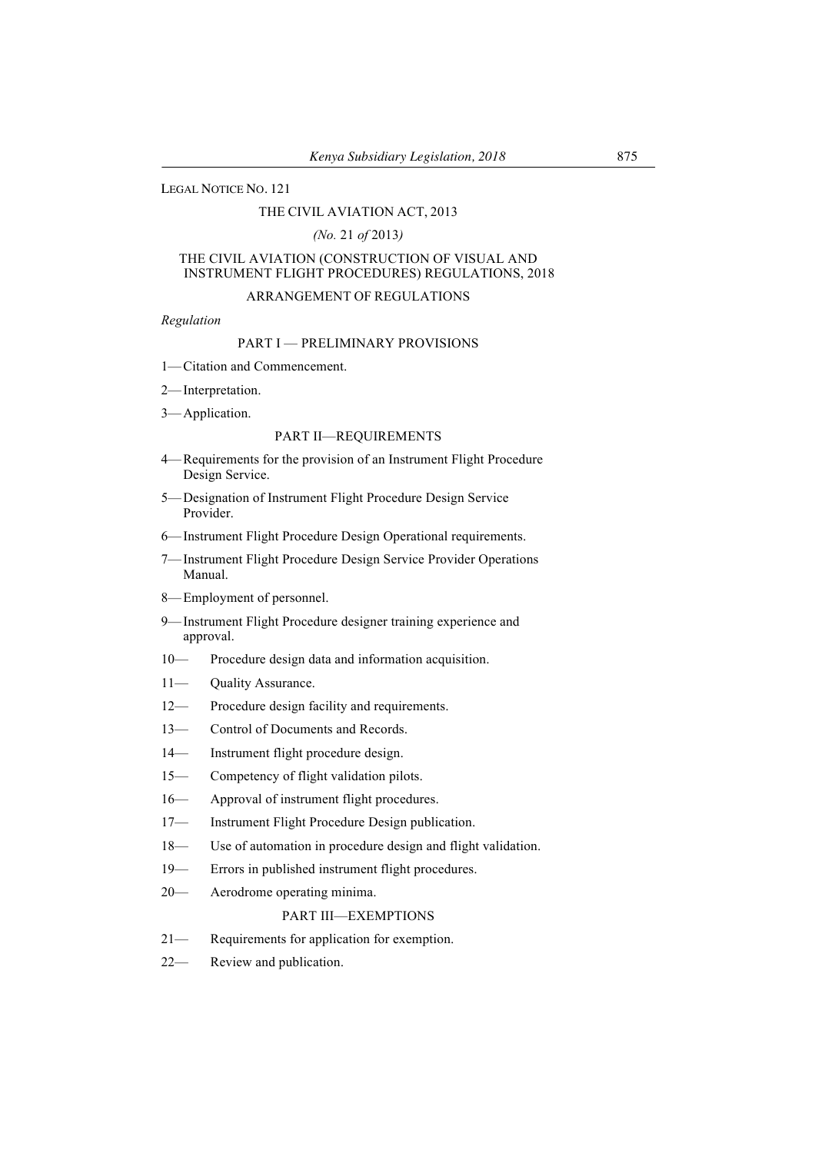## LEGAL NOTICE NO. 121

## THE CIVIL AVIATION ACT, 2013

# *(No.* 21 *of* 2013*)*

## THE CIVIL AVIATION (CONSTRUCTION OF VISUAL AND INSTRUMENT FLIGHT PROCEDURES) REGULATIONS, 2018

## ARRANGEMENT OF REGULATIONS

#### *Regulation*

# PART I — PRELIMINARY PROVISIONS

- 1—Citation and Commencement.
- 2—Interpretation.
- 3—Application.

## PART II—REQUIREMENTS

- 4—Requirements for the provision of an Instrument Flight Procedure Design Service.
- 5—Designation of Instrument Flight Procedure Design Service Provider.
- 6—Instrument Flight Procedure Design Operational requirements.
- 7—Instrument Flight Procedure Design Service Provider Operations Manual.
- 8—Employment of personnel.
- 9—Instrument Flight Procedure designer training experience and approval.
- 10— Procedure design data and information acquisition.
- 11— Ouality Assurance.
- 12— Procedure design facility and requirements.
- 13— Control of Documents and Records.
- 14— Instrument flight procedure design.
- 15— Competency of flight validation pilots.
- 16— Approval of instrument flight procedures.
- 17— Instrument Flight Procedure Design publication.
- 18— Use of automation in procedure design and flight validation.
- 19— Errors in published instrument flight procedures.
- 20— Aerodrome operating minima.

#### PART III—EXEMPTIONS

- 21— Requirements for application for exemption.
- 22— Review and publication.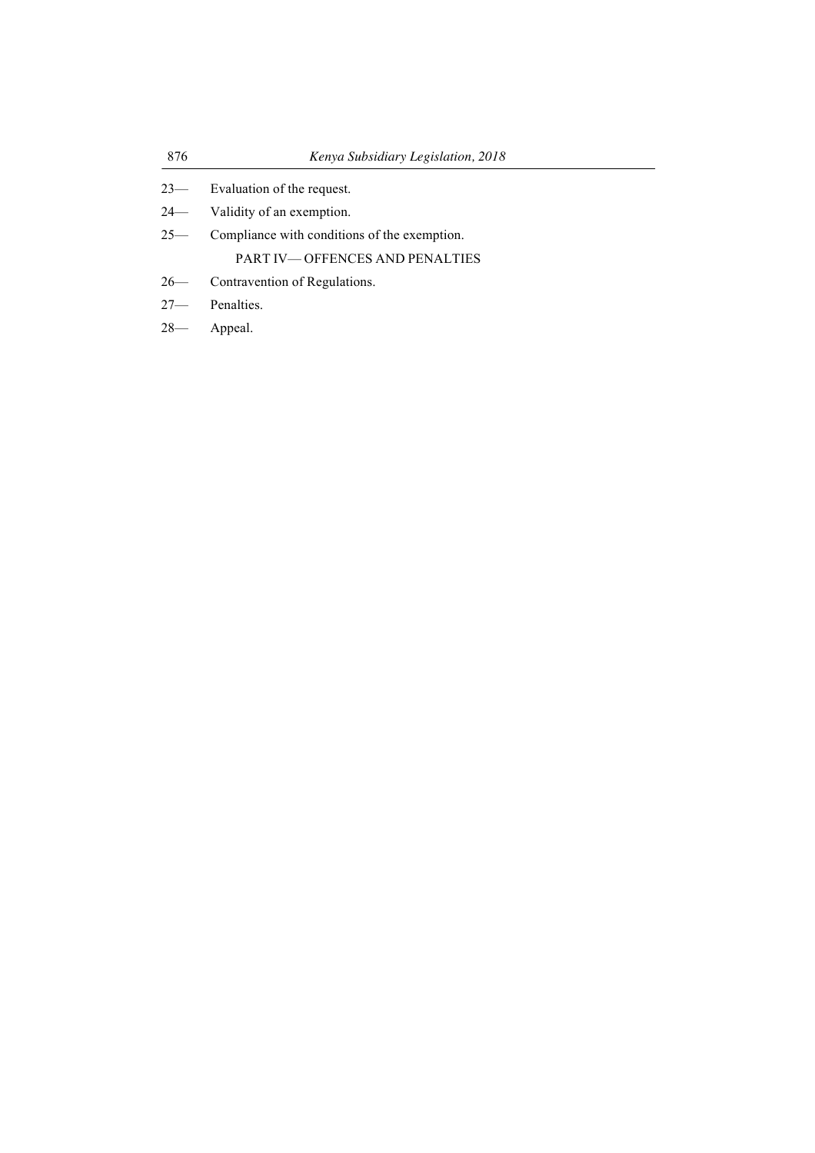| 876    | Kenya Subsidiary Legislation, 2018           |  |
|--------|----------------------------------------------|--|
|        | 23— Evaluation of the request.               |  |
|        | 24— Validity of an exemption.                |  |
| $25 -$ | Compliance with conditions of the exemption. |  |
|        | <b>PART IV—OFFENCES AND PENALTIES</b>        |  |
|        | 26— Contravention of Regulations.            |  |
|        | $27$ Penalties.                              |  |
|        | 28— Appeal.                                  |  |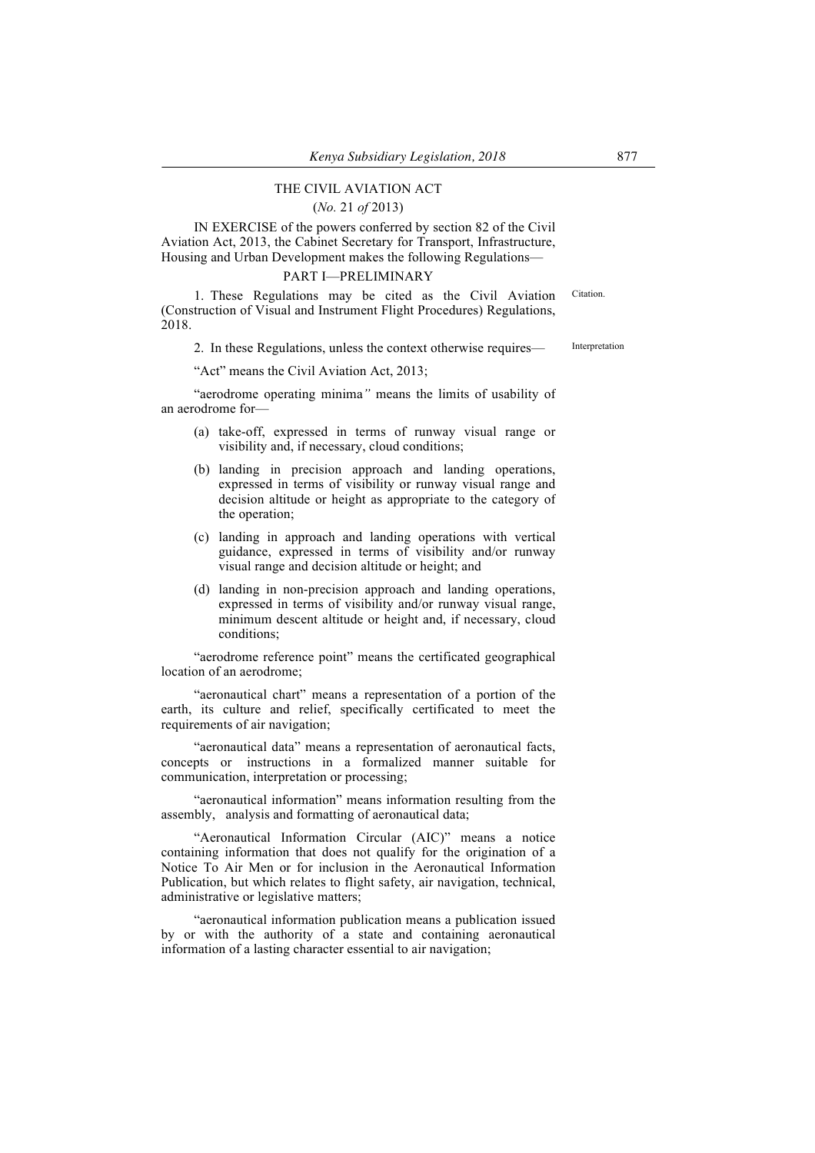# THE CIVIL AVIATION ACT

## (*No.* 21 *of* 2013)

IN EXERCISE of the powers conferred by section 82 of the Civil Aviation Act, 2013, the Cabinet Secretary for Transport, Infrastructure, Housing and Urban Development makes the following Regulations—

## PART I—PRELIMINARY

1. These Regulations may be cited as the Civil Aviation (Construction of Visual and Instrument Flight Procedures) Regulations, 2018. **Citation** 

2. In these Regulations, unless the context otherwise requires— Interpretation

"Act" means the Civil Aviation Act, 2013;

"aerodrome operating minima*"* means the limits of usability of an aerodrome for—

- (a) take-off, expressed in terms of runway visual range or visibility and, if necessary, cloud conditions;
- (b) landing in precision approach and landing operations, expressed in terms of visibility or runway visual range and decision altitude or height as appropriate to the category of the operation;
- (c) landing in approach and landing operations with vertical guidance, expressed in terms of visibility and/or runway visual range and decision altitude or height; and
- (d) landing in non-precision approach and landing operations, expressed in terms of visibility and/or runway visual range, minimum descent altitude or height and, if necessary, cloud conditions;

"aerodrome reference point" means the certificated geographical location of an aerodrome;

"aeronautical chart" means a representation of a portion of the earth, its culture and relief, specifically certificated to meet the requirements of air navigation;

"aeronautical data" means a representation of aeronautical facts, concepts or. instructions in a formalized manner suitable for communication, interpretation or processing;

"aeronautical information" means information resulting from the assembly, analysis and formatting of aeronautical data;

"Aeronautical Information Circular (AIC)" means a notice containing information that does not qualify for the origination of a Notice To Air Men or for inclusion in the Aeronautical Information Publication, but which relates to flight safety, air navigation, technical, administrative or legislative matters;

"aeronautical information publication means a publication issued by or with the authority of a state and containing aeronautical information of a lasting character essential to air navigation;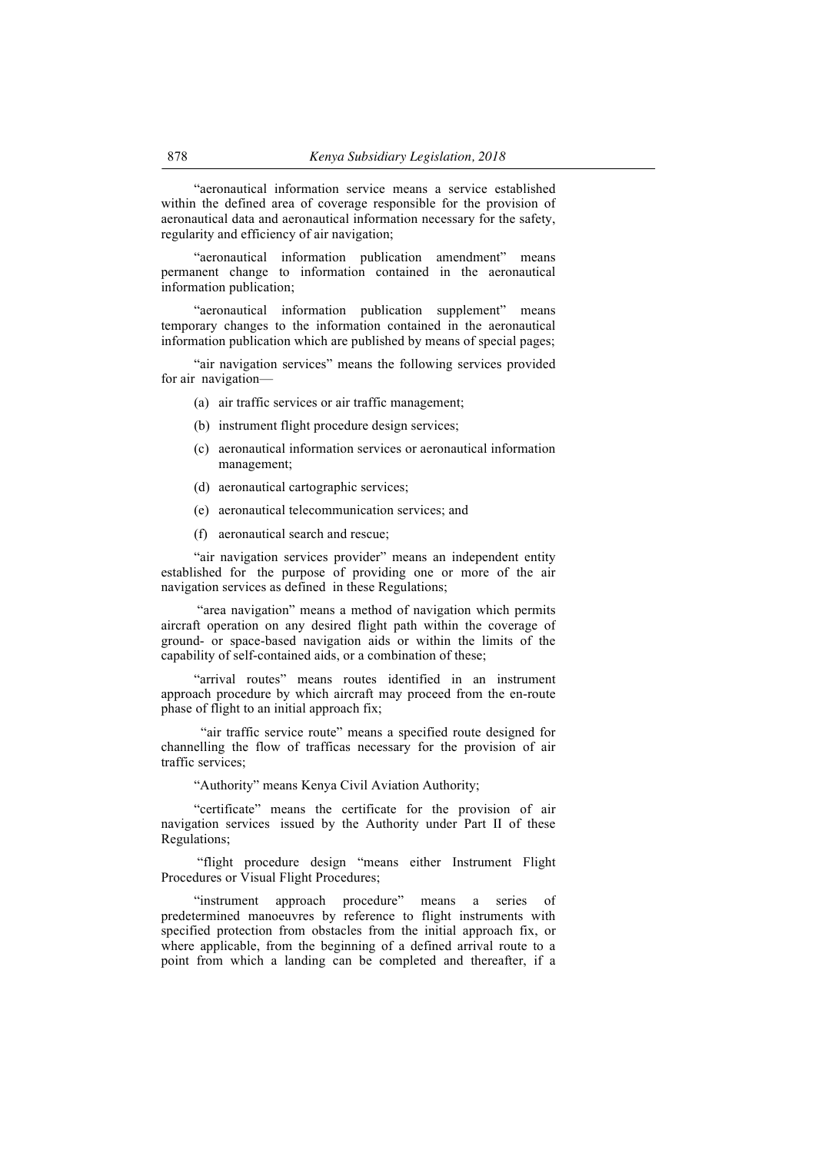"aeronautical information service means a service established within the defined area of coverage responsible for the provision of aeronautical data and aeronautical information necessary for the safety, regularity and efficiency of air navigation;

"aeronautical information publication amendment" means permanent change to information contained in the aeronautical information publication;

"aeronautical information publication supplement" means temporary changes to the information contained in the aeronautical information publication which are published by means of special pages;

"air navigation services" means the following services provided for air navigation—

- (a) air traffic services or air traffic management;
- (b) instrument flight procedure design services;
- (c) aeronautical information services or aeronautical information management;
- (d) aeronautical cartographic services;
- (e) aeronautical telecommunication services; and
- (f) aeronautical search and rescue;

"air navigation services provider" means an independent entity established for the purpose of providing one or more of the air navigation services as defined in these Regulations;

."area navigation" means a method of navigation which permits aircraft operation on any desired flight path within the coverage of ground- or space-based navigation aids or within the limits of the capability of self-contained aids, or a combination of these;

"arrival routes" means routes identified in an instrument approach procedure by which aircraft may proceed from the en-route phase of flight to an initial approach fix;

 "air traffic service route" means a specified route designed for channelling the flow of trafficas necessary for the provision of air traffic services;

"Authority" means Kenya Civil Aviation Authority;

"certificate" means the certificate for the provision of air navigation services issued by the Authority under Part II of these Regulations;

"flight procedure design "means either Instrument Flight Procedures or Visual Flight Procedures;

"instrument approach procedure" means a series of predetermined manoeuvres by reference to flight instruments with specified protection from obstacles from the initial approach fix, or where applicable, from the beginning of a defined arrival route to a point from which a landing can be completed and thereafter, if a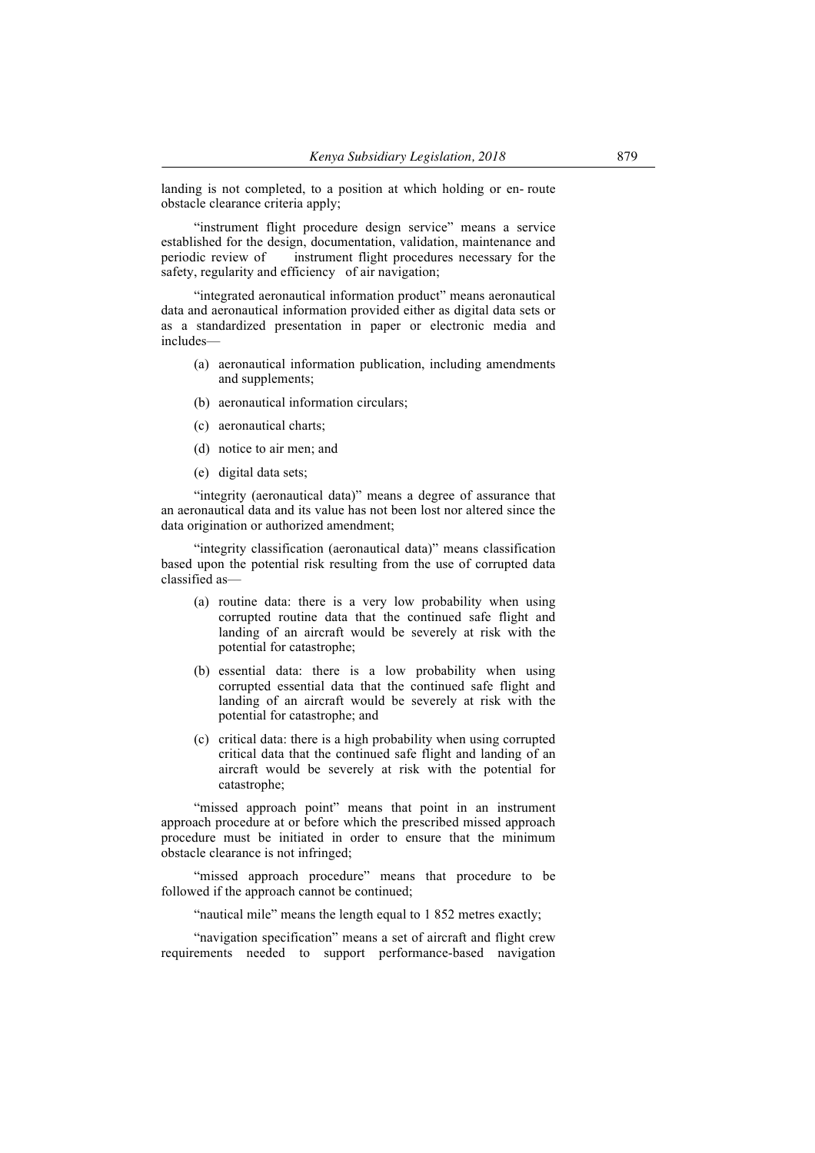landing is not completed, to a position at which holding or en-route obstacle clearance criteria apply;

"instrument flight procedure design service" means a service established for the design, documentation, validation, maintenance and periodic review of ... instrument flight procedures necessary for the safety, regularity and efficiency of air navigation;

"integrated aeronautical information product" means aeronautical data and aeronautical information provided either as digital data sets or as a standardized presentation in paper or electronic media and includes—

- (a) aeronautical information publication, including amendments and supplements;
- (b) aeronautical information circulars;
- (c) aeronautical charts;
- (d) notice to air men; and
- (e) digital data sets;

"integrity (aeronautical data)" means a degree of assurance that an aeronautical data and its value has not been lost nor altered since the data origination or authorized amendment;

"integrity classification (aeronautical data)" means classification based upon the potential risk resulting from the use of corrupted data classified as—

- (a) routine data: there is a very low probability when using corrupted routine data that the continued safe flight and landing of an aircraft would be severely at risk with the potential for catastrophe;
- (b) essential data: there is a low probability when using corrupted essential data that the continued safe flight and landing of an aircraft would be severely at risk with the potential for catastrophe; and
- (c) critical data: there is a high probability when using corrupted critical data that the continued safe flight and landing of an aircraft would be severely at risk with the potential for catastrophe;

"missed approach point" means that point in an instrument approach procedure at or before which the prescribed missed approach procedure must be initiated in order to ensure that the minimum obstacle clearance is not infringed;

"missed approach procedure" means that procedure to be followed if the approach cannot be continued;

"nautical mile" means the length equal to 1 852 metres exactly;

"navigation specification" means a set of aircraft and flight crew requirements needed to support performance-based navigation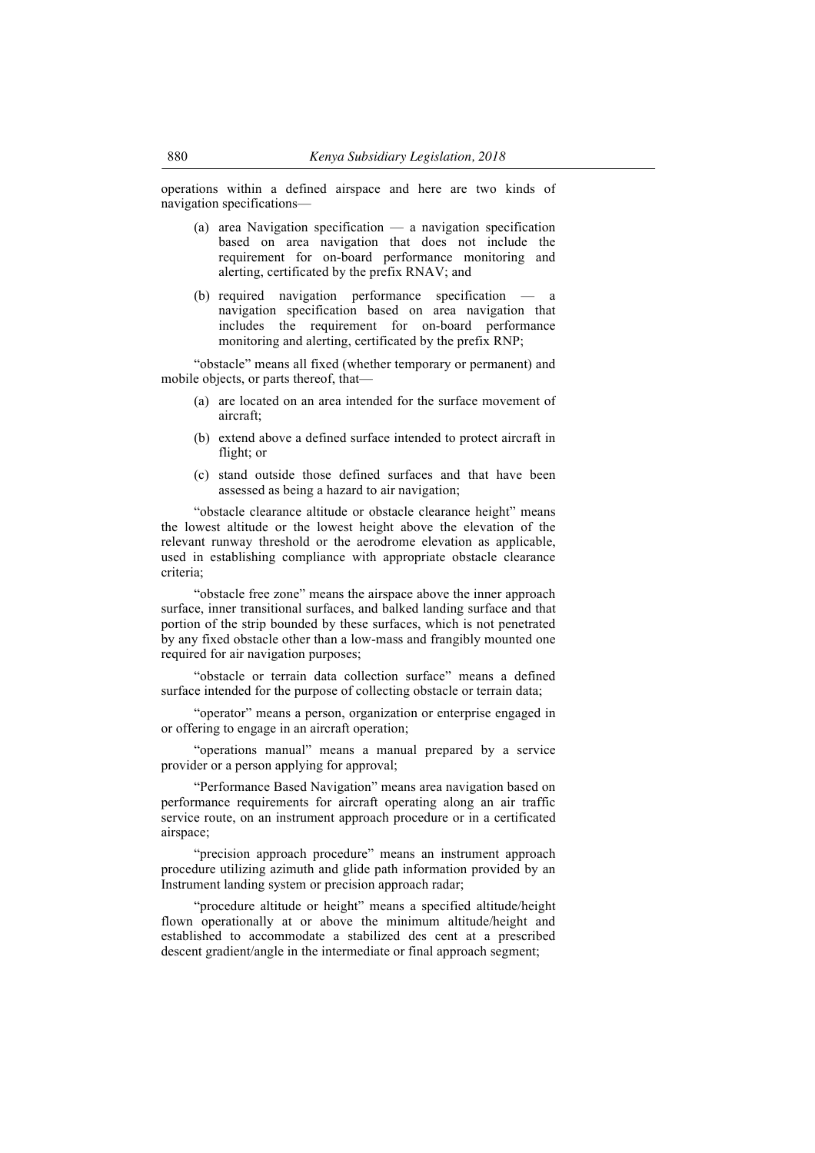operations within a defined airspace and here are two kinds of navigation specifications—

- (a) area Navigation specification a navigation specification based on area navigation that does not include the requirement for on-board performance monitoring and alerting, certificated by the prefix RNAV; and
- (b) required navigation performance specification  $$ navigation specification based on area navigation that includes the requirement for on-board performance monitoring and alerting, certificated by the prefix RNP;

"obstacle" means all fixed (whether temporary or permanent) and mobile objects, or parts thereof, that—

- (a) are located on an area intended for the surface movement of aircraft;
- (b) extend above a defined surface intended to protect aircraft in flight; or
- (c) stand outside those defined surfaces and that have been assessed as being a hazard to air navigation;

"obstacle clearance altitude or obstacle clearance height" means the lowest altitude or the lowest height above the elevation of the relevant runway threshold or the aerodrome elevation as applicable, used in establishing compliance with appropriate obstacle clearance criteria;

"obstacle free zone" means the airspace above the inner approach surface, inner transitional surfaces, and balked landing surface and that portion of the strip bounded by these surfaces, which is not penetrated by any fixed obstacle other than a low-mass and frangibly mounted one required for air navigation purposes;

"obstacle or terrain data collection surface" means a defined surface intended for the purpose of collecting obstacle or terrain data;

"operator" means a person, organization or enterprise engaged in or offering to engage in an aircraft operation;

"operations manual" means a manual prepared by a service provider or a person applying for approval;

"Performance Based Navigation" means area navigation based on performance requirements for aircraft operating along an air traffic service route, on an instrument approach procedure or in a certificated airspace;

"precision approach procedure" means an instrument approach procedure utilizing azimuth and glide path information provided by an Instrument landing system or precision approach radar;

"procedure altitude or height" means a specified altitude/height flown operationally at or above the minimum altitude/height and established to accommodate a stabilized des cent at a prescribed descent gradient/angle in the intermediate or final approach segment;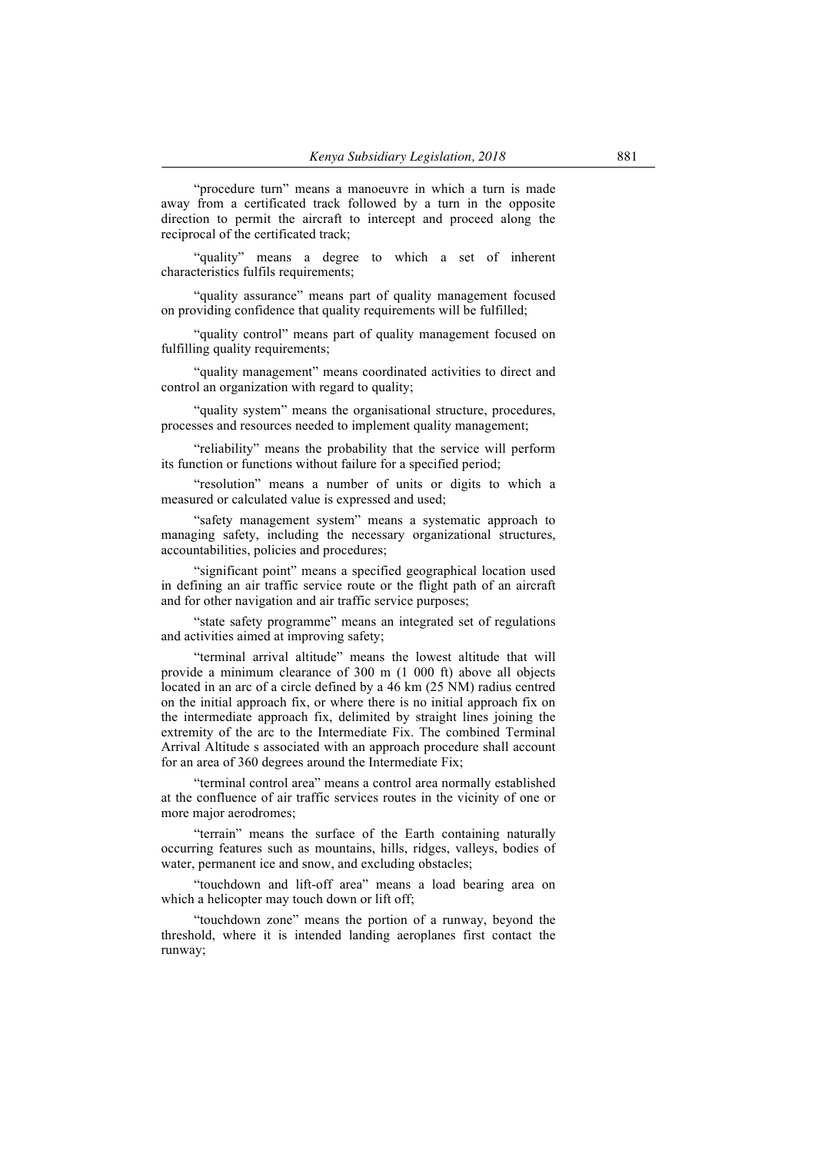"procedure turn" means a manoeuvre in which a turn is made away from a certificated track followed by a turn in the opposite direction to permit the aircraft to intercept and proceed along the reciprocal of the certificated track;

"quality" means a degree to which a set of inherent characteristics fulfils requirements;

"quality assurance" means part of quality management focused on providing confidence that quality requirements will be fulfilled;

"quality control" means part of quality management focused on fulfilling quality requirements;

"quality management" means coordinated activities to direct and control an organization with regard to quality;

"quality system" means the organisational structure, procedures, processes and resources needed to implement quality management;

"reliability" means the probability that the service will perform its function or functions without failure for a specified period;

"resolution" means a number of units or digits to which a measured or calculated value is expressed and used;

"safety management system" means a systematic approach to managing safety, including the necessary organizational structures, accountabilities, policies and procedures;

"significant point" means a specified geographical location used in defining an air traffic service route or the flight path of an aircraft and for other navigation and air traffic service purposes;

"state safety programme" means an integrated set of regulations and activities aimed at improving safety;

"terminal arrival altitude" means the lowest altitude that will provide a minimum clearance of 300 m (1 000 ft) above all objects located in an arc of a circle defined by a 46 km (25 NM) radius centred on the initial approach fix, or where there is no initial approach fix on the intermediate approach fix, delimited by straight lines joining the extremity of the arc to the Intermediate Fix. The combined Terminal Arrival Altitude s associated with an approach procedure shall account for an area of 360 degrees around the Intermediate Fix;

"terminal control area" means a control area normally established at the confluence of air traffic services routes in the vicinity of one or more major aerodromes;

"terrain" means the surface of the Earth containing naturally occurring features such as mountains, hills, ridges, valleys, bodies of water, permanent ice and snow, and excluding obstacles;

"touchdown and lift-off area" means a load bearing area on which a helicopter may touch down or lift off:

"touchdown zone" means the portion of a runway, beyond the threshold, where it is intended landing aeroplanes first contact the runway;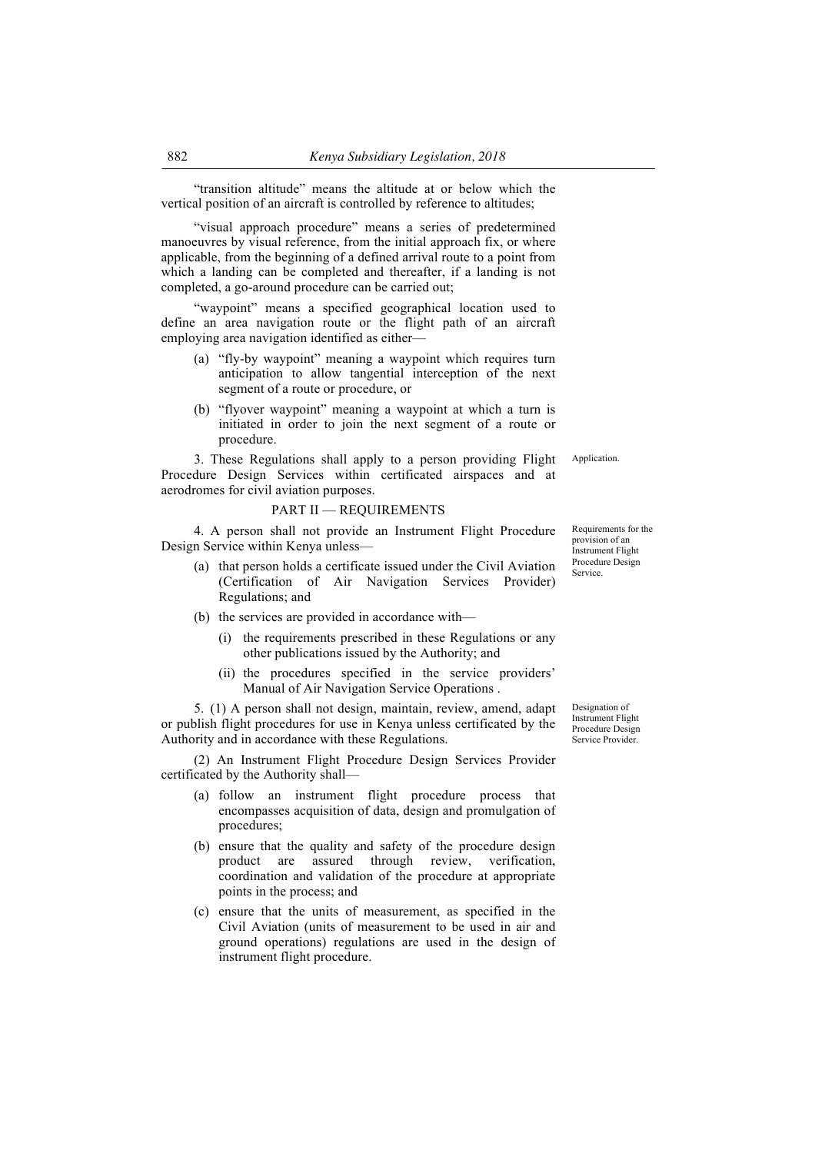"transition altitude" means the altitude at or below which the vertical position of an aircraft is controlled by reference to altitudes;

"visual approach procedure" means a series of predetermined manoeuvres by visual reference, from the initial approach fix, or where applicable, from the beginning of a defined arrival route to a point from which a landing can be completed and thereafter, if a landing is not completed, a go-around procedure can be carried out;

"waypoint" means a specified geographical location used to define an area navigation route or the flight path of an aircraft employing area navigation identified as either—

- (a) "fly-by waypoint" meaning a waypoint which requires turn anticipation to allow tangential interception of the next segment of a route or procedure, or
- (b) "flyover waypoint" meaning a waypoint at which a turn is initiated in order to join the next segment of a route or procedure.

3. These Regulations shall apply to a person providing Flight Procedure Design Services within certificated airspaces and at aerodromes for civil aviation purposes.

#### PART II — REQUIREMENTS

4. A person shall not provide an Instrument Flight Procedure Design Service within Kenya unless—

- (a) that person holds a certificate issued under the Civil Aviation (Certification of Air Navigation Services Provider) Regulations; and
- (b) the services are provided in accordance with—
	- (i) the requirements prescribed in these Regulations or any other publications issued by the Authority; and
	- (ii) the procedures specified in the service providers' Manual of Air Navigation Service Operations .

5. (1) A person shall not design, maintain, review, amend, adapt or publish flight procedures for use in Kenya unless certificated by the Authority and in accordance with these Regulations.

(2) An Instrument Flight Procedure Design Services Provider certificated by the Authority shall—

- (a) follow an instrument flight procedure process that encompasses acquisition of data, design and promulgation of procedures;
- (b) ensure that the quality and safety of the procedure design product are assured through review, verification, coordination and validation of the procedure at appropriate points in the process; and
- (c) ensure that the units of measurement, as specified in the Civil Aviation (units of measurement to be used in air and ground operations) regulations are used in the design of instrument flight procedure.

Designation of Instrument Flight Procedure Design Service Provider.

Application.

Service.

Requirements for the provision of an Instrument Flight Procedure Design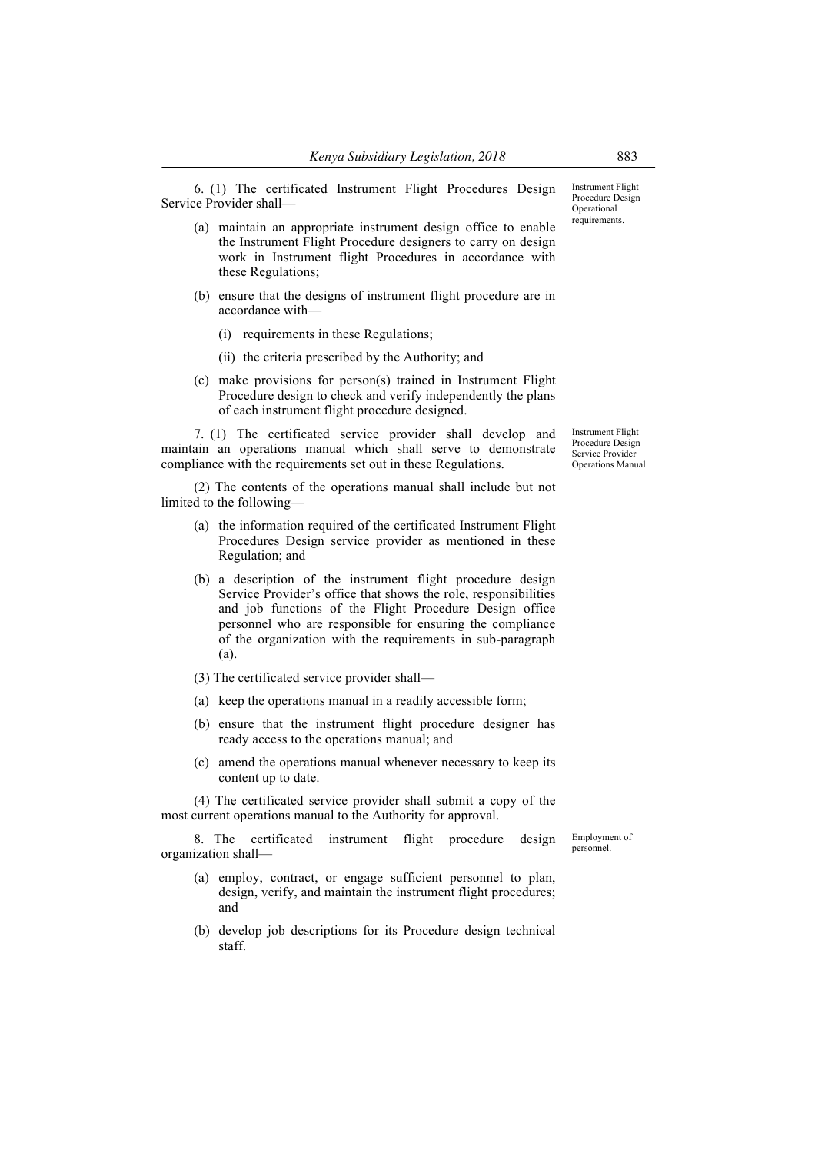6. (1) The certificated Instrument Flight Procedures Design Service Provider shall—

- (a) maintain an appropriate instrument design office to enable the Instrument Flight Procedure designers to carry on design work in Instrument flight Procedures in accordance with these Regulations;
- (b) ensure that the designs of instrument flight procedure are in accordance with—
	- (i) requirements in these Regulations;
	- (ii) the criteria prescribed by the Authority; and
- (c) make provisions for person(s) trained in Instrument Flight Procedure design to check and verify independently the plans of each instrument flight procedure designed.

7. (1) The certificated service provider shall develop and maintain an operations manual which shall serve to demonstrate compliance with the requirements set out in these Regulations.

(2) The contents of the operations manual shall include but not limited to the following—

- (a) the information required of the certificated Instrument Flight Procedures Design service provider as mentioned in these Regulation; and
- (b) a description of the instrument flight procedure design Service Provider's office that shows the role, responsibilities and job functions of the Flight Procedure Design office personnel who are responsible for ensuring the compliance of the organization with the requirements in sub-paragraph (a).
- (3) The certificated service provider shall—
- (a) keep the operations manual in a readily accessible form;
- (b) ensure that the instrument flight procedure designer has ready access to the operations manual; and
- (c) amend the operations manual whenever necessary to keep its content up to date.

(4) The certificated service provider shall submit a copy of the most current operations manual to the Authority for approval.

8. The certificated instrument flight procedure design organization shall—

- (a) employ, contract, or engage sufficient personnel to plan, design, verify, and maintain the instrument flight procedures; and
- (b) develop job descriptions for its Procedure design technical staff.

Instrument Flight Procedure Design Service Provider Operations Manual.

Employment of personnel.

Operational requirements.

Instrument Flight Procedure Design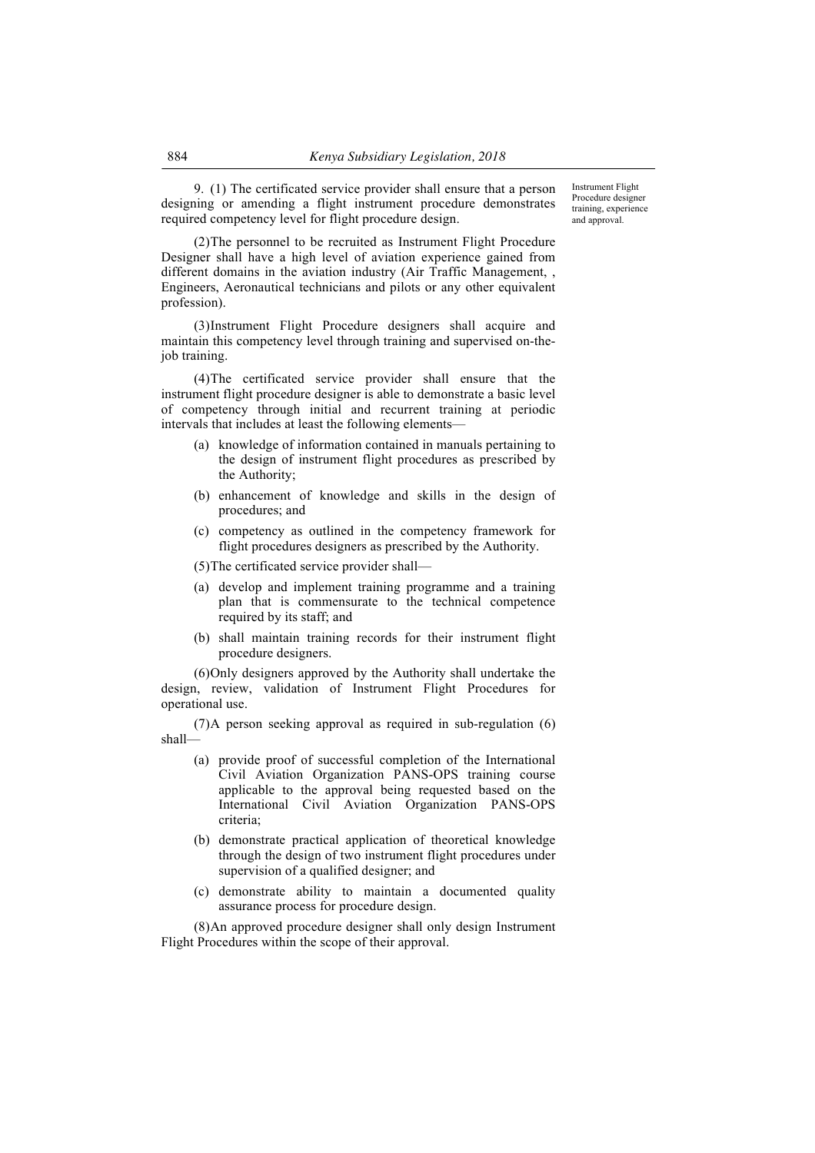9. (1) The certificated service provider shall ensure that a person designing or amending a flight instrument procedure demonstrates required competency level for flight procedure design.

Instrument Flight Procedure designer training, experience and approval.

(2)The personnel to be recruited as Instrument Flight Procedure Designer shall have a high level of aviation experience gained from different domains in the aviation industry (Air Traffic Management, , Engineers, Aeronautical technicians and pilots or any other equivalent profession).

(3)Instrument Flight Procedure designers shall acquire and maintain this competency level through training and supervised on-thejob training.

(4)The certificated service provider shall ensure that the instrument flight procedure designer is able to demonstrate a basic level of competency through initial and recurrent training at periodic intervals that includes at least the following elements—

- (a) knowledge of information contained in manuals pertaining to the design of instrument flight procedures as prescribed by the Authority;
- (b) enhancement of knowledge and skills in the design of procedures; and
- (c) competency as outlined in the competency framework for flight procedures designers as prescribed by the Authority.
- (5)The certificated service provider shall—
- (a) develop and implement training programme and a training plan that is commensurate to the technical competence required by its staff; and
- (b) shall maintain training records for their instrument flight procedure designers.

(6)Only designers approved by the Authority shall undertake the design, review, validation of Instrument Flight Procedures for operational use.

(7)A person seeking approval as required in sub-regulation (6) shall—

- (a) provide proof of successful completion of the International Civil Aviation Organization PANS-OPS training course applicable to the approval being requested based on the International Civil Aviation Organization PANS-OPS criteria;
- (b) demonstrate practical application of theoretical knowledge through the design of two instrument flight procedures under supervision of a qualified designer; and
- (c) demonstrate ability to maintain a documented quality assurance process for procedure design.

(8)An approved procedure designer shall only design Instrument Flight Procedures within the scope of their approval.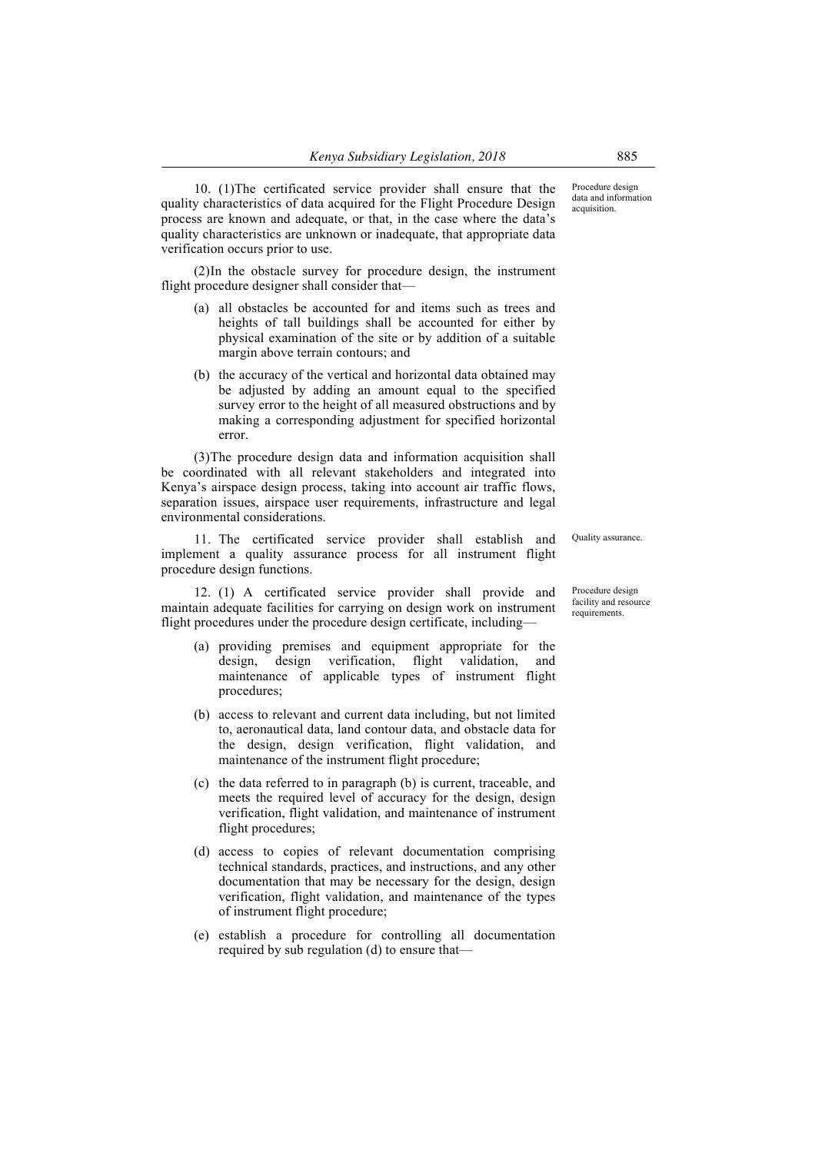10. (1)The certificated service provider shall ensure that the quality characteristics of data acquired for the Flight Procedure Design process are known and adequate, or that, in the case where the data's quality characteristics are unknown or inadequate, that appropriate data verification occurs prior to use.

(2)In the obstacle survey for procedure design, the instrument flight procedure designer shall consider that—

- (a) all obstacles be accounted for and items such as trees and heights of tall buildings shall be accounted for either by physical examination of the site or by addition of a suitable margin above terrain contours; and
- (b) the accuracy of the vertical and horizontal data obtained may be adjusted by adding an amount equal to the specified survey error to the height of all measured obstructions and by making a corresponding adjustment for specified horizontal error.

(3)The procedure design data and information acquisition shall be coordinated with all relevant stakeholders and integrated into Kenya's airspace design process, taking into account air traffic flows, separation issues, airspace user requirements, infrastructure and legal environmental considerations.

11. The certificated service provider shall establish and implement a quality assurance process for all instrument flight procedure design functions.

12. (1) A certificated service provider shall provide and maintain adequate facilities for carrying on design work on instrument flight procedures under the procedure design certificate, including—

- (a) providing premises and equipment appropriate for the design, design verification, flight validation, and maintenance of applicable types of instrument flight procedures;
- (b) access to relevant and current data including, but not limited to, aeronautical data, land contour data, and obstacle data for the design, design verification, flight validation, and maintenance of the instrument flight procedure;
- (c) the data referred to in paragraph (b) is current, traceable, and meets the required level of accuracy for the design, design verification, flight validation, and maintenance of instrument flight procedures;
- (d) access to copies of relevant documentation comprising technical standards, practices, and instructions, and any other documentation that may be necessary for the design, design verification, flight validation, and maintenance of the types of instrument flight procedure;
- (e) establish a procedure for controlling all documentation required by sub regulation (d) to ensure that—

Procedure design data and information acquisition.

Quality assurance.

Procedure design facility and resource requirements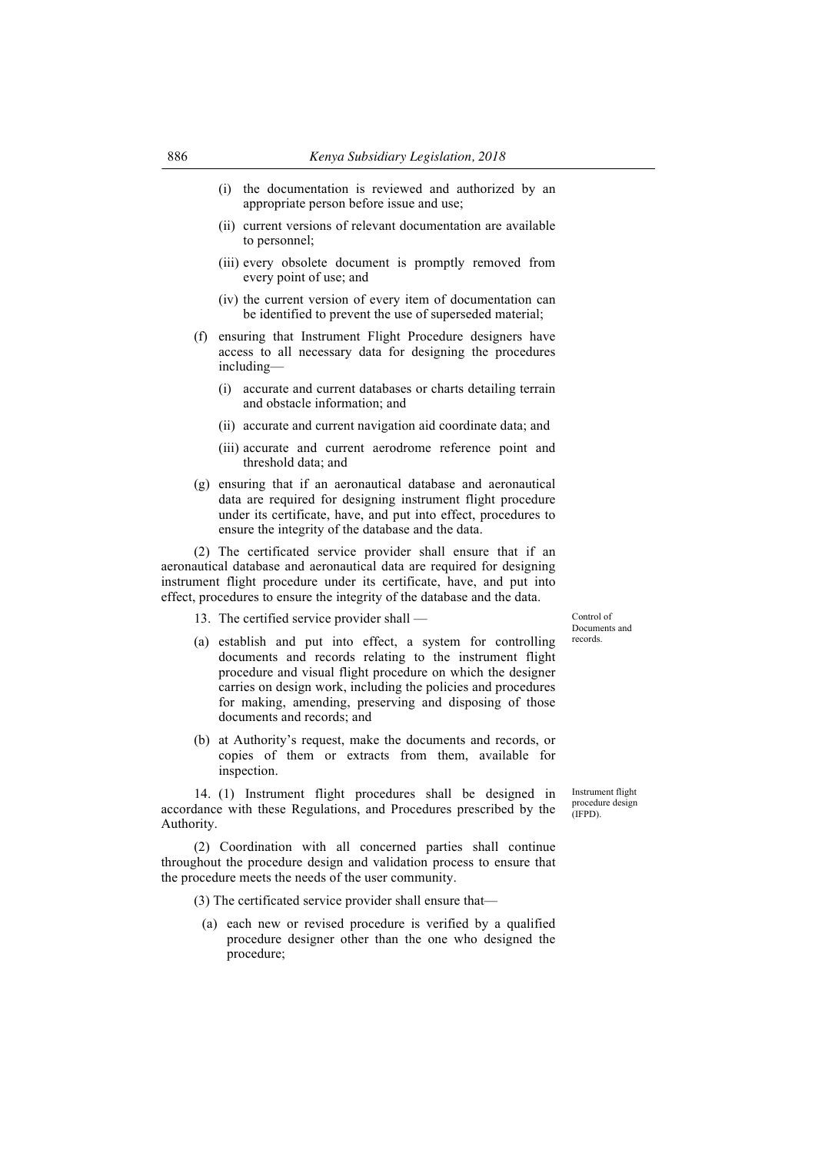- (i) the documentation is reviewed and authorized by an appropriate person before issue and use;
- (ii) current versions of relevant documentation are available to personnel;
- (iii) every obsolete document is promptly removed from every point of use; and
- (iv) the current version of every item of documentation can be identified to prevent the use of superseded material;
- (f) ensuring that Instrument Flight Procedure designers have access to all necessary data for designing the procedures including—
	- (i) accurate and current databases or charts detailing terrain and obstacle information; and
	- (ii) accurate and current navigation aid coordinate data; and
	- (iii) accurate and current aerodrome reference point and threshold data; and
- (g) ensuring that if an aeronautical database and aeronautical data are required for designing instrument flight procedure under its certificate, have, and put into effect, procedures to ensure the integrity of the database and the data.

(2) The certificated service provider shall ensure that if an aeronautical database and aeronautical data are required for designing instrument flight procedure under its certificate, have, and put into effect, procedures to ensure the integrity of the database and the data.

13. The certified service provider shall —

(a) establish and put into effect, a system for controlling documents and records relating to the instrument flight procedure and visual flight procedure on which the designer carries on design work, including the policies and procedures for making, amending, preserving and disposing of those documents and records; and

(b) at Authority's request, make the documents and records, or copies of them or extracts from them, available for inspection.

14. (1) Instrument flight procedures shall be designed in accordance with these Regulations, and Procedures prescribed by the Authority.

(2) Coordination with all concerned parties shall continue throughout the procedure design and validation process to ensure that the procedure meets the needs of the user community.

(3) The certificated service provider shall ensure that—

(a) each new or revised procedure is verified by a qualified procedure designer other than the one who designed the procedure;

Control of Documents and records.

Instrument flight procedure design (IFPD).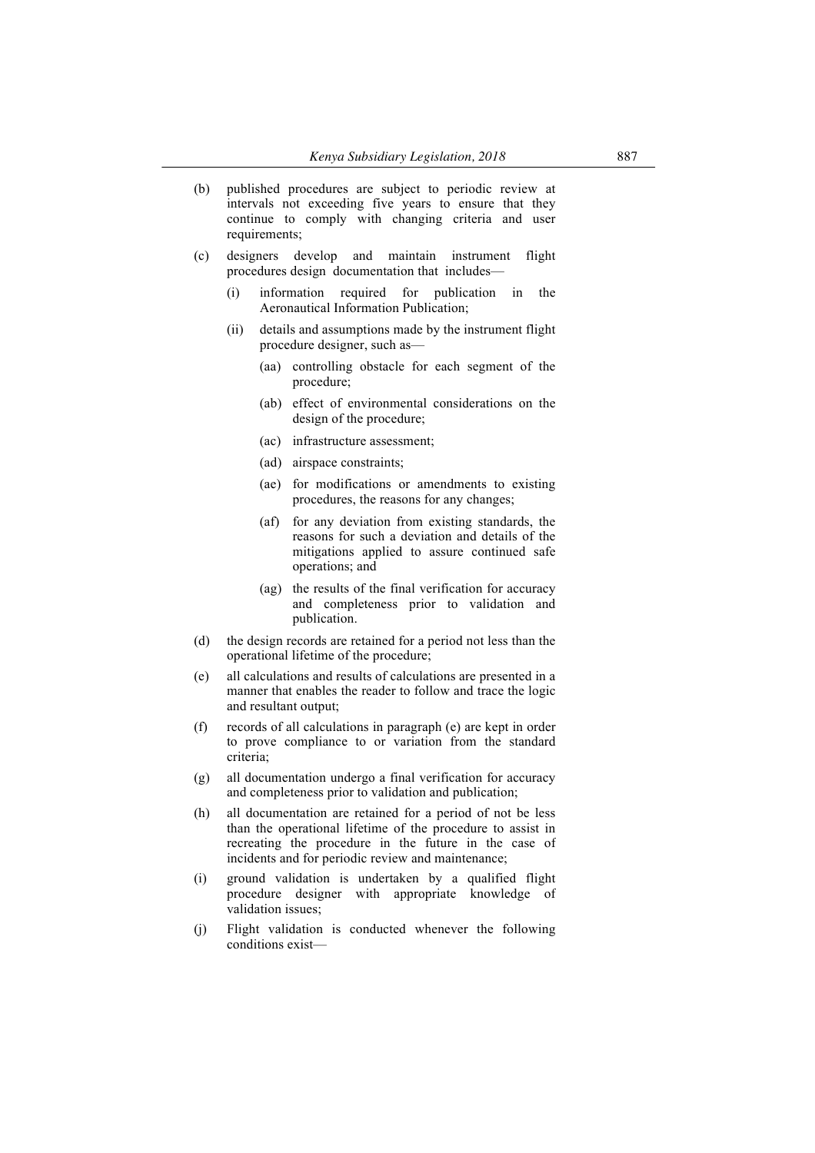| (b) | published procedures are subject to periodic review at |
|-----|--------------------------------------------------------|
|     | intervals not exceeding five years to ensure that they |
|     | continue to comply with changing criteria and user     |
|     | requirements:                                          |

- (c) designers develop and maintain instrument flight procedures design documentation that includes—
	- (i) information required for publication in the Aeronautical Information Publication;
	- (ii) details and assumptions made by the instrument flight procedure designer, such as—
		- (aa) controlling obstacle for each segment of the procedure;
		- (ab) effect of environmental considerations on the design of the procedure;
		- (ac) infrastructure assessment;
		- (ad) airspace constraints;
		- (ae) for modifications or amendments to existing procedures, the reasons for any changes;
		- (af) for any deviation from existing standards, the reasons for such a deviation and details of the mitigations applied to assure continued safe operations; and
		- (ag) the results of the final verification for accuracy and completeness prior to validation and publication.
- (d) the design records are retained for a period not less than the operational lifetime of the procedure;
- (e) all calculations and results of calculations are presented in a manner that enables the reader to follow and trace the logic and resultant output;
- (f) records of all calculations in paragraph (e) are kept in order to prove compliance to or variation from the standard criteria;
- (g) all documentation undergo a final verification for accuracy and completeness prior to validation and publication;
- (h) all documentation are retained for a period of not be less than the operational lifetime of the procedure to assist in recreating the procedure in the future in the case of incidents and for periodic review and maintenance;
- (i) ground validation is undertaken by a qualified flight procedure designer with appropriate knowledge of validation issues;
- (j) Flight validation is conducted whenever the following conditions exist—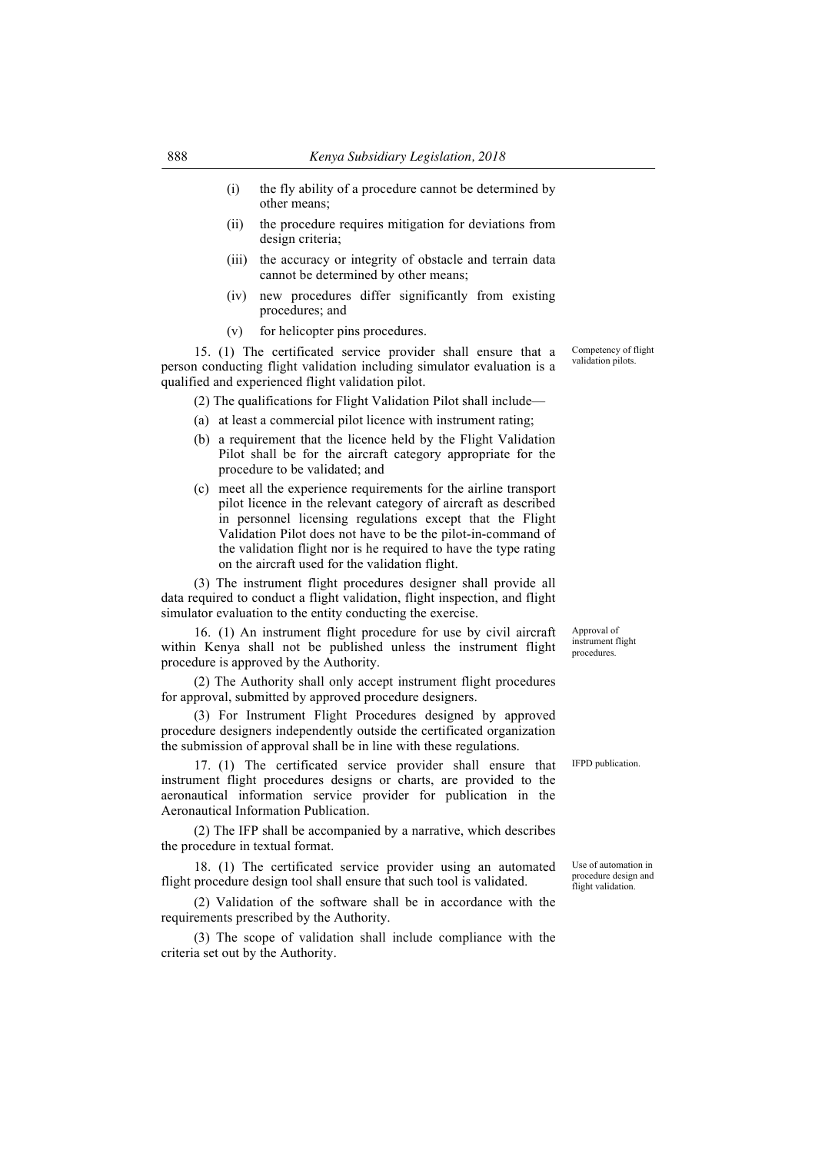- (i) the fly ability of a procedure cannot be determined by other means;
- (ii) the procedure requires mitigation for deviations from design criteria;
- (iii) the accuracy or integrity of obstacle and terrain data cannot be determined by other means;
- (iv) new procedures differ significantly from existing procedures; and
- (v) for helicopter pins procedures.

15. (1) The certificated service provider shall ensure that a person conducting flight validation including simulator evaluation is a qualified and experienced flight validation pilot.

(2) The qualifications for Flight Validation Pilot shall include—

- (a) at least a commercial pilot licence with instrument rating;
- (b) a requirement that the licence held by the Flight Validation Pilot shall be for the aircraft category appropriate for the procedure to be validated; and
- (c) meet all the experience requirements for the airline transport pilot licence in the relevant category of aircraft as described in personnel licensing regulations except that the Flight Validation Pilot does not have to be the pilot-in-command of the validation flight nor is he required to have the type rating on the aircraft used for the validation flight.

(3) The instrument flight procedures designer shall provide all data required to conduct a flight validation, flight inspection, and flight simulator evaluation to the entity conducting the exercise.

16. (1) An instrument flight procedure for use by civil aircraft within Kenya shall not be published unless the instrument flight procedure is approved by the Authority.

(2) The Authority shall only accept instrument flight procedures for approval, submitted by approved procedure designers.

(3) For Instrument Flight Procedures designed by approved procedure designers independently outside the certificated organization the submission of approval shall be in line with these regulations.

17. (1) The certificated service provider shall ensure that instrument flight procedures designs or charts, are provided to the aeronautical information service provider for publication in the Aeronautical Information Publication.

(2) The IFP shall be accompanied by a narrative, which describes the procedure in textual format.

18. (1) The certificated service provider using an automated flight procedure design tool shall ensure that such tool is validated.

(2) Validation of the software shall be in accordance with the requirements prescribed by the Authority.

(3) The scope of validation shall include compliance with the criteria set out by the Authority.

Approval of instrument flight procedures.

IFPD publication.

Use of automation in procedure design and flight validation.

Competency of flight validation pilots.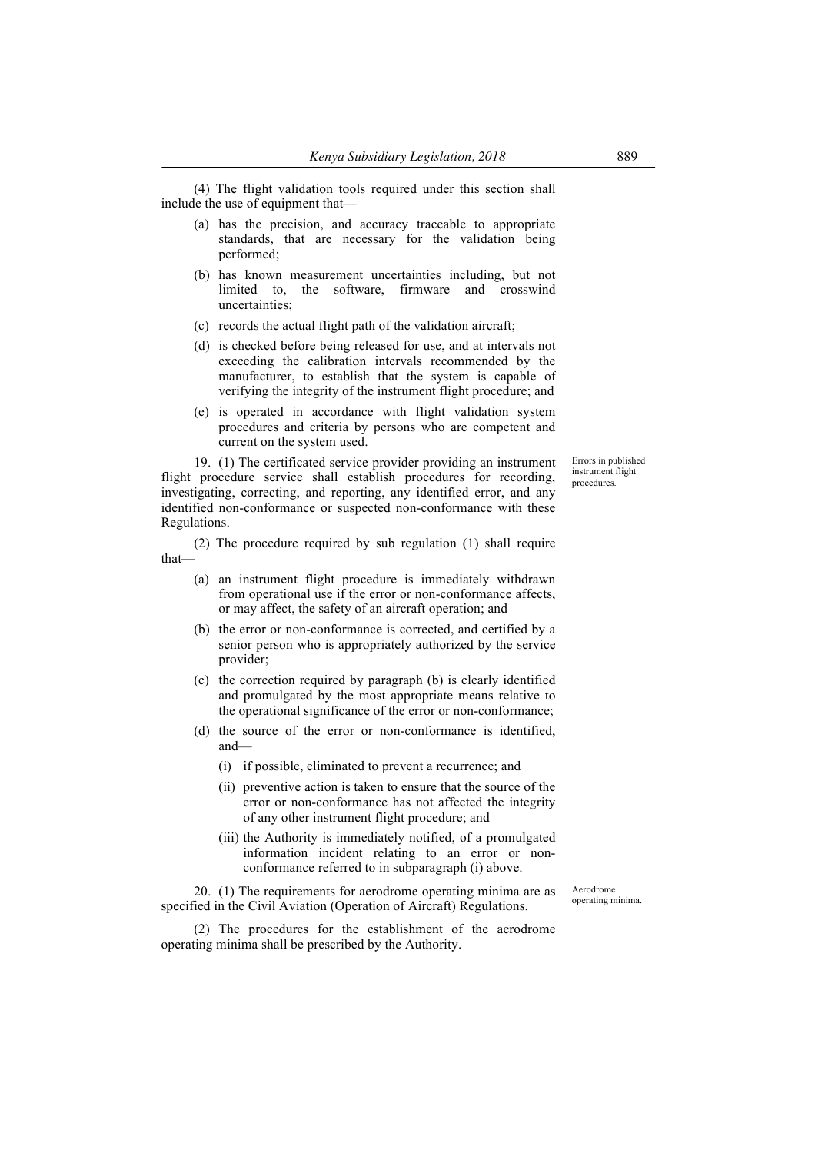(4) The flight validation tools required under this section shall include the use of equipment that—

- (a) has the precision, and accuracy traceable to appropriate standards, that are necessary for the validation being performed;
- (b) has known measurement uncertainties including, but not limited to, the software, firmware and crosswind uncertainties;
- (c) records the actual flight path of the validation aircraft;
- (d) is checked before being released for use, and at intervals not exceeding the calibration intervals recommended by the manufacturer, to establish that the system is capable of verifying the integrity of the instrument flight procedure; and
- (e) is operated in accordance with flight validation system procedures and criteria by persons who are competent and current on the system used.

19. (1) The certificated service provider providing an instrument flight procedure service shall establish procedures for recording, investigating, correcting, and reporting, any identified error, and any identified non-conformance or suspected non-conformance with these Regulations.

(2) The procedure required by sub regulation (1) shall require that—

- (a) an instrument flight procedure is immediately withdrawn from operational use if the error or non-conformance affects, or may affect, the safety of an aircraft operation; and
- (b) the error or non-conformance is corrected, and certified by a senior person who is appropriately authorized by the service provider;
- (c) the correction required by paragraph (b) is clearly identified and promulgated by the most appropriate means relative to the operational significance of the error or non-conformance;
- (d) the source of the error or non-conformance is identified, and—
	- (i) if possible, eliminated to prevent a recurrence; and
	- (ii) preventive action is taken to ensure that the source of the error or non-conformance has not affected the integrity of any other instrument flight procedure; and
	- (iii) the Authority is immediately notified, of a promulgated information incident relating to an error or nonconformance referred to in subparagraph (i) above.

20. (1) The requirements for aerodrome operating minima are as specified in the Civil Aviation (Operation of Aircraft) Regulations.

(2) The procedures for the establishment of the aerodrome operating minima shall be prescribed by the Authority.

Errors in published instrument flight procedures.

Aerodrome operating minima.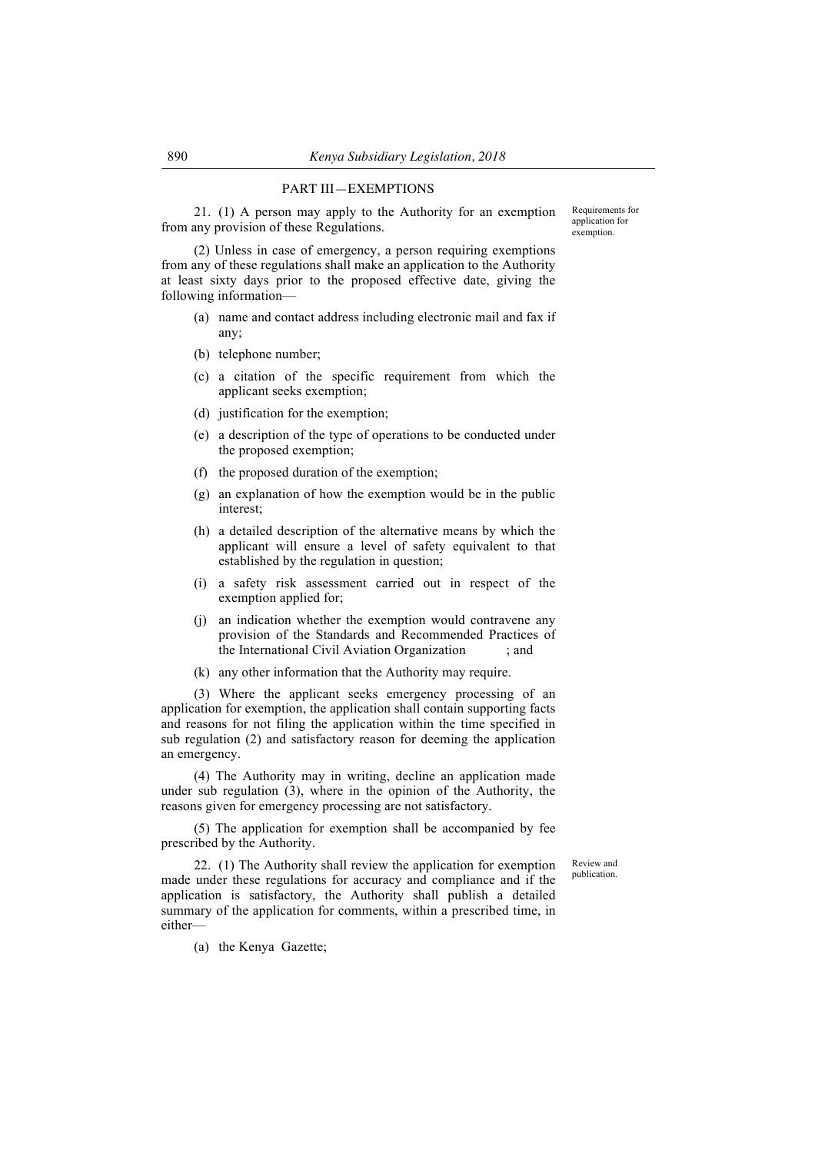## PART III—EXEMPTIONS

21. (1) A person may apply to the Authority for an exemption from any provision of these Regulations.

Requirements for application for exemption.

(2) Unless in case of emergency, a person requiring exemptions from any of these regulations shall make an application to the Authority at least sixty days prior to the proposed effective date, giving the following information—

- (a) name and contact address including electronic mail and fax if any;
- (b) telephone number;
- (c) a citation of the specific requirement from which the applicant seeks exemption;
- (d) justification for the exemption;
- (e) a description of the type of operations to be conducted under the proposed exemption;
- (f) the proposed duration of the exemption;
- (g) an explanation of how the exemption would be in the public interest;
- (h) a detailed description of the alternative means by which the applicant will ensure a level of safety equivalent to that established by the regulation in question;
- (i) a safety risk assessment carried out in respect of the exemption applied for;
- (j) an indication whether the exemption would contravene any provision of the Standards and Recommended Practices of the International Civil Aviation Organization ; and
- (k) any other information that the Authority may require.

(3) Where the applicant seeks emergency processing of an application for exemption, the application shall contain supporting facts and reasons for not filing the application within the time specified in sub regulation (2) and satisfactory reason for deeming the application an emergency.

(4) The Authority may in writing, decline an application made under sub regulation (3), where in the opinion of the Authority, the reasons given for emergency processing are not satisfactory.

(5) The application for exemption shall be accompanied by fee prescribed by the Authority.

> Review and publication.

22. (1) The Authority shall review the application for exemption made under these regulations for accuracy and compliance and if the application is satisfactory, the Authority shall publish a detailed summary of the application for comments, within a prescribed time, in either—

(a) the Kenya Gazette;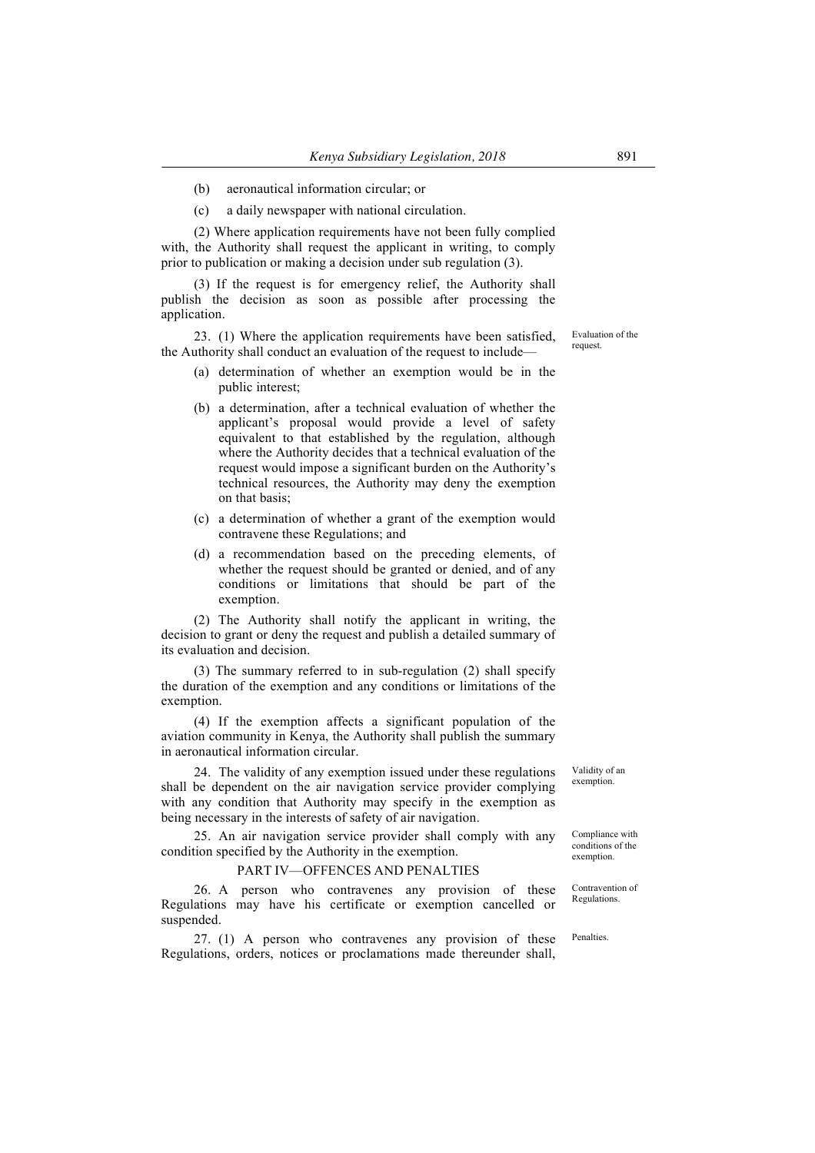- (b) aeronautical information circular; or
- (c) a daily newspaper with national circulation.

(2) Where application requirements have not been fully complied with, the Authority shall request the applicant in writing, to comply prior to publication or making a decision under sub regulation (3).

(3) If the request is for emergency relief, the Authority shall publish the decision as soon as possible after processing the application.

23. (1) Where the application requirements have been satisfied, the Authority shall conduct an evaluation of the request to include—

- (a) determination of whether an exemption would be in the public interest;
- (b) a determination, after a technical evaluation of whether the applicant's proposal would provide a level of safety equivalent to that established by the regulation, although where the Authority decides that a technical evaluation of the request would impose a significant burden on the Authority's technical resources, the Authority may deny the exemption on that basis;
- (c) a determination of whether a grant of the exemption would contravene these Regulations; and
- (d) a recommendation based on the preceding elements, of whether the request should be granted or denied, and of any conditions or limitations that should be part of the exemption.

(2) The Authority shall notify the applicant in writing, the decision to grant or deny the request and publish a detailed summary of its evaluation and decision.

(3) The summary referred to in sub-regulation (2) shall specify the duration of the exemption and any conditions or limitations of the exemption.

(4) If the exemption affects a significant population of the aviation community in Kenya, the Authority shall publish the summary in aeronautical information circular.

24. The validity of any exemption issued under these regulations shall be dependent on the air navigation service provider complying with any condition that Authority may specify in the exemption as being necessary in the interests of safety of air navigation.

25. An air navigation service provider shall comply with any condition specified by the Authority in the exemption.

### PART IV—OFFENCES AND PENALTIES

26. A person who contravenes any provision of these Regulations may have his certificate or exemption cancelled or suspended.

27. (1) A person who contravenes any provision of these Regulations, orders, notices or proclamations made thereunder shall,

Validity of an exemption.

Compliance with conditions of the exemption.

Contravention of Regulations.

Penalties.

Evaluation of the request.